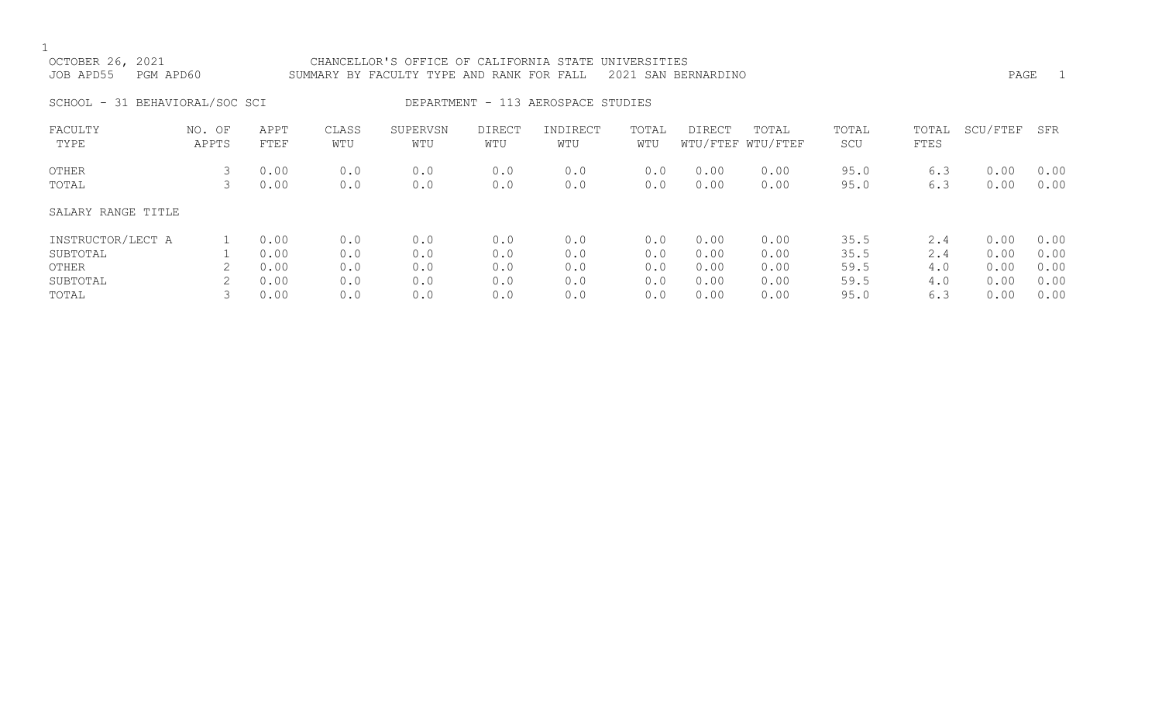| OCTOBER 26, 2021<br>JOB APD55<br>PGM APD60 |                 |              |              | CHANCELLOR'S OFFICE OF CALIFORNIA STATE UNIVERSITIES<br>SUMMARY BY FACULTY TYPE AND RANK FOR FALL |                      |                                    |              | 2021 SAN BERNARDINO |                            |              |               | PAGE         | $\overline{1}$ |
|--------------------------------------------|-----------------|--------------|--------------|---------------------------------------------------------------------------------------------------|----------------------|------------------------------------|--------------|---------------------|----------------------------|--------------|---------------|--------------|----------------|
| SCHOOL - 31 BEHAVIORAL/SOC SCI             |                 |              |              |                                                                                                   |                      | DEPARTMENT - 113 AEROSPACE STUDIES |              |                     |                            |              |               |              |                |
| FACULTY<br>TYPE                            | NO. OF<br>APPTS | APPT<br>FTEF | CLASS<br>WTU | SUPERVSN<br>WTU                                                                                   | <b>DIRECT</b><br>WTU | INDIRECT<br>WTU                    | TOTAL<br>WTU | <b>DIRECT</b>       | TOTAL<br>WTU/FTEF WTU/FTEF | TOTAL<br>SCU | TOTAL<br>FTES | SCU/FTEF     | SFR            |
| OTHER<br>TOTAL                             | 3<br>3          | 0.00<br>0.00 | 0.0<br>0.0   | 0.0<br>0.0                                                                                        | 0.0<br>0.0           | 0.0<br>0.0                         | 0.0<br>0.0   | 0.00<br>0.00        | 0.00<br>0.00               | 95.0<br>95.0 | 6.3<br>6.3    | 0.00<br>0.00 | 0.00<br>0.00   |
| SALARY RANGE TITLE                         |                 |              |              |                                                                                                   |                      |                                    |              |                     |                            |              |               |              |                |
| INSTRUCTOR/LECT A                          |                 | 0.00         | 0.0          | 0.0                                                                                               | 0.0                  | 0.0                                | 0.0          | 0.00                | 0.00                       | 35.5         | 2.4           | 0.00         | 0.00           |
| SUBTOTAL                                   |                 | 0.00         | 0.0          | 0.0                                                                                               | 0.0                  | 0.0                                | 0.0          | 0.00                | 0.00                       | 35.5         | 2.4           | 0.00         | 0.00           |
| OTHER                                      |                 | 0.00         | 0.0          | 0.0                                                                                               | 0.0                  | 0.0                                | 0.0          | 0.00                | 0.00                       | 59.5         | 4.0           | 0.00         | 0.00           |
| SUBTOTAL                                   | 2               | 0.00         | 0.0          | 0.0                                                                                               | 0.0                  | 0.0                                | 0.0          | 0.00                | 0.00                       | 59.5         | 4.0           | 0.00         | 0.00           |

TOTAL 3 0.00 0.0 0.0 0.0 0.0 0.0 0.00 0.00 95.0 6.3 0.00 0.00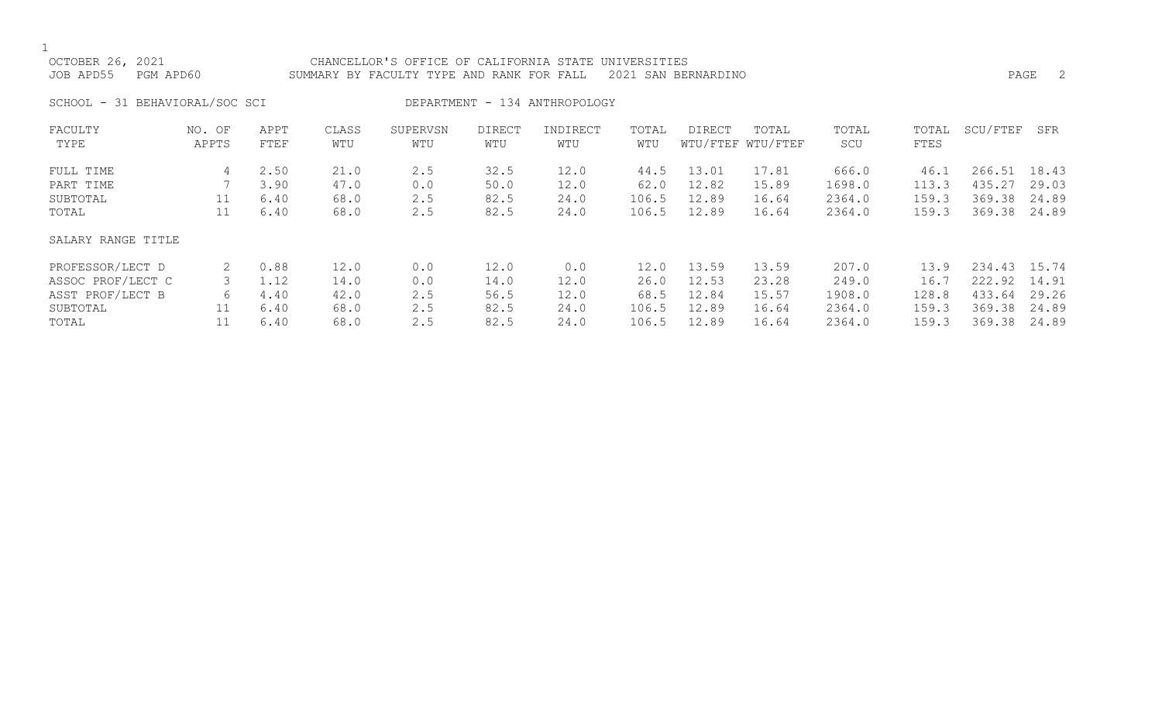$\frac{1}{\text{OCI}}$ 

| OCTOBER 26, 2021               | CHANCELLOR'S OFFICE OF CALIFORNIA STATE UNIVERSITIES          |      |
|--------------------------------|---------------------------------------------------------------|------|
| JOB APD55 PGM APD60            | SUMMARY BY FACULTY TYPE AND RANK FOR FALL 2021 SAN BERNARDINO | PAGE |
| SCHOOL - 31 BEHAVIORAL/SOC SCI | DEPARTMENT - 134 ANTHROPOLOGY                                 |      |

| FACULTY            | NO. OF | APPT | CLASS | SUPERVSN | <b>DIRECT</b> | INDIRECT | TOTAL | DIRECT | TOTAL             | TOTAL  | TOTAL | SCU/FTEF     | SFR   |
|--------------------|--------|------|-------|----------|---------------|----------|-------|--------|-------------------|--------|-------|--------------|-------|
| TYPE               | APPTS  | FTEF | WTU   | WTU      | WTU           | WTU      | WTU   |        | WTU/FTEF WTU/FTEF | SCU    | FTES  |              |       |
| FULL TIME          | 4      | 2.50 | 21.0  | 2.5      | 32.5          | 12.0     | 44.5  | 13.01  | 17.81             | 666.0  | 46.1  | 266.51       | 18.43 |
| PART TIME          |        | 3.90 | 47.0  | 0.0      | 50.0          | 12.0     | 62.0  | 12.82  | 15.89             | 1698.0 | 113.3 | 435.27       | 29.03 |
| SUBTOTAL           | 11     | 6.40 | 68.0  | 2.5      | 82.5          | 24.0     | 106.5 | 12.89  | 16.64             | 2364.0 | 159.3 | 369.38       | 24.89 |
| TOTAL              | 11     | 6.40 | 68.0  | 2.5      | 82.5          | 24.0     | 106.5 | 12.89  | 16.64             | 2364.0 | 159.3 | 369.38       | 24.89 |
| SALARY RANGE TITLE |        |      |       |          |               |          |       |        |                   |        |       |              |       |
| PROFESSOR/LECT D   | 2      | 0.88 | 12.0  | 0.0      | 12.0          | 0.0      | 12.0  | 13.59  | 13.59             | 207.0  | 13.9  | 234.43 15.74 |       |
| ASSOC PROF/LECT C  |        | 1.12 | 14.0  | 0.0      | 14.0          | 12.0     | 26.0  | 12.53  | 23.28             | 249.0  | 16.7  | 222.92       | 14.91 |
| ASST PROF/LECT B   | 6      | 4.40 | 42.0  | 2.5      | 56.5          | 12.0     | 68.5  | 12.84  | 15.57             | 1908.0 | 128.8 | 433.64       | 29.26 |
| SUBTOTAL           |        | 6.40 | 68.0  | 2.5      | 82.5          | 24.0     | 106.5 | 12.89  | 16.64             | 2364.0 | 159.3 | 369.38       | 24.89 |
| TOTAL              |        | 6.40 | 68.0  | 2.5      | 82.5          | 24.0     | 106.5 | 12.89  | 16.64             | 2364.0 | 159.3 | 369.38       | 24.89 |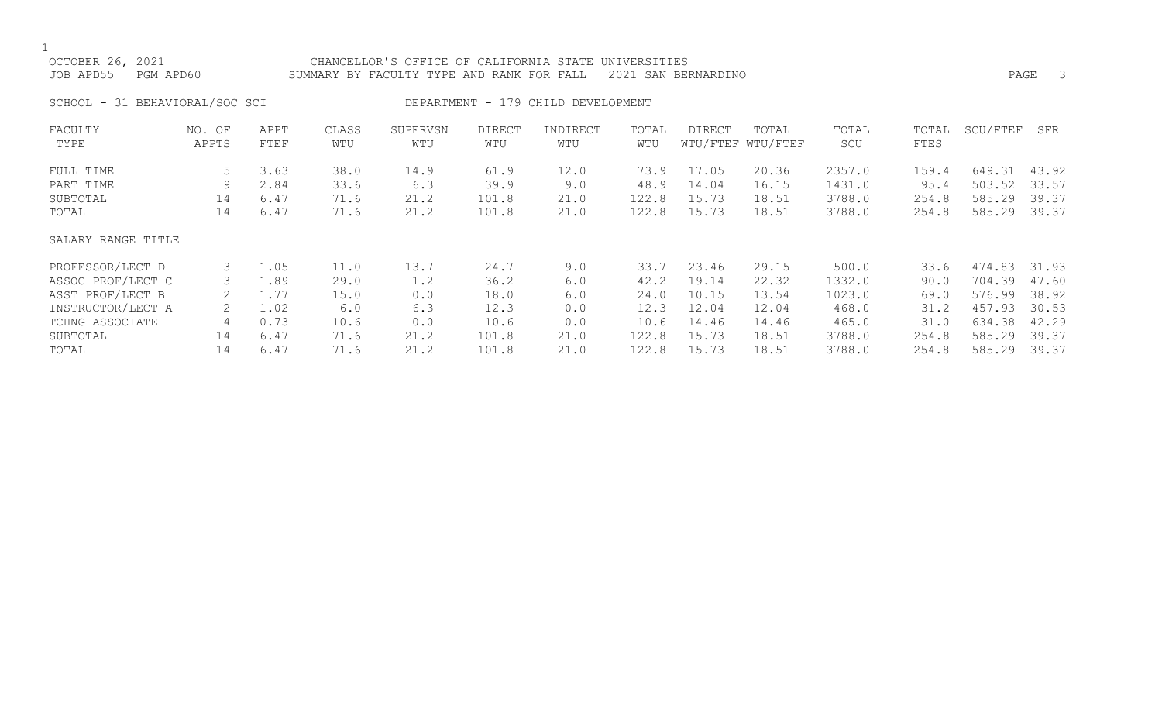| PGM APD60                         |                                                      |                                                     |                                                  |                                                        |                                                 |                                                        |                                                             |                                                             |                                                                 |                                                        |                                                                    | PAGE 3                                                      |
|-----------------------------------|------------------------------------------------------|-----------------------------------------------------|--------------------------------------------------|--------------------------------------------------------|-------------------------------------------------|--------------------------------------------------------|-------------------------------------------------------------|-------------------------------------------------------------|-----------------------------------------------------------------|--------------------------------------------------------|--------------------------------------------------------------------|-------------------------------------------------------------|
|                                   |                                                      |                                                     |                                                  |                                                        |                                                 |                                                        |                                                             |                                                             |                                                                 |                                                        |                                                                    |                                                             |
| NO. OF<br>APPTS                   | APPT<br>FTEF                                         | CLASS<br>WTU                                        | SUPERVSN<br>WTU                                  | <b>DIRECT</b><br>WTU                                   | INDIRECT<br>WTU                                 | TOTAL<br>WTU                                           | <b>DIRECT</b>                                               | TOTAL                                                       | TOTAL<br>SCU                                                    | TOTAL<br>FTES                                          |                                                                    | SFR                                                         |
| 5<br>9<br>14<br>14                | 3.63<br>2.84<br>6.47<br>6.47                         | 38.0<br>33.6<br>71.6<br>71.6                        | 14.9<br>6.3<br>21.2<br>21.2                      | 61.9<br>39.9<br>101.8<br>101.8                         | 12.0<br>9.0<br>21.0<br>21.0                     | 73.9<br>48.9<br>122.8<br>122.8                         | 17.05<br>14.04<br>15.73<br>15.73                            | 20.36<br>16.15<br>18.51<br>18.51                            | 2357.0<br>1431.0<br>3788.0<br>3788.0                            | 159.4<br>95.4<br>254.8<br>254.8                        | 649.31<br>503.52<br>585.29<br>585.29                               | 43.92<br>33.57<br>39.37<br>39.37                            |
| SALARY RANGE TITLE                |                                                      |                                                     |                                                  |                                                        |                                                 |                                                        |                                                             |                                                             |                                                                 |                                                        |                                                                    |                                                             |
| 3<br>3<br>2<br>2<br>4<br>14<br>14 | 1.05<br>1.89<br>1.77<br>1.02<br>0.73<br>6.47<br>6.47 | 11.0<br>29.0<br>15.0<br>6.0<br>10.6<br>71.6<br>71.6 | 13.7<br>1.2<br>0.0<br>6.3<br>0.0<br>21.2<br>21.2 | 24.7<br>36.2<br>18.0<br>12.3<br>10.6<br>101.8<br>101.8 | 9.0<br>6.0<br>6.0<br>0.0<br>0.0<br>21.0<br>21.0 | 33.7<br>42.2<br>24.0<br>12.3<br>10.6<br>122.8<br>122.8 | 23.46<br>19.14<br>10.15<br>12.04<br>14.46<br>15.73<br>15.73 | 29.15<br>22.32<br>13.54<br>12.04<br>14.46<br>18.51<br>18.51 | 500.0<br>1332.0<br>1023.0<br>468.0<br>465.0<br>3788.0<br>3788.0 | 33.6<br>90.0<br>69.0<br>31.2<br>31.0<br>254.8<br>254.8 | 474.83<br>704.39<br>576.99<br>457.93<br>634.38<br>585.29<br>585.29 | 31.93<br>47.60<br>38.92<br>30.53<br>42.29<br>39.37<br>39.37 |
|                                   |                                                      | SCHOOL - 31 BEHAVIORAL/SOC SCI                      |                                                  |                                                        |                                                 | SUMMARY BY FACULTY TYPE AND RANK FOR FALL              | DEPARTMENT - 179 CHILD DEVELOPMENT                          | CHANCELLOR'S OFFICE OF CALIFORNIA STATE UNIVERSITIES        | 2021 SAN BERNARDINO<br>WTU/FTEF WTU/FTEF                        |                                                        |                                                                    | SCU/FTEF                                                    |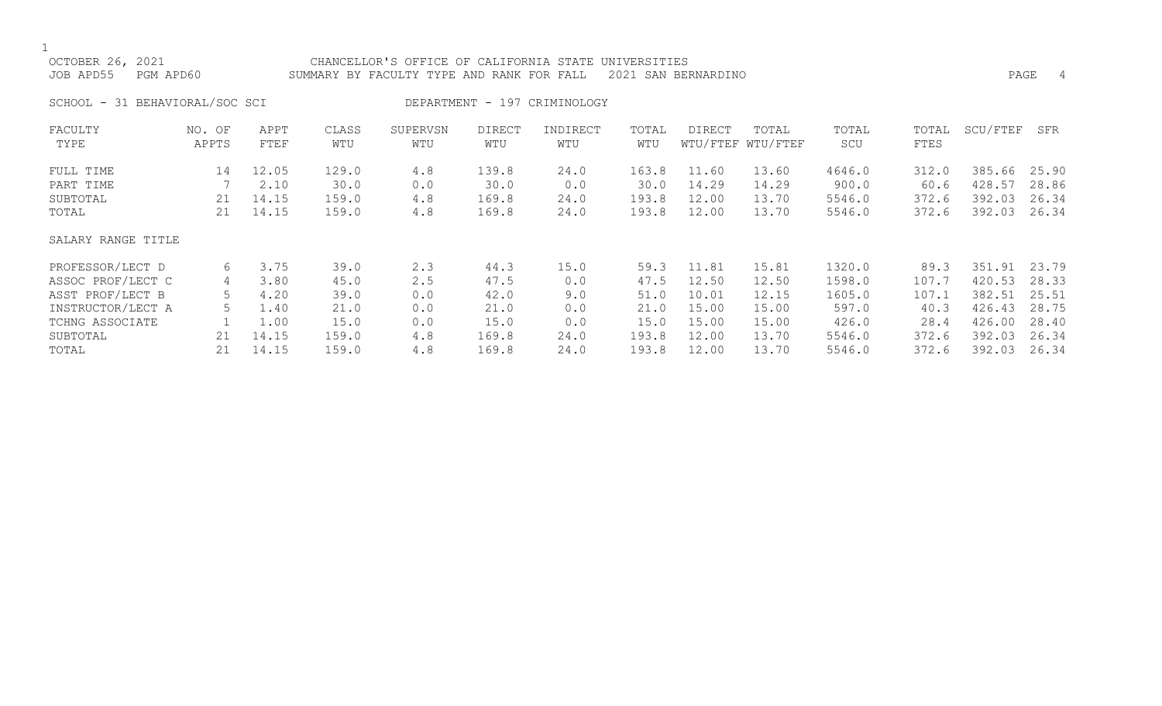| OCTOBER 26, 2021<br>JOB APD55<br>PGM APD60  |                 |                                 |                                 | CHANCELLOR'S OFFICE OF CALIFORNIA STATE UNIVERSITIES<br>SUMMARY BY FACULTY TYPE AND RANK FOR FALL |                                 |                              |                                 | 2021 SAN BERNARDINO                          |                                                                                                                                                                                                                                                                                                                                                                                                                                              |                                     |                                 |                                      | PAGE<br>4                        |
|---------------------------------------------|-----------------|---------------------------------|---------------------------------|---------------------------------------------------------------------------------------------------|---------------------------------|------------------------------|---------------------------------|----------------------------------------------|----------------------------------------------------------------------------------------------------------------------------------------------------------------------------------------------------------------------------------------------------------------------------------------------------------------------------------------------------------------------------------------------------------------------------------------------|-------------------------------------|---------------------------------|--------------------------------------|----------------------------------|
| SCHOOL - 31 BEHAVIORAL/SOC SCI              |                 |                                 |                                 |                                                                                                   |                                 | DEPARTMENT - 197 CRIMINOLOGY |                                 |                                              |                                                                                                                                                                                                                                                                                                                                                                                                                                              |                                     |                                 |                                      |                                  |
| FACULTY<br>TYPE                             | NO. OF<br>APPTS | APPT<br>FTEF                    | CLASS<br>WTU                    | SUPERVSN<br>WTU                                                                                   | <b>DIRECT</b><br>WTU            | INDIRECT<br>WTU              | TOTAL<br>WTU                    | <b>DIRECT</b>                                | TOTAL<br>WTU/FTEF WTU/FTEF                                                                                                                                                                                                                                                                                                                                                                                                                   | TOTAL<br>SCU                        | TOTAL<br>FTES                   | SCU/FTEF                             | SFR                              |
| FULL TIME<br>PART TIME<br>SUBTOTAL<br>TOTAL | 14<br>21<br>21  | 12.05<br>2.10<br>14.15<br>14.15 | 129.0<br>30.0<br>159.0<br>159.0 | 4.8<br>0.0<br>4.8<br>4.8                                                                          | 139.8<br>30.0<br>169.8<br>169.8 | 24.0<br>0.0<br>24.0<br>24.0  | 163.8<br>30.0<br>193.8<br>193.8 | 11.60<br>14.29<br>12.00<br>12.00             | 13.60<br>14.29<br>13.70<br>13.70                                                                                                                                                                                                                                                                                                                                                                                                             | 4646.0<br>900.0<br>5546.0<br>5546.0 | 312.0<br>60.6<br>372.6<br>372.6 | 385.66<br>428.57<br>392.03<br>392.03 | 25.90<br>28.86<br>26.34<br>26.34 |
| SALARY RANGE TITLE                          |                 |                                 |                                 |                                                                                                   |                                 |                              |                                 |                                              |                                                                                                                                                                                                                                                                                                                                                                                                                                              |                                     |                                 |                                      |                                  |
| PROFESSOR/LECT D<br>$-2222$ $-222$ $-1222$  | 6               | 3.75<br>$\sim$ $\sim$ $\sim$    | 39.0<br>$\sim$ $\sim$           | 2.3<br>$\sim$ $-$                                                                                 | 44.3<br>$\sim$ $\sim$           | 15.0<br>$\sim$ $\sim$        | 59.3                            | 11.81<br>$\begin{array}{c} \n - \end{array}$ | 15.81<br>$\blacksquare$ $\blacksquare$ $\blacksquare$ $\blacksquare$ $\blacksquare$ $\blacksquare$ $\blacksquare$ $\blacksquare$ $\blacksquare$ $\blacksquare$ $\blacksquare$ $\blacksquare$ $\blacksquare$ $\blacksquare$ $\blacksquare$ $\blacksquare$ $\blacksquare$ $\blacksquare$ $\blacksquare$ $\blacksquare$ $\blacksquare$ $\blacksquare$ $\blacksquare$ $\blacksquare$ $\blacksquare$ $\blacksquare$ $\blacksquare$ $\blacksquare$ | 1320.0<br>$-0.00$                   | 89.3<br>- - - -                 | 351.91<br>$\cdots$                   | 23.79<br>$\sim$ $\sim$ $\sim$    |

| PROFESSOR/LECT D  | 3.75  | 39.0  | 2.3 | 44.3  | 15.0 | 59.3  |       | l5.81 | 1320.0 | 89.3  | 351.91 | 23.79 |
|-------------------|-------|-------|-----|-------|------|-------|-------|-------|--------|-------|--------|-------|
| ASSOC PROF/LECT C | 3.80  | 45.0  | 2.5 | 47.5  | 0.0  | 47.5  | 12.50 | 12.50 | 1598.0 | 107.  | 420.53 | 28.33 |
| ASST PROF/LECT B  | 4.20  | 39.0  | 0.0 | 42.0  | 9.0  | 51.0  | 10.01 |       | 1605.0 | 107.1 | 382.51 | 25.51 |
| INSTRUCTOR/LECT A | 1.40  | 21.0  | 0.0 | 21.0  | 0.0  |       | l5.00 | 15.00 | 597.0  | 40.3  | 426.43 | 28.75 |
| TCHNG ASSOCIATE   | 1.00  | 15.0  | 0.0 | 15.0  | 0.0  | 5 N   | l5.00 | 15.00 | 426.0  | 28.4  | 426.00 | 28.40 |
| SUBTOTAL          | 14.15 | .59.0 | 4.8 | 169.8 | 24.0 | 193.8 | L2.OO | 13.70 | 5546.0 | 372.6 | 392.03 | 26.34 |
| TOTAL             | 14.15 | 59.0  | 4.8 | 169.8 | 24.0 | 193 R | ⊥2.00 | 13.70 | 5546.0 | 372.6 | 392.03 | 26.34 |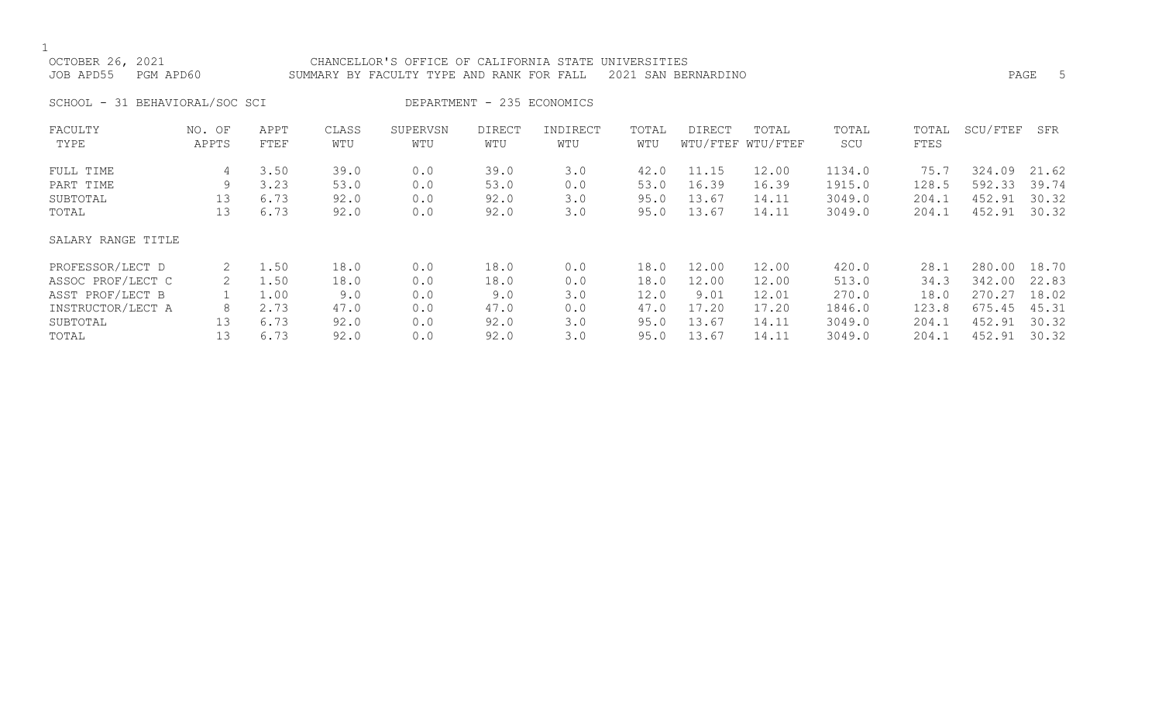| OCTOBER 26, 2021<br>JOB APD55  | PGM APD60       |              |              | CHANCELLOR'S OFFICE OF CALIFORNIA STATE<br>SUMMARY BY FACULTY TYPE AND RANK FOR FALL |                            |                 | UNIVERSITIES | 2021 SAN BERNARDINO |                            |              |               |          | 5<br>PAGE |
|--------------------------------|-----------------|--------------|--------------|--------------------------------------------------------------------------------------|----------------------------|-----------------|--------------|---------------------|----------------------------|--------------|---------------|----------|-----------|
| SCHOOL - 31 BEHAVIORAL/SOC SCI |                 |              |              |                                                                                      | DEPARTMENT - 235 ECONOMICS |                 |              |                     |                            |              |               |          |           |
| FACULTY<br>TYPE                | NO. OF<br>APPTS | APPT<br>FTEF | CLASS<br>WTU | SUPERVSN<br>WTU                                                                      | DIRECT<br>WTU              | INDIRECT<br>WTU | TOTAL<br>WTU | DIRECT              | TOTAL<br>WTU/FTEF WTU/FTEF | TOTAL<br>SCU | TOTAL<br>FTES | SCU/FTEF | SFR       |
| FULL TIME                      | 4               | 3.50         | 39.0         | 0.0                                                                                  | 39.0                       | 3.0             | 42.0         | 11.15               | 12.00                      | 1134.0       | 75.7          | 324.09   | 21.62     |
| PART TIME                      | 9               | 3.23         | 53.0         | 0.0                                                                                  | 53.0                       | 0.0             | 53.0         | 16.39               | 16.39                      | 1915.0       | 128.5         | 592.33   | 39.74     |
| SUBTOTAL                       | 13              | 6.73         | 92.0         | 0.0                                                                                  | 92.0                       | 3.0             | 95.0         | 13.67               | 14.11                      | 3049.0       | 204.1         | 452.91   | 30.32     |
| TOTAL                          | 13              | 6.73         | 92.0         | 0.0                                                                                  | 92.0                       | 3.0             | 95.0         | 13.67               | 14.11                      | 3049.0       | 204.1         | 452.91   | 30.32     |
| SALARY RANGE TITLE             |                 |              |              |                                                                                      |                            |                 |              |                     |                            |              |               |          |           |
| PROFESSOR/LECT D               | 2               | 1.50         | 18.0         | 0.0                                                                                  | 18.0                       | 0.0             | 18.0         | 12.00               | 12.00                      | 420.0        | 28.1          | 280.00   | 18.70     |
| ASSOC PROF/LECT C              | 2               | 1.50         | 18.0         | 0.0                                                                                  | 18.0                       | 0.0             | 18.0         | 12.00               | 12.00                      | 513.0        | 34.3          | 342.00   | 22.83     |
| ASST PROF/LECT B               |                 | 1.00         | 9.0          | 0.0                                                                                  | 9.0                        | 3.0             | 12.0         | 9.01                | 12.01                      | 270.0        | 18.0          | 270.27   | 18.02     |
| INSTRUCTOR/LECT A              | 8               | 2.73         | 47.0         | 0.0                                                                                  | 47.0                       | 0.0             | 47.0         | 17.20               | 17.20                      | 1846.0       | 123.8         | 675.45   | 45.31     |

SUBTOTAL 13 6.73 92.0 92.0 3.0 95.0 13.67 14.11 3049.0 204.1 452.91 30.32<br>13 6.73 0.0 92.0 3.0 TOTAL 13 6.73 92.0 0.0 92.0 3.0 95.0 13.67 14.11 3049.0 204.1 452.91 30.32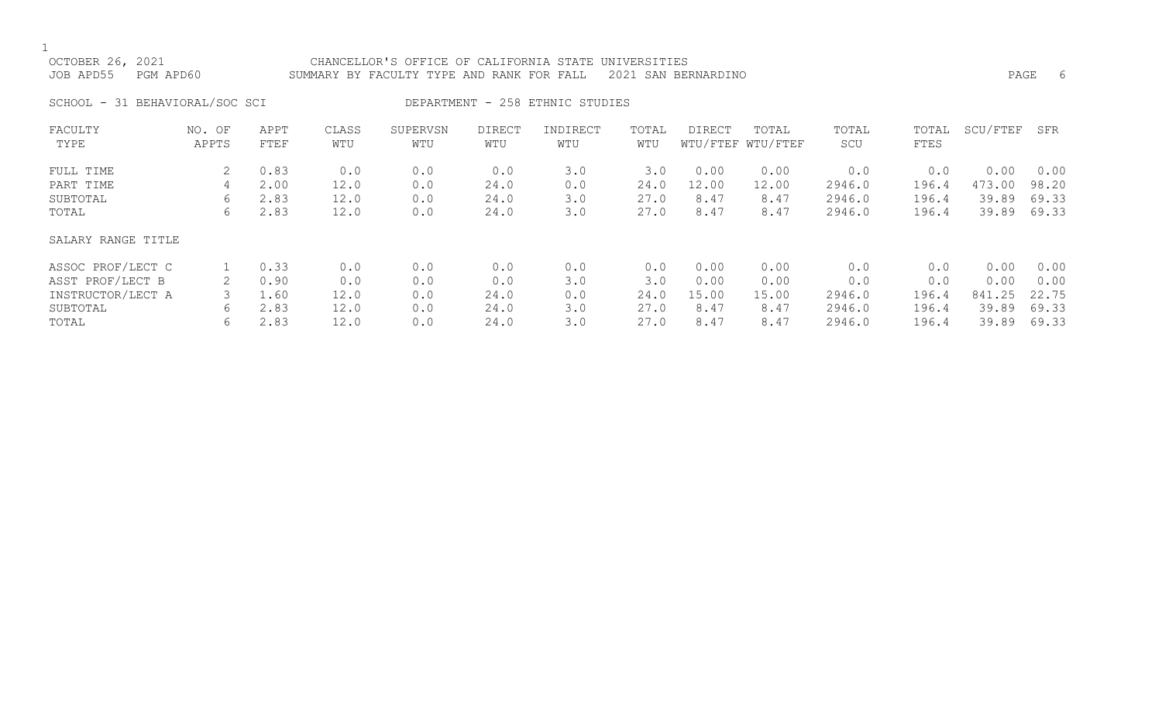$\frac{1}{\text{OCT}}$ 

| OCTOBER 26, 2021    | CHANCELLOR'S OFFICE OF CALIFORNIA STATE UNIVERSITIES          |      |  |
|---------------------|---------------------------------------------------------------|------|--|
| JOB APD55 PGM APD60 | SUMMARY BY FACULTY TYPE AND RANK FOR FALL 2021 SAN BERNARDINO | PAGE |  |

SCHOOL - 31 BEHAVIORAL/SOC SCI DEPARTMENT - 258 ETHNIC STUDIES

| FACULTY<br>TYPE    | NO. OF<br>APPTS | APPT<br>FTEF | CLASS<br>WTU | SUPERVSN<br>WTU | <b>DIRECT</b><br>WTU | INDIRECT<br>WTU | TOTAL<br>WTU | DIRECT | TOTAL<br>WTU/FTEF WTU/FTEF | TOTAL<br>SCU | TOTAL<br>FTES | SCU/FTEF | SFR   |
|--------------------|-----------------|--------------|--------------|-----------------|----------------------|-----------------|--------------|--------|----------------------------|--------------|---------------|----------|-------|
| FULL TIME          | 2               | 0.83         | 0.0          | 0.0             | 0.0                  | 3.0             | 3.0          | 0.00   | 0.00                       | 0.0          | 0.0           | 0.00     | 0.00  |
| PART TIME          | 4               | 2.00         | 12.0         | 0.0             | 24.0                 | 0.0             | 24.0         | 12.00  | 12.00                      | 2946.0       | 196.4         | 473.00   | 98.20 |
| SUBTOTAL           | 6               | 2.83         | 12.0         | 0.0             | 24.0                 | 3.0             | 27.0         | 8.47   | 8.47                       | 2946.0       | 196.4         | 39.89    | 69.33 |
| TOTAL              | 6               | 2.83         | 12.0         | 0.0             | 24.0                 | 3.0             | 27.0         | 8.47   | 8.47                       | 2946.0       | 196.4         | 39.89    | 69.33 |
| SALARY RANGE TITLE |                 |              |              |                 |                      |                 |              |        |                            |              |               |          |       |
| ASSOC PROF/LECT C  |                 | 0.33         | 0.0          | 0.0             | 0.0                  | 0.0             | 0.0          | 0.00   | 0.00                       | 0.0          | 0.0           | 0.00     | 0.00  |
| ASST PROF/LECT B   |                 | 0.90         | 0.0          | 0.0             | 0.0                  | 3.0             | 3.0          | 0.00   | 0.00                       | 0.0          | 0.0           | 0.00     | 0.00  |
| INSTRUCTOR/LECT A  |                 | 1.60         | 12.0         | 0.0             | 24.0                 | 0.0             | 24.0         | 15.00  | 15.00                      | 2946.0       | 196.4         | 841.25   | 22.75 |
| SUBTOTAL           | 6               | 2.83         | 12.0         | 0.0             | 24.0                 | 3.0             | 27.0         | 8.47   | 8.47                       | 2946.0       | 196.4         | 39.89    | 69.33 |
| TOTAL              | 6               | 2.83         | 12.0         | 0.0             | 24.0                 | 3.0             | 27.0         | 8.47   | 8.47                       | 2946.0       | 196.4         | 39.89    | 69.33 |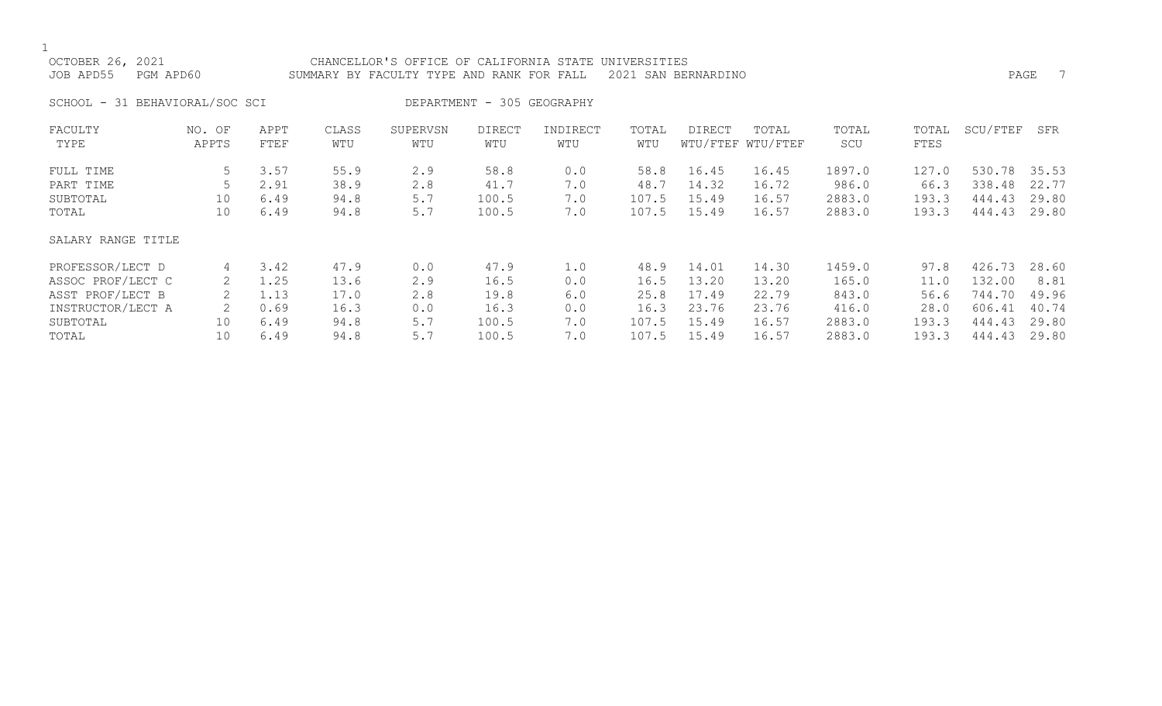| OCTOBER 26, 2021<br>JOB APD55  | PGM APD60       |              |              | CHANCELLOR'S OFFICE OF CALIFORNIA STATE<br>SUMMARY BY FACULTY TYPE AND RANK FOR FALL |                            |                 | UNIVERSITIES | 2021 SAN BERNARDINO |                            |              |               |          | 7<br>PAGE |
|--------------------------------|-----------------|--------------|--------------|--------------------------------------------------------------------------------------|----------------------------|-----------------|--------------|---------------------|----------------------------|--------------|---------------|----------|-----------|
| SCHOOL - 31 BEHAVIORAL/SOC SCI |                 |              |              |                                                                                      | DEPARTMENT - 305 GEOGRAPHY |                 |              |                     |                            |              |               |          |           |
| FACULTY<br>TYPE                | NO. OF<br>APPTS | APPT<br>FTEF | CLASS<br>WTU | SUPERVSN<br>WTU                                                                      | DIRECT<br>WTU              | INDIRECT<br>WTU | TOTAL<br>WTU | DIRECT              | TOTAL<br>WTU/FTEF WTU/FTEF | TOTAL<br>SCU | TOTAL<br>FTES | SCU/FTEF | SFR       |
| FULL TIME                      | 5               | 3.57         | 55.9         | 2.9                                                                                  | 58.8                       | 0.0             | 58.8         | 16.45               | 16.45                      | 1897.0       | 127.0         | 530.78   | 35.53     |
| PART TIME                      |                 | 2.91         | 38.9         | 2.8                                                                                  | 41.7                       | 7.0             | 48.7         | 14.32               | 16.72                      | 986.0        | 66.3          | 338.48   | 22.77     |
| SUBTOTAL                       | 10              | 6.49         | 94.8         | 5.7                                                                                  | 100.5                      | 7.0             | 107.5        | 15.49               | 16.57                      | 2883.0       | 193.3         | 444.43   | 29.80     |
| TOTAL                          | 10              | 6.49         | 94.8         | 5.7                                                                                  | 100.5                      | 7.0             | 107.5        | 15.49               | 16.57                      | 2883.0       | 193.3         | 444.43   | 29.80     |
| SALARY RANGE TITLE             |                 |              |              |                                                                                      |                            |                 |              |                     |                            |              |               |          |           |
| PROFESSOR/LECT D               | 4               | 3.42         | 47.9         | 0.0                                                                                  | 47.9                       | 1.0             | 48.9         | 14.01               | 14.30                      | 1459.0       | 97.8          | 426.73   | 28.60     |
| ASSOC PROF/LECT C              |                 | 1.25         | 13.6         | 2.9                                                                                  | 16.5                       | 0.0             | 16.5         | 13.20               | 13.20                      | 165.0        | 11.0          | 132.00   | 8.81      |
| ASST PROF/LECT B               |                 | 1.13         | 17.0         | 2.8                                                                                  | 19.8                       | 6.0             | 25.8         | 17.49               | 22.79                      | 843.0        | 56.6          | 744.70   | 49.96     |
| INSTRUCTOR/LECT A              | 2               | 0.69         | 16.3         | 0.0                                                                                  | 16.3                       | 0.0             | 16.3         | 23.76               | 23.76                      | 416.0        | 28.0          | 606.41   | 40.74     |

SUBTOTAL 10 6.49 94.8 5.7 100.5 7.0 107.5 15.49 16.57 2883.0 193.3 444.43 29.80 TOTAL 10 6.49 94.8 5.7 100.5 7.0 107.5 15.49 16.57 2883.0 193.3 444.43 29.80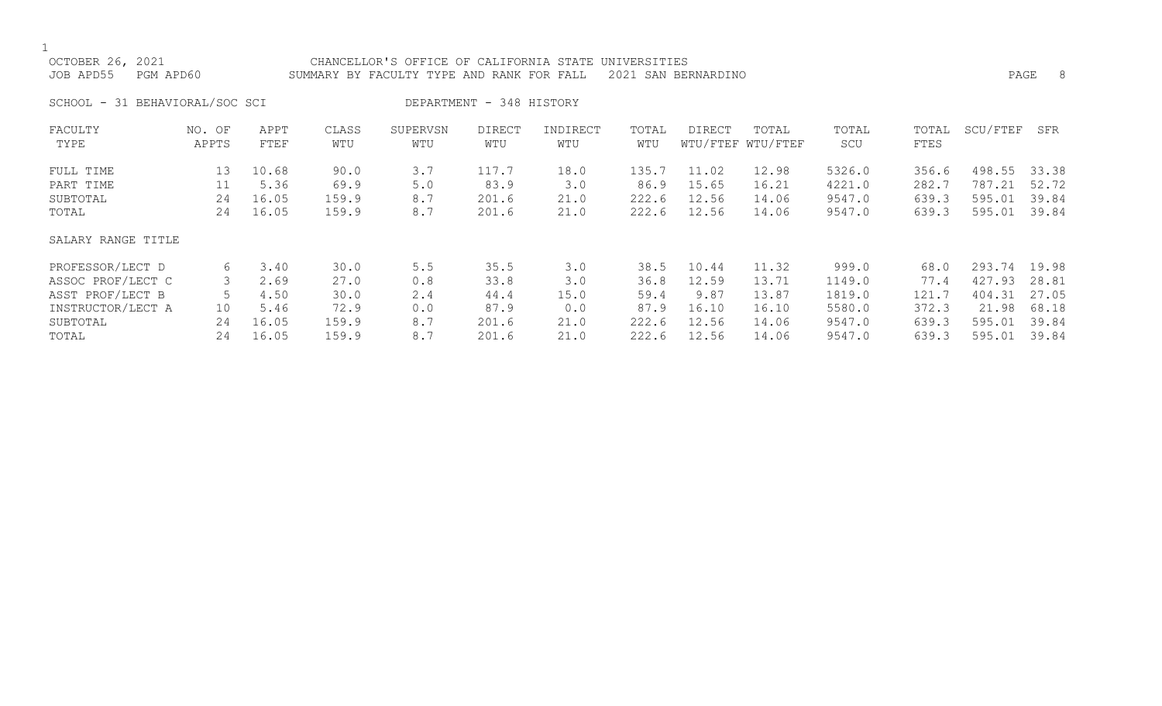| OCTOBER 26, 2021<br>JOB APD55<br>PGM APD60                                                 |                         |                                       |                                       | CHANCELLOR'S OFFICE OF CALIFORNIA STATE UNIVERSITIES<br>SUMMARY BY FACULTY TYPE AND RANK FOR FALL |                                       |                                   |                                       | 2021 SAN BERNARDINO                      |                                           |                                               |                                         |                                               | PAGE 8                                    |
|--------------------------------------------------------------------------------------------|-------------------------|---------------------------------------|---------------------------------------|---------------------------------------------------------------------------------------------------|---------------------------------------|-----------------------------------|---------------------------------------|------------------------------------------|-------------------------------------------|-----------------------------------------------|-----------------------------------------|-----------------------------------------------|-------------------------------------------|
| SCHOOL - 31 BEHAVIORAL/SOC SCI                                                             |                         |                                       |                                       |                                                                                                   | DEPARTMENT - 348 HISTORY              |                                   |                                       |                                          |                                           |                                               |                                         |                                               |                                           |
| FACULTY<br>TYPE                                                                            | NO. OF<br>APPTS         | APPT<br>FTEF                          | CLASS<br>WTU                          | SUPERVSN<br>WTU                                                                                   | <b>DIRECT</b><br>WTU                  | INDIRECT<br>WTU                   | TOTAL<br>WTU                          | DIRECT                                   | TOTAL<br>WTU/FTEF WTU/FTEF                | TOTAL<br>SCU                                  | TOTAL<br>FTES                           | SCU/FTEF                                      | SFR                                       |
| FULL TIME<br>PART TIME<br>SUBTOTAL<br>TOTAL                                                | 13<br>11<br>24<br>24    | 10.68<br>5.36<br>16.05<br>16.05       | 90.0<br>69.9<br>159.9<br>159.9        | 3.7<br>5.0<br>8.7<br>8.7                                                                          | 117.7<br>83.9<br>201.6<br>201.6       | 18.0<br>3.0<br>21.0<br>21.0       | 135.7<br>86.9<br>222.6<br>222.6       | 11.02<br>15.65<br>12.56<br>12.56         | 12.98<br>16.21<br>14.06<br>14.06          | 5326.0<br>4221.0<br>9547.0<br>9547.0          | 356.6<br>282.7<br>639.3<br>639.3        | 498.55<br>787.21<br>595.01<br>595.01          | 33.38<br>52.72<br>39.84<br>39.84          |
| SALARY RANGE TITLE                                                                         |                         |                                       |                                       |                                                                                                   |                                       |                                   |                                       |                                          |                                           |                                               |                                         |                                               |                                           |
| PROFESSOR/LECT D<br>ASSOC PROF/LECT C<br>ASST PROF/LECT B<br>INSTRUCTOR/LECT A<br>SUBTOTAL | 6<br>3<br>5<br>10<br>24 | 3.40<br>2.69<br>4.50<br>5.46<br>16.05 | 30.0<br>27.0<br>30.0<br>72.9<br>159.9 | 5.5<br>0.8<br>2.4<br>0.0<br>8.7                                                                   | 35.5<br>33.8<br>44.4<br>87.9<br>201.6 | 3.0<br>3.0<br>15.0<br>0.0<br>21.0 | 38.5<br>36.8<br>59.4<br>87.9<br>222.6 | 10.44<br>12.59<br>9.87<br>16.10<br>12.56 | 11.32<br>13.71<br>13.87<br>16.10<br>14.06 | 999.0<br>1149.0<br>1819.0<br>5580.0<br>9547.0 | 68.0<br>77.4<br>121.7<br>372.3<br>639.3 | 293.74<br>427.93<br>404.31<br>21.98<br>595.01 | 19.98<br>28.81<br>27.05<br>68.18<br>39.84 |
| TOTAL                                                                                      | 24                      | 16.05                                 | 159.9                                 | 8.7                                                                                               | 201.6                                 | 21.0                              | 222.6                                 | 12.56                                    | 14.06                                     | 9547.0                                        | 639.3                                   | 595.01                                        | 39.84                                     |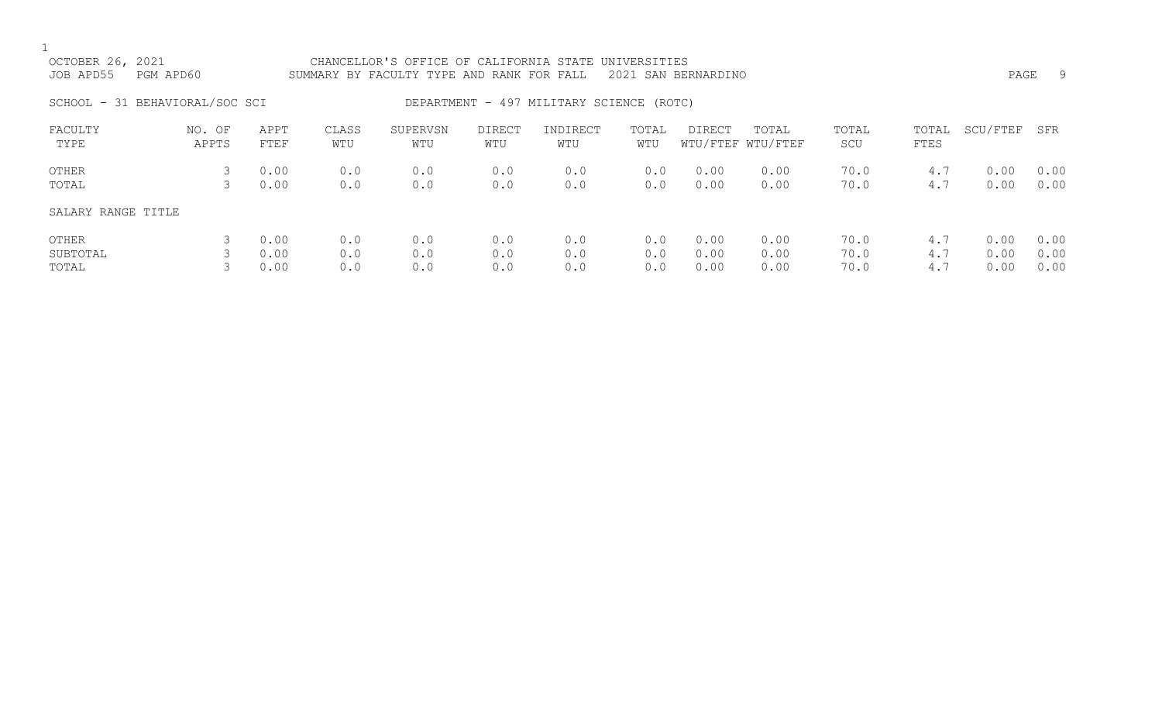| OCTOBER 26, 2021<br>JOB APD55  | CHANCELLOR'S OFFICE OF CALIFORNIA STATE UNIVERSITIES<br>PGM APD60<br>2021 SAN BERNARDINO<br>SUMMARY BY FACULTY TYPE AND RANK FOR FALL |                      |                   |                   |                      |                                          |                   |                      |                            |                      |                   | PAGE                 | -9                   |
|--------------------------------|---------------------------------------------------------------------------------------------------------------------------------------|----------------------|-------------------|-------------------|----------------------|------------------------------------------|-------------------|----------------------|----------------------------|----------------------|-------------------|----------------------|----------------------|
| SCHOOL - 31 BEHAVIORAL/SOC SCI |                                                                                                                                       |                      |                   |                   |                      | DEPARTMENT - 497 MILITARY SCIENCE (ROTC) |                   |                      |                            |                      |                   |                      |                      |
| FACULTY<br>TYPE                | NO. OF<br>APPTS                                                                                                                       | APPT<br>FTEF         | CLASS<br>WTU      | SUPERVSN<br>WTU   | <b>DIRECT</b><br>WTU | INDIRECT<br>WTU                          | TOTAL<br>WTU      | DIRECT               | TOTAL<br>WTU/FTEF WTU/FTEF | TOTAL<br>SCU         | TOTAL<br>FTES     | SCU/FTEF             | SFR                  |
| OTHER<br>TOTAL                 | 3<br>3                                                                                                                                | 0.00<br>0.00         | 0.0<br>0.0        | 0.0<br>0.0        | 0.0<br>0.0           | 0.0<br>0.0                               | 0.0<br>0.0        | 0.00<br>0.00         | 0.00<br>0.00               | 70.0<br>70.0         | 4.7<br>4.7        | 0.00<br>0.00         | 0.00<br>0.00         |
| SALARY RANGE TITLE             |                                                                                                                                       |                      |                   |                   |                      |                                          |                   |                      |                            |                      |                   |                      |                      |
| OTHER<br>SUBTOTAL<br>TOTAL     |                                                                                                                                       | 0.00<br>0.00<br>0.00 | 0.0<br>0.0<br>0.0 | 0.0<br>0.0<br>0.0 | 0.0<br>0.0<br>0.0    | 0.0<br>0.0<br>0.0                        | 0.0<br>0.0<br>0.0 | 0.00<br>0.00<br>0.00 | 0.00<br>0.00<br>0.00       | 70.0<br>70.0<br>70.0 | 4.7<br>4.7<br>4.7 | 0.00<br>0.00<br>0.00 | 0.00<br>0.00<br>0.00 |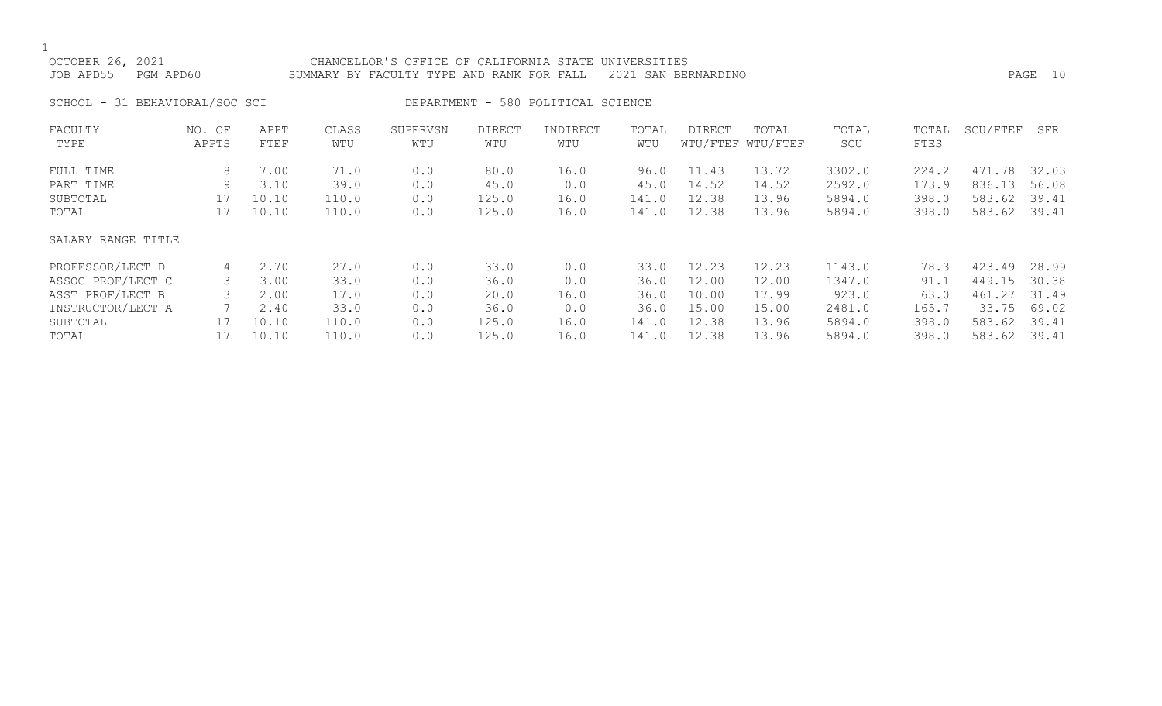| OCTOBER 26, 2021<br>JOB APD55  | PGM APD60       |              |              | CHANCELLOR'S OFFICE OF CALIFORNIA STATE UNIVERSITIES<br>SUMMARY BY FACULTY TYPE AND RANK FOR FALL<br>2021 SAN BERNARDINO |                      |                                    |              |               |                            |              |               |          | PAGE 10 |
|--------------------------------|-----------------|--------------|--------------|--------------------------------------------------------------------------------------------------------------------------|----------------------|------------------------------------|--------------|---------------|----------------------------|--------------|---------------|----------|---------|
| SCHOOL - 31 BEHAVIORAL/SOC SCI |                 |              |              |                                                                                                                          |                      | DEPARTMENT - 580 POLITICAL SCIENCE |              |               |                            |              |               |          |         |
| FACULTY<br>TYPE                | NO. OF<br>APPTS | APPT<br>FTEF | CLASS<br>WTU | SUPERVSN<br>WTU                                                                                                          | <b>DIRECT</b><br>WTU | INDIRECT<br>WTU                    | TOTAL<br>WTU | <b>DIRECT</b> | TOTAL<br>WTU/FTEF WTU/FTEF | TOTAL<br>SCU | TOTAL<br>FTES | SCU/FTEF | SFR     |
| FULL TIME                      | 8               | 7.00         | 71.0         | 0.0                                                                                                                      | 80.0                 | 16.0                               | 96.0         | 11.43         | 13.72                      | 3302.0       | 224.2         | 471.78   | 32.03   |
| PART TIME                      | 9               | 3.10         | 39.0         | 0.0                                                                                                                      | 45.0                 | 0.0                                | 45.0         | 14.52         | 14.52                      | 2592.0       | 173.9         | 836.13   | 56.08   |
| SUBTOTAL                       | 17              | 10.10        | 110.0        | 0.0                                                                                                                      | 125.0                | 16.0                               | 141.0        | 12.38         | 13.96                      | 5894.0       | 398.0         | 583.62   | 39.41   |
| TOTAL                          | 17              | 10.10        | 110.0        | 0.0                                                                                                                      | 125.0                | 16.0                               | 141.0        | 12.38         | 13.96                      | 5894.0       | 398.0         | 583.62   | 39.41   |
| SALARY RANGE TITLE             |                 |              |              |                                                                                                                          |                      |                                    |              |               |                            |              |               |          |         |
| PROFESSOR/LECT D               | 4               | 2.70         | 27.0         | 0.0                                                                                                                      | 33.0                 | 0.0                                | 33.0         | 12.23         | 12.23                      | 1143.0       | 78.3          | 423.49   | 28.99   |
| ASSOC PROF/LECT C              |                 | 3.00         | 33.0         | 0.0                                                                                                                      | 36.0                 | 0.0                                | 36.0         | 12.00         | 12.00                      | 1347.0       | 91.1          | 449.15   | 30.38   |
| ASST PROF/LECT B               |                 | 2.00         | 17.0         | 0.0                                                                                                                      | 20.0                 | 16.0                               | 36.0         | 10.00         | 17.99                      | 923.0        | 63.0          | 461.27   | 31.49   |
| INSTRUCTOR/LECT A              |                 | 2.40         | 33.0         | 0.0                                                                                                                      | 36.0                 | 0.0                                | 36.0         | 15.00         | 15.00                      | 2481.0       | 165.7         | 33.75    | 69.02   |

SUBTOTAL 17 10.10 110.0 0.0 125.0 16.0 141.0 12.38 13.96 5894.0 398.0 583.62 39.41 TOTAL 17 10.10 110.0 0.0 125.0 16.0 141.0 12.38 13.96 5894.0 398.0 583.62 39.41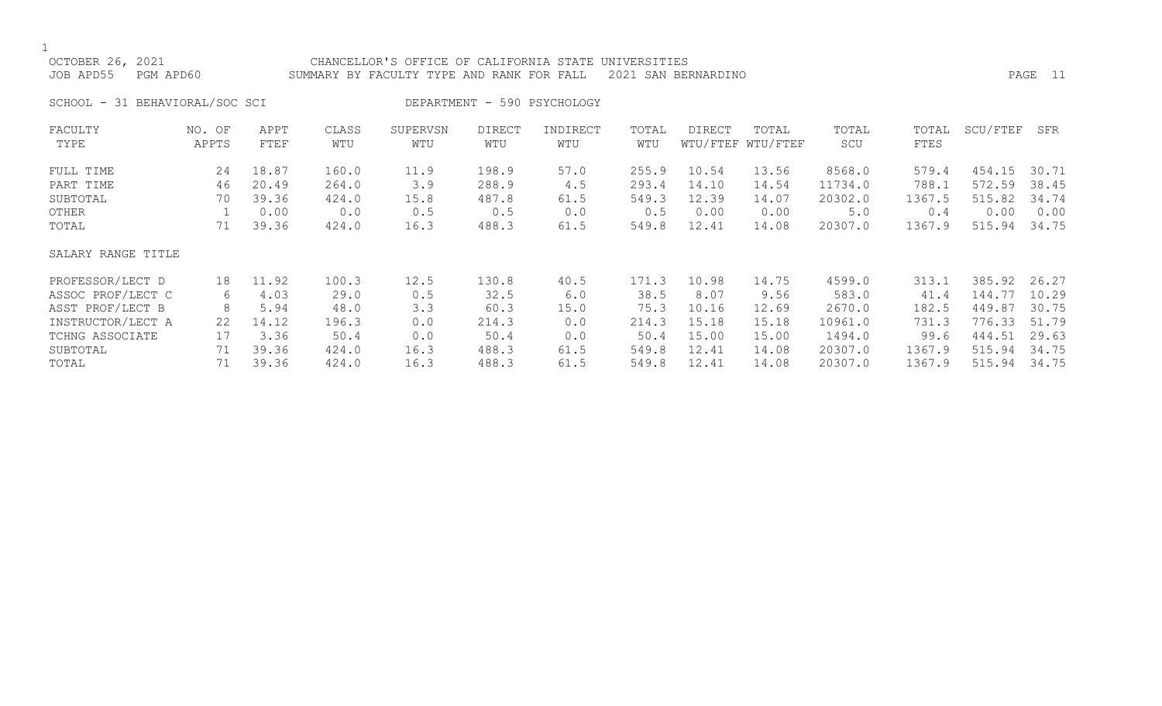$\frac{1}{\text{OCI}}$ 

| OCTOBER 26, 2021               | CHANCELLOR'S OFFICE OF CALIFORNIA STATE UNIVERSITIES          |         |
|--------------------------------|---------------------------------------------------------------|---------|
| JOB APD55    PGM APD60         | SUMMARY BY FACULTY TYPE AND RANK FOR FALL 2021 SAN BERNARDINO | PAGE 11 |
| SCHOOL - 31 BEHAVIORAL/SOC SCI | DEPARTMENT - 590 PSYCHOLOGY                                   |         |

| FACULTY<br>TYPE    | NO. OF<br>APPTS | APPT<br>FTEF | CLASS<br>WTU | SUPERVSN<br>WTU | <b>DIRECT</b><br>WTU | INDIRECT<br>WTU | TOTAL<br>WTU | <b>DIRECT</b> | TOTAL<br>WTU/FTEF WTU/FTEF | TOTAL<br>SCU | TOTAL<br>FTES | SCU/FTEF | SFR   |
|--------------------|-----------------|--------------|--------------|-----------------|----------------------|-----------------|--------------|---------------|----------------------------|--------------|---------------|----------|-------|
| FULL TIME          | 24              | 18.87        | 160.0        | 11.9            | 198.9                | 57.0            | 255.9        | 10.54         | 13.56                      | 8568.0       | 579.4         | 454.15   | 30.71 |
| PART TIME          | 46              | 20.49        | 264.0        | 3.9             | 288.9                | 4.5             | 293.4        | 14.10         | 14.54                      | 11734.0      | 788.1         | 572.59   | 38.45 |
| SUBTOTAL           | 70              | 39.36        | 424.0        | 15.8            | 487.8                | 61.5            | 549.3        | 12.39         | 14.07                      | 20302.0      | 1367.5        | 515.82   | 34.74 |
| OTHER              |                 | 0.00         | 0.0          | 0.5             | 0.5                  | 0.0             | 0.5          | 0.00          | 0.00                       | 5.0          | 0.4           | 0.00     | 0.00  |
| TOTAL              | 71              | 39.36        | 424.0        | 16.3            | 488.3                | 61.5            | 549.8        | 12.41         | 14.08                      | 20307.0      | 1367.9        | 515.94   | 34.75 |
| SALARY RANGE TITLE |                 |              |              |                 |                      |                 |              |               |                            |              |               |          |       |
| PROFESSOR/LECT D   | 18              | 11.92        | 100.3        | 12.5            | 130.8                | 40.5            | 171.3        | 10.98         | 14.75                      | 4599.0       | 313.1         | 385.92   | 26.27 |
| ASSOC PROF/LECT C  | 6               | 4.03         | 29.0         | 0.5             | 32.5                 | 6.0             | 38.5         | 8.07          | 9.56                       | 583.0        | 41.4          | 144.77   | 10.29 |
| ASST PROF/LECT B   | 8               | 5.94         | 48.0         | 3.3             | 60.3                 | 15.0            | 75.3         | 10.16         | 12.69                      | 2670.0       | 182.5         | 449.87   | 30.75 |
| INSTRUCTOR/LECT A  | 22              | 14.12        | 196.3        | 0.0             | 214.3                | 0.0             | 214.3        | 15.18         | 15.18                      | 10961.0      | 731.3         | 776.33   | 51.79 |
| TCHNG ASSOCIATE    | 17              | 3.36         | 50.4         | 0.0             | 50.4                 | 0.0             | 50.4         | 15.00         | 15.00                      | 1494.0       | 99.6          | 444.51   | 29.63 |
| SUBTOTAL           | 71              | 39.36        | 424.0        | 16.3            | 488.3                | 61.5            | 549.8        | 12.41         | 14.08                      | 20307.0      | 1367.9        | 515.94   | 34.75 |
| TOTAL              | 71              | 39.36        | 424.0        | 16.3            | 488.3                | 61.5            | 549.8        | 12.41         | 14.08                      | 20307.0      | 1367.9        | 515.94   | 34.75 |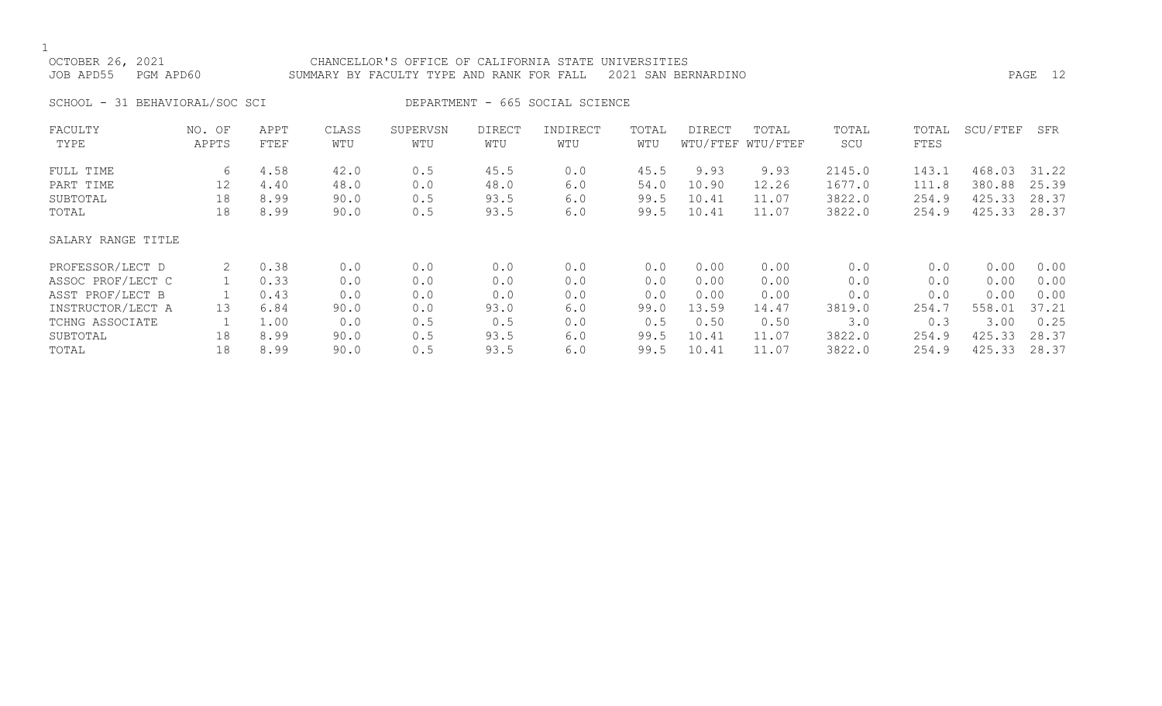1<br>OCTC

| OCTOBER 26, 2021       | CHANCELLOR'S OFFICE OF CALIFORNIA STATE UNIVERSITIES          |         |  |
|------------------------|---------------------------------------------------------------|---------|--|
| JOB APD55    PGM APD60 | SUMMARY BY FACULTY TYPE AND RANK FOR FALL 2021 SAN BERNARDINO | PAGE 12 |  |
|                        |                                                               |         |  |

SCHOOL - 31 BEHAVIORAL/SOC SCI DEPARTMENT - 665 SOCIAL SCIENCE

| FACULTY<br>TYPE    | NO. OF<br>APPTS | APPT<br>FTEF | CLASS<br>WTU | SUPERVSN<br>WTU | <b>DIRECT</b><br>WTU | INDIRECT<br>WTU | TOTAL<br>WTU | <b>DIRECT</b> | TOTAL<br>WTU/FTEF WTU/FTEF | TOTAL<br>SCU | TOTAL<br>FTES | SCU/FTEF | SFR   |
|--------------------|-----------------|--------------|--------------|-----------------|----------------------|-----------------|--------------|---------------|----------------------------|--------------|---------------|----------|-------|
|                    |                 |              |              |                 |                      |                 |              |               |                            |              |               |          |       |
| FULL TIME          | 6               | 4.58         | 42.0         | 0.5             | 45.5                 | 0.0             | 45.5         | 9.93          | 9.93                       | 2145.0       | 143.1         | 468.03   | 31.22 |
| PART TIME          | 12              | 4.40         | 48.0         | 0.0             | 48.0                 | 6.0             | 54.0         | 10.90         | 12.26                      | 1677.0       | 111.8         | 380.88   | 25.39 |
| SUBTOTAL           | 18              | 8.99         | 90.0         | 0.5             | 93.5                 | 6.0             | 99.5         | 10.41         | 11.07                      | 3822.0       | 254.9         | 425.33   | 28.37 |
| TOTAL              | 18              | 8.99         | 90.0         | 0.5             | 93.5                 | 6.0             | 99.5         | 10.41         | 11.07                      | 3822.0       | 254.9         | 425.33   | 28.37 |
| SALARY RANGE TITLE |                 |              |              |                 |                      |                 |              |               |                            |              |               |          |       |
| PROFESSOR/LECT D   | 2               | 0.38         | 0.0          | 0.0             | 0.0                  | 0.0             | 0.0          | 0.00          | 0.00                       | 0.0          | 0.0           | 0.00     | 0.00  |
| ASSOC PROF/LECT C  |                 | 0.33         | 0.0          | 0.0             | 0.0                  | 0.0             | 0.0          | 0.00          | 0.00                       | 0.0          | 0.0           | 0.00     | 0.00  |
| ASST PROF/LECT B   |                 | 0.43         | 0.0          | 0.0             | 0.0                  | 0.0             | 0.0          | 0.00          | 0.00                       | 0.0          | 0.0           | 0.00     | 0.00  |
| INSTRUCTOR/LECT A  | 13              | 6.84         | 90.0         | 0.0             | 93.0                 | 6.0             | 99.0         | 13.59         | 14.47                      | 3819.0       | 254.7         | 558.01   | 37.21 |
| TCHNG ASSOCIATE    |                 | 1.00         | 0.0          | 0.5             | 0.5                  | 0.0             | 0.5          | 0.50          | 0.50                       | 3.0          | 0.3           | 3.00     | 0.25  |
| SUBTOTAL           | 18              | 8.99         | 90.0         | 0.5             | 93.5                 | 6.0             | 99.5         | 10.41         | 11.07                      | 3822.0       | 254.9         | 425.33   | 28.37 |
| TOTAL              | 18              | 8.99         | 90.0         | 0.5             | 93.5                 | 6.0             | 99.5         | 10.41         | 11.07                      | 3822.0       | 254.9         | 425.33   | 28.37 |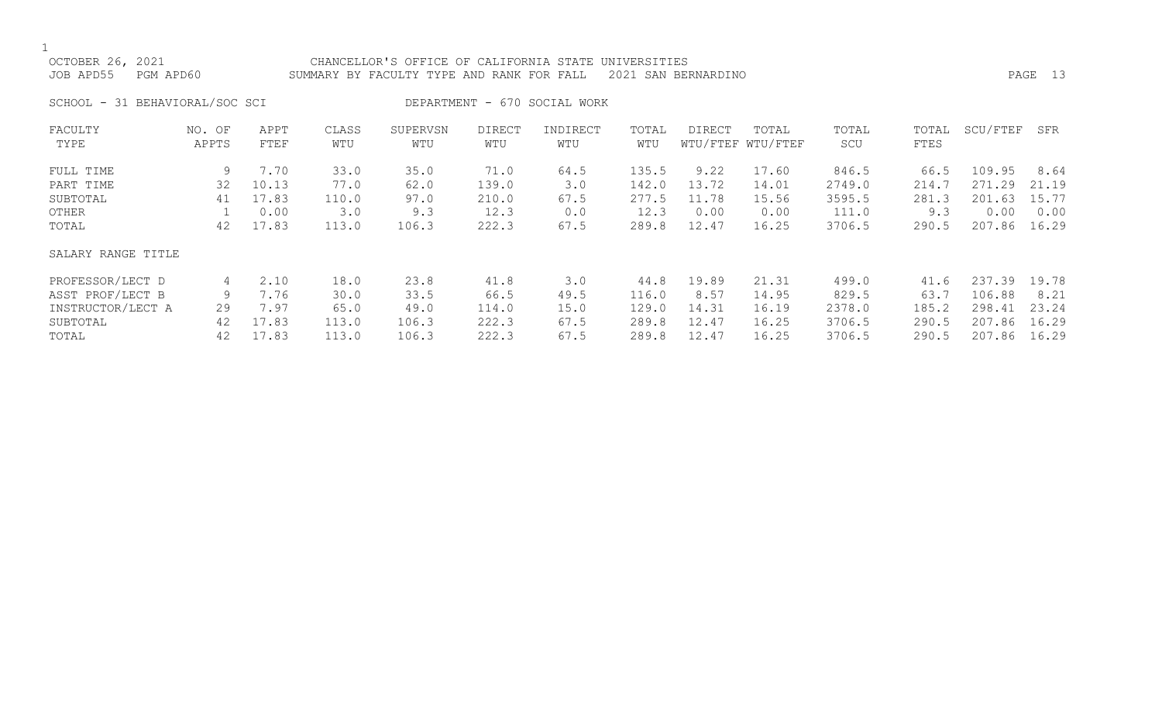# OCTOBER 26, 2021 CHANCELLOR'S OFFICE OF CALIFORNIA STATE UNIVERSITIES JOB APD55 PGM APD60 SUMMARY BY FACULTY TYPE AND RANK FOR FALL 2021 SAN BERNARDINO PAGE 13

SCHOOL - 31 BEHAVIORAL/SOC SCI DEPARTMENT - 670 SOCIAL WORK

| FACULTY            | NO. OF | APPT  | CLASS | SUPERVSN | <b>DIRECT</b> | INDIRECT | TOTAL | DIRECT | TOTAL             | TOTAL  | TOTAL | SCU/FTEF   | SFR   |
|--------------------|--------|-------|-------|----------|---------------|----------|-------|--------|-------------------|--------|-------|------------|-------|
| TYPE               | APPTS  | FTEF  | WTU   | WTU      | WTU           | WTU      | WTU   |        | WTU/FTEF WTU/FTEF | SCU    | FTES  |            |       |
|                    |        |       |       |          |               |          |       |        |                   |        |       |            |       |
| FULL TIME          | 9      | 7.70  | 33.0  | 35.0     | 71.0          | 64.5     | 135.5 | 9.22   | 17.60             | 846.5  | 66.5  | 109.95     | 8.64  |
| PART TIME          | 32     | 10.13 | 77.0  | 62.0     | 139.0         | 3.0      | 142.0 | 13.72  | 14.01             | 2749.0 | 214.7 | 271<br>.29 | 21.19 |
| SUBTOTAL           | 41     | 17.83 | 110.0 | 97.0     | 210.0         | 67.5     | 277.5 | 11.78  | 15.56             | 3595.5 | 281.3 | 201.63     | 15.77 |
| OTHER              |        | 0.00  | 3.0   | 9.3      | 12.3          | 0.0      | 12.3  | 0.00   | 0.00              | 111.0  | 9.3   | 0.00       | 0.00  |
| TOTAL              | 42     | 17.83 | 113.0 | 106.3    | 222.3         | 67.5     | 289.8 | 12.47  | 16.25             | 3706.5 | 290.5 | 207.86     | 16.29 |
| SALARY RANGE TITLE |        |       |       |          |               |          |       |        |                   |        |       |            |       |
| PROFESSOR/LECT D   | 4      | 2.10  | 18.0  | 23.8     | 41.8          | 3.0      | 44.8  | 19.89  | 21.31             | 499.0  | 41.6  | 237.39     | 19.78 |
| ASST PROF/LECT B   | 9      | 7.76  | 30.0  | 33.5     | 66.5          | 49.5     | 116.0 | 8.57   | 14.95             | 829.5  | 63.7  | 106.88     | 8.21  |
| INSTRUCTOR/LECT A  | 29     | 7.97  | 65.0  | 49.0     | 114.0         | 15.0     | 129.0 | 14.31  | 16.19             | 2378.0 | 185.2 | 298.41     | 23.24 |
| SUBTOTAL           | 42     | 17.83 | 113.0 | 106.3    | 222.3         | 67.5     | 289.8 | 12.47  | 16.25             | 3706.5 | 290.5 | 207.86     | 16.29 |
| TOTAL              | 42     | 17.83 | 113.0 | 106.3    | 222.3         | 67.5     | 289.8 | 12.47  | 16.25             | 3706.5 | 290.5 | 207.86     | 16.29 |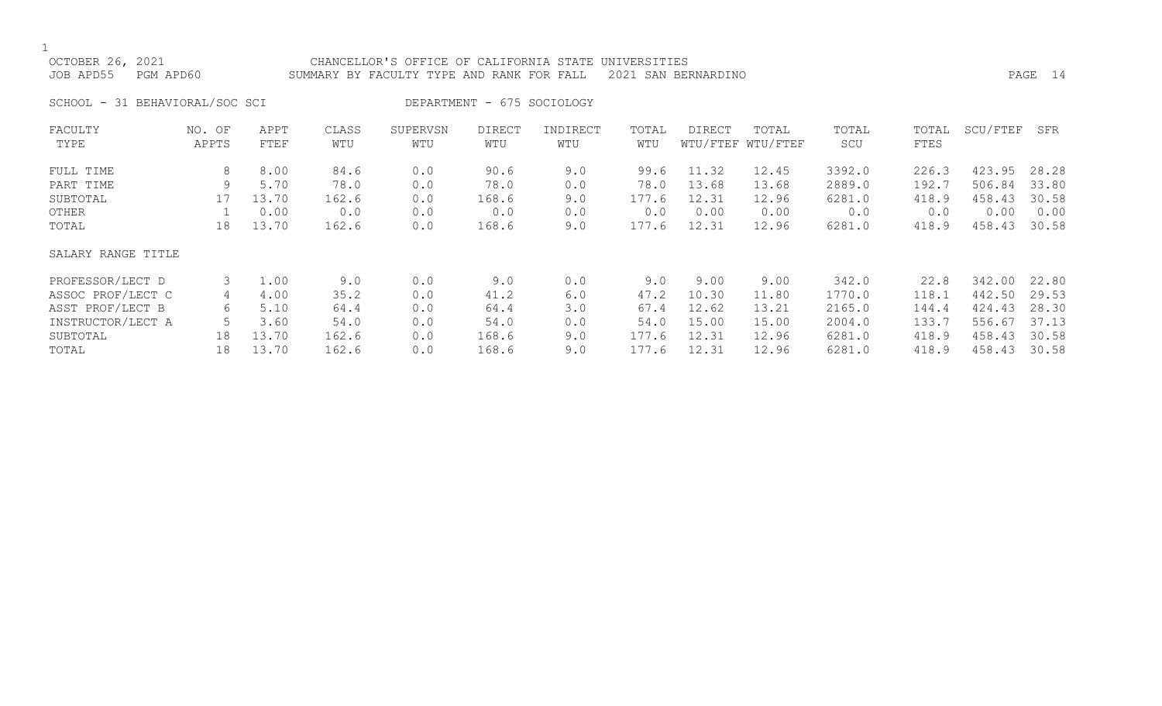$\frac{1}{\text{OCTO}}$ 

| OCTOBER 26, 2021 |           | CHANCELLOR'S OFFICE OF CALIFORNIA STATE UNIVERSITIES          |      |  |
|------------------|-----------|---------------------------------------------------------------|------|--|
| JOB APD55        | PGM APD60 | SUMMARY BY FACULTY TYPE AND RANK FOR FALL 2021 SAN BERNARDINO | PAGE |  |

SCHOOL - 31 BEHAVIORAL/SOC SCI DEPARTMENT - 675 SOCIOLOGY

| FACULTY            | NO. OF | APPT  | CLASS | SUPERVSN | <b>DIRECT</b> | INDIRECT | TOTAL | DIRECT | TOTAL             | TOTAL  | TOTAL | SCU/FTEF | SFR   |
|--------------------|--------|-------|-------|----------|---------------|----------|-------|--------|-------------------|--------|-------|----------|-------|
| TYPE               | APPTS  | FTEF  | WTU   | WTU      | WTU           | WTU      | WTU   |        | WTU/FTEF WTU/FTEF | SCU    | FTES  |          |       |
| FULL TIME          | 8      | 8.00  | 84.6  | 0.0      | 90.6          | 9.0      | 99.6  | 11.32  | 12.45             | 3392.0 | 226.3 | 423.95   | 28.28 |
| PART TIME          | 9      | 5.70  | 78.0  | 0.0      | 78.0          | 0.0      | 78.0  | 13.68  | 13.68             | 2889.0 | 192.7 | 506.84   | 33.80 |
| SUBTOTAL           | 17     | 13.70 | 162.6 | 0.0      | 168.6         | 9.0      | 177.6 | 12.31  | 12.96             | 6281.0 | 418.9 | 458.43   | 30.58 |
| OTHER              |        | 0.00  | 0.0   | 0.0      | 0.0           | 0.0      | 0.0   | 0.00   | 0.00              | 0.0    | 0.0   | 0.00     | 0.00  |
| TOTAL              | 18     | 13.70 | 162.6 | 0.0      | 168.6         | 9.0      | 177.6 | 12.31  | 12.96             | 6281.0 | 418.9 | 458.43   | 30.58 |
| SALARY RANGE TITLE |        |       |       |          |               |          |       |        |                   |        |       |          |       |
| PROFESSOR/LECT D   | 3      | 1.00  | 9.0   | 0.0      | 9.0           | 0.0      | 9.0   | 9.00   | 9.00              | 342.0  | 22.8  | 342.00   | 22.80 |
| ASSOC PROF/LECT C  | 4      | 4.00  | 35.2  | 0.0      | 41.2          | 6.0      | 47.2  | 10.30  | 11.80             | 1770.0 | 118.1 | 442.50   | 29.53 |
| ASST PROF/LECT B   | 6      | 5.10  | 64.4  | 0.0      | 64.4          | 3.0      | 67.4  | 12.62  | 13.21             | 2165.0 | 144.4 | 424.43   | 28.30 |
| INSTRUCTOR/LECT A  | 5      | 3.60  | 54.0  | 0.0      | 54.0          | 0.0      | 54.0  | 15.00  | 15.00             | 2004.0 | 133.7 | 556.67   | 37.13 |
| SUBTOTAL           | 18     | 13.70 | 162.6 | 0.0      | 168.6         | 9.0      | 177.6 | 12.31  | 12.96             | 6281.0 | 418.9 | 458.43   | 30.58 |
| TOTAL              | 18     | 13.70 | 162.6 | 0.0      | 168.6         | 9.0      | 177.6 | 12.31  | 12.96             | 6281.0 | 418.9 | 458.43   | 30.58 |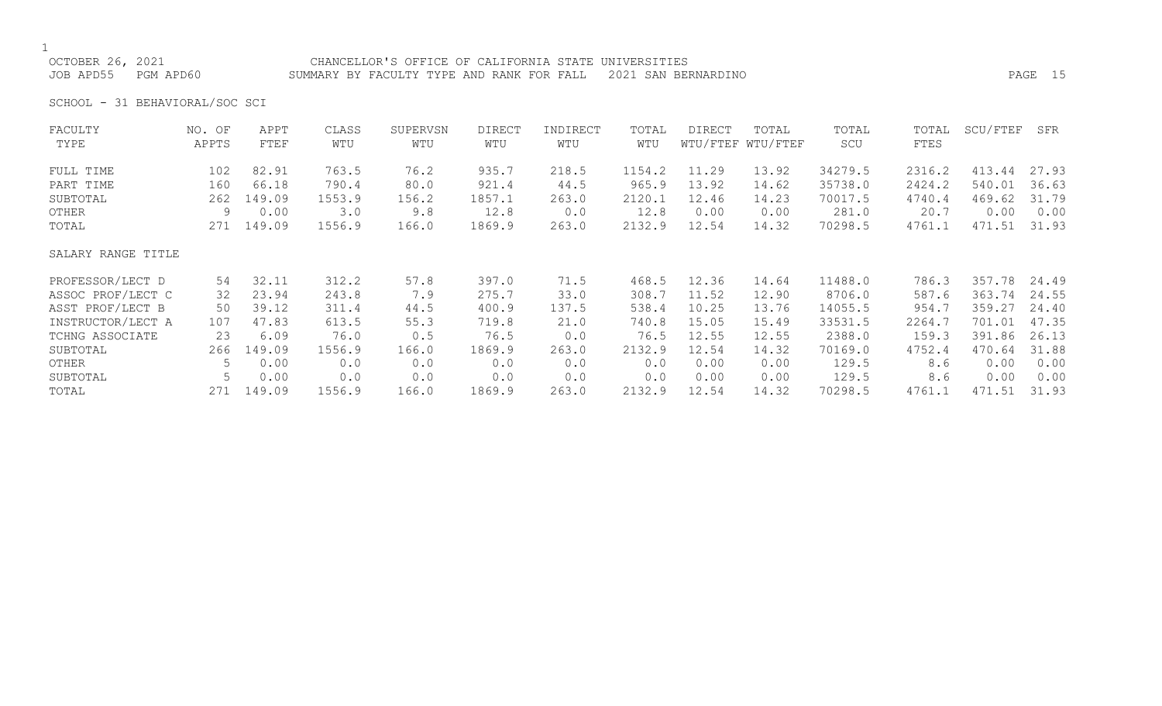OCTOBER 26, 2021 CHANCELLOR'S OFFICE OF CALIFORNIA STATE UNIVERSITIES JOB APD55 PGM APD60 SUMMARY BY FACULTY TYPE AND RANK FOR FALL 2021 SAN BERNARDINO PAGE 15

SCHOOL - 31 BEHAVIORAL/SOC SCI

| FACULTY            | NO. OF | APPT       | CLASS  | SUPERVSN | <b>DIRECT</b> | INDIRECT | TOTAL  | DIRECT | TOTAL             | TOTAL   | TOTAL  | SCU/FTEF | SFR   |
|--------------------|--------|------------|--------|----------|---------------|----------|--------|--------|-------------------|---------|--------|----------|-------|
| TYPE               | APPTS  | FTEF       | WTU    | WTU      | WTU           | WTU      | WTU    |        | WTU/FTEF WTU/FTEF | SCU     | FTES   |          |       |
| FULL TIME          | 102    | 82.91      | 763.5  | 76.2     | 935.7         | 218.5    | 1154.2 | 11.29  | 13.92             | 34279.5 | 2316.2 | 413.44   | 27.93 |
| PART TIME          | 160    | 66.18      | 790.4  | 80.0     | 921.4         | 44.5     | 965.9  | 13.92  | 14.62             | 35738.0 | 2424.2 | 540.01   | 36.63 |
| SUBTOTAL           | 262    | 149.09     | 1553.9 | 156.2    | 1857.1        | 263.0    | 2120.1 | 12.46  | 14.23             | 70017.5 | 4740.4 | 469.62   | 31.79 |
| OTHER              | 9      | 0.00       | 3.0    | 9.8      | 12.8          | 0.0      | 12.8   | 0.00   | 0.00              | 281.0   | 20.7   | 0.00     | 0.00  |
| TOTAL              |        | 271 149.09 | 1556.9 | 166.0    | 1869.9        | 263.0    | 2132.9 | 12.54  | 14.32             | 70298.5 | 4761.1 | 471.51   | 31.93 |
| SALARY RANGE TITLE |        |            |        |          |               |          |        |        |                   |         |        |          |       |
| PROFESSOR/LECT D   | 54     | 32.11      | 312.2  | 57.8     | 397.0         | 71.5     | 468.5  | 12.36  | 14.64             | 11488.0 | 786.3  | 357.78   | 24.49 |
| ASSOC PROF/LECT C  | 32     | 23.94      | 243.8  | 7.9      | 275.7         | 33.0     | 308.7  | 11.52  | 12.90             | 8706.0  | 587.6  | 363.74   | 24.55 |
| ASST PROF/LECT B   | 50     | 39.12      | 311.4  | 44.5     | 400.9         | 137.5    | 538.4  | 10.25  | 13.76             | 14055.5 | 954.7  | 359.27   | 24.40 |
| INSTRUCTOR/LECT A  | 107    | 47.83      | 613.5  | 55.3     | 719.8         | 21.0     | 740.8  | 15.05  | 15.49             | 33531.5 | 2264.7 | 701.01   | 47.35 |
| TCHNG ASSOCIATE    | 23     | 6.09       | 76.0   | 0.5      | 76.5          | 0.0      | 76.5   | 12.55  | 12.55             | 2388.0  | 159.3  | 391.86   | 26.13 |
| SUBTOTAL           | 266    | 149.09     | 1556.9 | 166.0    | 1869.9        | 263.0    | 2132.9 | 12.54  | 14.32             | 70169.0 | 4752.4 | 470.64   | 31.88 |
| OTHER              | 5.     | 0.00       | 0.0    | 0.0      | 0.0           | 0.0      | 0.0    | 0.00   | 0.00              | 129.5   | 8.6    | 0.00     | 0.00  |
| SUBTOTAL           | 5      | 0.00       | 0.0    | 0.0      | 0.0           | 0.0      | 0.0    | 0.00   | 0.00              | 129.5   | 8.6    | 0.00     | 0.00  |
| TOTAL              | 271    | 149.09     | 1556.9 | 166.0    | 1869.9        | 263.0    | 2132.9 | 12.54  | 14.32             | 70298.5 | 4761.1 | 471.51   | 31.93 |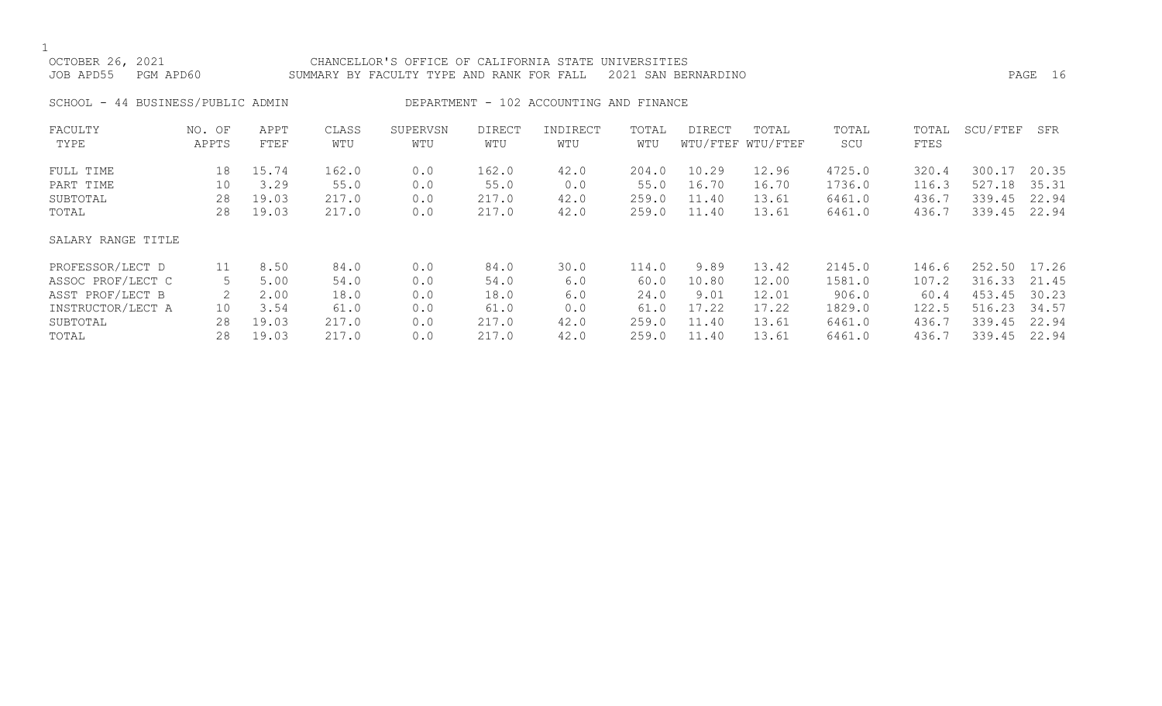| OCTOBER 26, 2021<br>PGM APD60<br>JOB APD55 |                 | CHANCELLOR'S OFFICE OF CALIFORNIA STATE UNIVERSITIES<br>2021 SAN BERNARDINO<br>SUMMARY BY FACULTY TYPE AND RANK FOR FALL |              |                 |                      |                                         |              |               |                            |              |               |          | PAGE 16 |
|--------------------------------------------|-----------------|--------------------------------------------------------------------------------------------------------------------------|--------------|-----------------|----------------------|-----------------------------------------|--------------|---------------|----------------------------|--------------|---------------|----------|---------|
| SCHOOL - 44 BUSINESS/PUBLIC ADMIN          |                 |                                                                                                                          |              |                 |                      | DEPARTMENT - 102 ACCOUNTING AND FINANCE |              |               |                            |              |               |          |         |
| FACULTY<br>TYPE                            | NO. OF<br>APPTS | APPT<br>FTEF                                                                                                             | CLASS<br>WTU | SUPERVSN<br>WTU | <b>DIRECT</b><br>WTU | INDIRECT<br>WTU                         | TOTAL<br>WTU | <b>DIRECT</b> | TOTAL<br>WTU/FTEF WTU/FTEF | TOTAL<br>SCU | TOTAL<br>FTES | SCU/FTEF | SFR     |
| FULL TIME                                  | 18              | 15.74                                                                                                                    | 162.0        | 0.0             | 162.0                | 42.0                                    | 204.0        | 10.29         | 12.96                      | 4725.0       | 320.4         | 300.17   | 20.35   |
| PART TIME                                  | 10              | 3.29                                                                                                                     | 55.0         | 0.0             | 55.0                 | 0.0                                     | 55.0         | 16.70         | 16.70                      | 1736.0       | 116.3         | 527.18   | 35.31   |
| SUBTOTAL                                   | 28              | 19.03                                                                                                                    | 217.0        | 0.0             | 217.0                | 42.0                                    | 259.0        | 11.40         | 13.61                      | 6461.0       | 436.7         | 339.45   | 22.94   |
| TOTAL                                      | 28              | 19.03                                                                                                                    | 217.0        | 0.0             | 217.0                | 42.0                                    | 259.0        | 11.40         | 13.61                      | 6461.0       | 436.7         | 339.45   | 22.94   |
| SALARY RANGE TITLE                         |                 |                                                                                                                          |              |                 |                      |                                         |              |               |                            |              |               |          |         |
| PROFESSOR/LECT D                           | 11              | 8.50                                                                                                                     | 84.0         | 0.0             | 84.0                 | 30.0                                    | 114.0        | 9.89          | 13.42                      | 2145.0       | 146.6         | 252.50   | 17.26   |
| ASSOC PROF/LECT C                          | 5               | 5.00                                                                                                                     | 54.0         | 0.0             | 54.0                 | 6.0                                     | 60.0         | 10.80         | 12.00                      | 1581.0       | 107.2         | 316.33   | 21.45   |
| ASST PROF/LECT B                           |                 | 2.00                                                                                                                     | 18.0         | 0.0             | 18.0                 | 6.0                                     | 24.0         | 9.01          | 12.01                      | 906.0        | 60.4          | 453.45   | 30.23   |
| INSTRUCTOR/LECT A                          | 10              | 3.54                                                                                                                     | 61.0         | 0.0             | 61.0                 | 0.0                                     | 61.0         | 17.22         | 17.22                      | 1829.0       | 122.5         | 516.23   | 34.57   |
| SUBTOTAL                                   | 28              | 19.03                                                                                                                    | 217.0        | 0.0             | 217.0                | 42.0                                    | 259.0        | 11.40         | 13.61                      | 6461.0       | 436.7         | 339.45   | 22.94   |

TOTAL 28 19.03 217.0 0.0 217.0 42.0 259.0 11.40 13.61 6461.0 436.7 339.45 22.94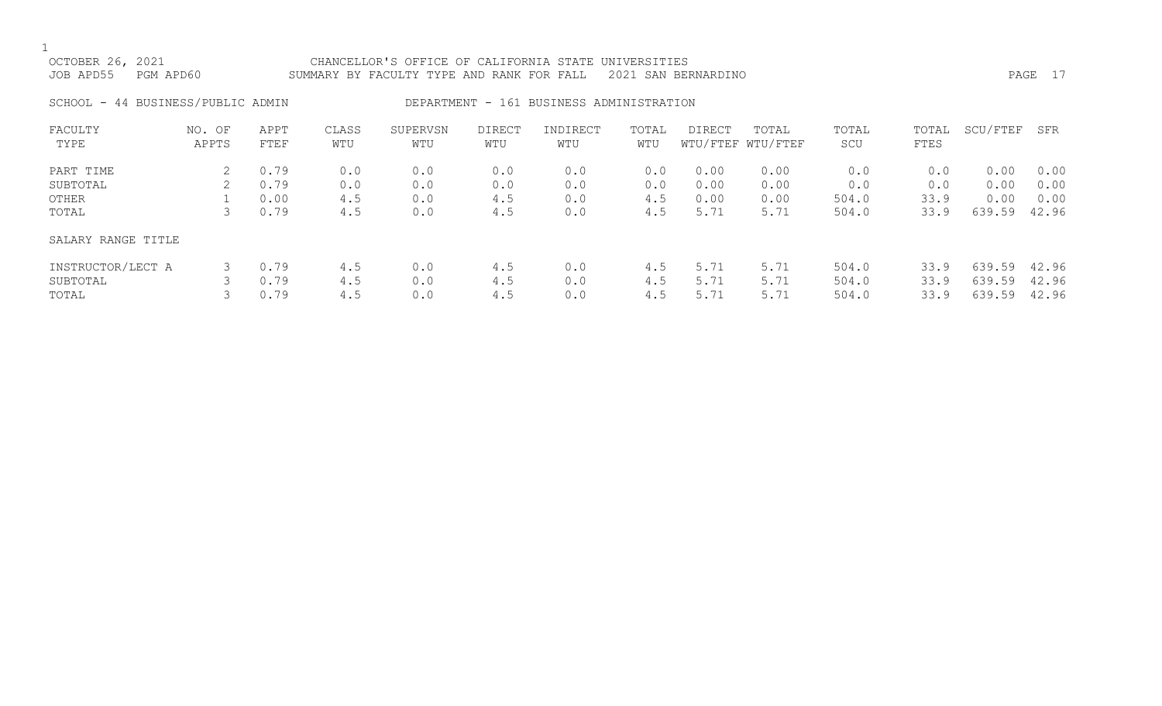| OCTOBER 26, 2021<br>JOB APD55 | PGM APD60                         |              |              | CHANCELLOR'S OFFICE OF CALIFORNIA STATE UNIVERSITIES<br>SUMMARY BY FACULTY TYPE AND RANK FOR FALL 2021 SAN BERNARDINO |               |                                          |              |        |                            |              |               |          | PAGE 17 |
|-------------------------------|-----------------------------------|--------------|--------------|-----------------------------------------------------------------------------------------------------------------------|---------------|------------------------------------------|--------------|--------|----------------------------|--------------|---------------|----------|---------|
|                               | SCHOOL - 44 BUSINESS/PUBLIC ADMIN |              |              |                                                                                                                       |               | DEPARTMENT - 161 BUSINESS ADMINISTRATION |              |        |                            |              |               |          |         |
| FACULTY<br>TYPE               | NO. OF<br>APPTS                   | APPT<br>FTEF | CLASS<br>WTU | SUPERVSN<br>WTU                                                                                                       | DIRECT<br>WTU | INDIRECT<br>WTU                          | TOTAL<br>WTU | DIRECT | TOTAL<br>WTU/FTEF WTU/FTEF | TOTAL<br>SCU | TOTAL<br>FTES | SCU/FTEF | SFR     |

| PART TIME          | 0.79 | 0.0 | 0.0 | 0.0 | 0.0 | 0.0 | 0.00 | 0.00 | 0.0   | 0.0  | 0.00   | 0.00  |
|--------------------|------|-----|-----|-----|-----|-----|------|------|-------|------|--------|-------|
| SUBTOTAL           | 0.79 | 0.0 | 0.0 | 0.0 | 0.0 | 0.0 | 0.00 | 0.00 | 0.0   | 0.0  | 0.00   | 0.00  |
| OTHER              | 0.00 | 4.5 | 0.0 | 4.5 | 0.0 | 4.5 | 0.00 | 0.00 | 504.0 | 33.9 | 0.00   | 0.00  |
| TOTAL              | 0.79 | 4.5 | 0.0 | 4.5 | 0.0 | 4.5 | 5.71 | 5.71 | 504.0 | 33.9 | 639.59 | 42.96 |
| SALARY RANGE TITLE |      |     |     |     |     |     |      |      |       |      |        |       |
| INSTRUCTOR/LECT A  | 0.79 | 4.5 | 0.0 | 4.5 | 0.0 | 4.5 | 5.71 | 5.71 | 504.0 | 33.9 | 639.59 | 42.96 |
| SUBTOTAL           | 0.79 | 4.5 | 0.0 | 4.5 | 0.0 | 4.5 | 5.71 | 5.71 | 504.0 | 33.9 | 639.59 | 42.96 |
| TOTAL              | 0.79 | 4.5 | 0.0 | 4.5 | 0.0 | 4.5 | 5.71 | 5.71 | 504.0 | 33.9 | 639.59 | 42.96 |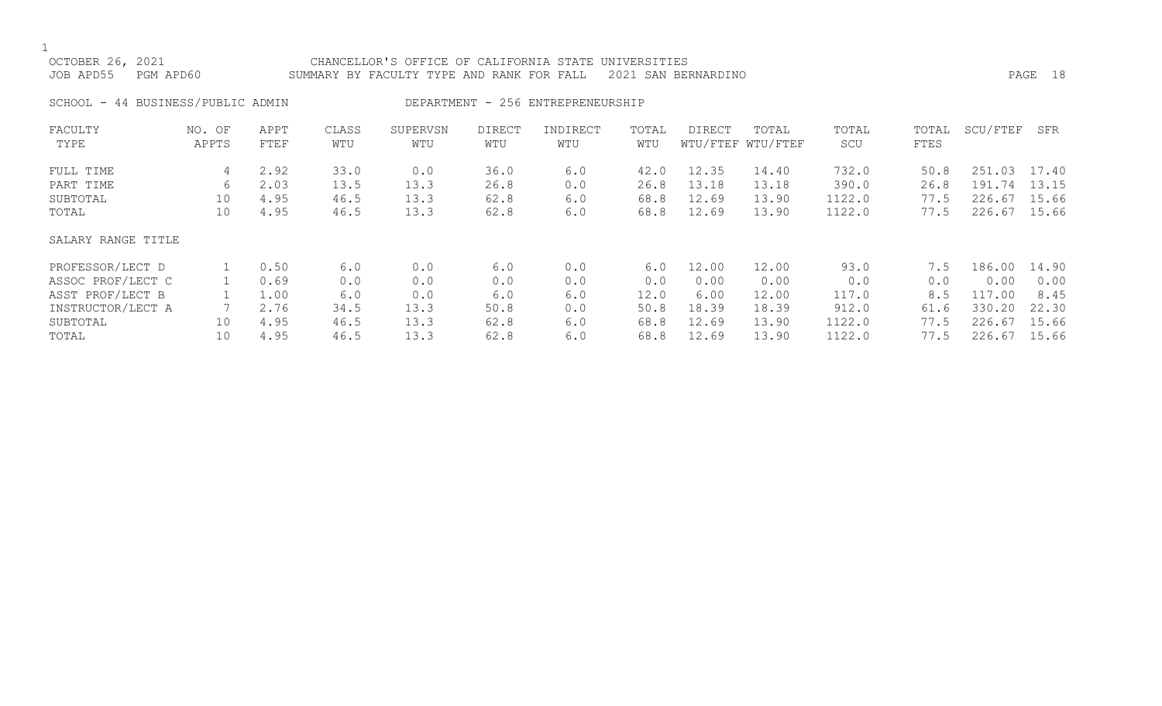| OCTOBER 26, 2021<br>JOB APD55               | PGM APD60          |                              |                              | CHANCELLOR'S OFFICE OF CALIFORNIA STATE UNIVERSITIES<br>SUMMARY BY FACULTY TYPE AND RANK FOR FALL |                              |                                   |                              | 2021 SAN BERNARDINO              |                                  |                                    |                              |                                            | PAGE 18                 |
|---------------------------------------------|--------------------|------------------------------|------------------------------|---------------------------------------------------------------------------------------------------|------------------------------|-----------------------------------|------------------------------|----------------------------------|----------------------------------|------------------------------------|------------------------------|--------------------------------------------|-------------------------|
| SCHOOL - 44 BUSINESS/PUBLIC ADMIN           |                    |                              |                              |                                                                                                   |                              | DEPARTMENT - 256 ENTREPRENEURSHIP |                              |                                  |                                  |                                    |                              |                                            |                         |
| FACULTY<br>TYPE                             | NO. OF<br>APPTS    | APPT<br>FTEF                 | CLASS<br>WTU                 | SUPERVSN<br>WTU                                                                                   | DIRECT<br>WTU                | INDIRECT<br>WTU                   | TOTAL<br>WTU                 | DIRECT                           | TOTAL<br>WTU/FTEF WTU/FTEF       | TOTAL<br>SCU                       | TOTAL<br>FTES                | SCU/FTEF                                   | SFR                     |
| FULL TIME<br>PART TIME<br>SUBTOTAL<br>TOTAL | 4<br>6<br>10<br>10 | 2.92<br>2.03<br>4.95<br>4.95 | 33.0<br>13.5<br>46.5<br>46.5 | 0.0<br>13.3<br>13.3<br>13.3                                                                       | 36.0<br>26.8<br>62.8<br>62.8 | 6.0<br>0.0<br>6.0<br>6.0          | 42.0<br>26.8<br>68.8<br>68.8 | 12.35<br>13.18<br>12.69<br>12.69 | 14.40<br>13.18<br>13.90<br>13.90 | 732.0<br>390.0<br>1122.0<br>1122.0 | 50.8<br>26.8<br>77.5<br>77.5 | 251.03 17.40<br>191.74<br>226.67<br>226.67 | 13.15<br>15.66<br>15.66 |
| SALARY RANGE TITLE                          |                    |                              |                              |                                                                                                   |                              |                                   |                              |                                  |                                  |                                    |                              |                                            |                         |

| PROFESSOR/LECT D  | 0.50 |      | 0.0  | 6.0  |     | 6.0  | 12.00 | 12.00 | 93.0   | $^{\prime}$ .5 | 186.00 | 14.90 |
|-------------------|------|------|------|------|-----|------|-------|-------|--------|----------------|--------|-------|
| ASSOC PROF/LECT C | 0.69 |      | 0.0  | 0.0  |     |      | 0.00  | 0.00  |        |                | 0.00   | 0.00  |
| ASST PROF/LECT B  | .00  |      | 0.0  | 6.0  | 6.C | 12.0 | 6.00  | 12.00 | 117.0  |                | .00    | 8.45  |
| INSTRUCTOR/LECT A | 2.76 | 34.5 | 13.3 | 50.8 |     | 50.8 | 18.39 | 18.39 | 912.0  | 61.6           | 330.20 | 22.30 |
| SUBTOTAL          | 4.95 | 46.5 | 13.3 | 62.8 | 6.0 | 68.8 | .2.69 | 13.90 | 1122.0 |                | 226.67 | 15.66 |
| TOTAL             | 4.95 | 46.5 | 13.3 | 62.8 | 6.0 | 68.8 | 12.69 | 13.90 | 1122.0 | 77.5           | 226.67 | 15.66 |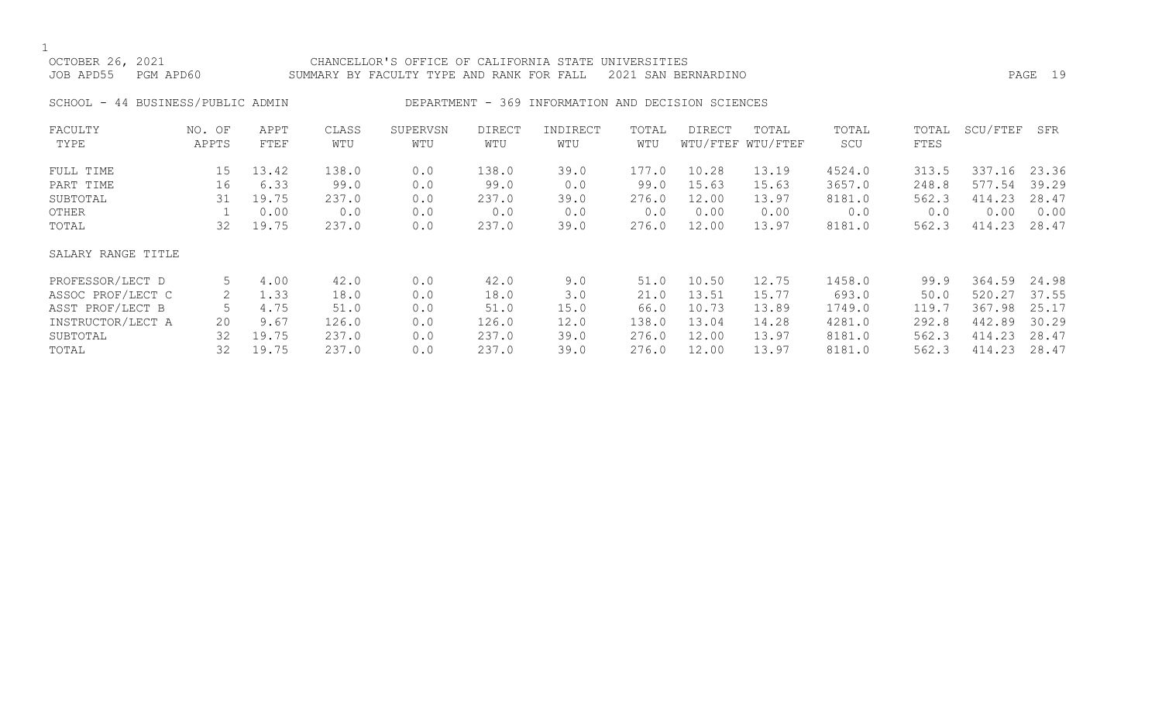# OCTOBER 26, 2021 CHANCELLOR'S OFFICE OF CALIFORNIA STATE UNIVERSITIES JOB APD55 PGM APD60 SUMMARY BY FACULTY TYPE AND RANK FOR FALL 2021 SAN BERNARDINO PAGE 19

# SCHOOL - 44 BUSINESS/PUBLIC ADMIN DEPARTMENT - 369 INFORMATION AND DECISION SCIENCES

| FACULTY            | NO. OF | APPT  | CLASS | SUPERVSN | <b>DIRECT</b> | INDIRECT | TOTAL | DIRECT | TOTAL             | TOTAL  | TOTAL | SCU/FTEF | SFR   |
|--------------------|--------|-------|-------|----------|---------------|----------|-------|--------|-------------------|--------|-------|----------|-------|
| TYPE               | APPTS  | FTEF  | WTU   | WTU      | WTU           | WTU      | WTU   |        | WTU/FTEF WTU/FTEF | SCU    | FTES  |          |       |
| FULL TIME          | 15     | 13.42 | 138.0 | 0.0      | 138.0         | 39.0     | 177.0 | 10.28  | 13.19             | 4524.0 | 313.5 | 337.16   | 23.36 |
| PART TIME          | 16     | 6.33  | 99.0  | 0.0      | 99.0          | 0.0      | 99.0  | 15.63  | 15.63             | 3657.0 | 248.8 | 577.54   | 39.29 |
| SUBTOTAL           | 31     | 19.75 | 237.0 | 0.0      | 237.0         | 39.0     | 276.0 | 12.00  | 13.97             | 8181.0 | 562.3 | 414.23   | 28.47 |
| OTHER              |        | 0.00  | 0.0   | 0.0      | 0.0           | 0.0      | 0.0   | 0.00   | 0.00              | 0.0    | 0.0   | 0.00     | 0.00  |
| TOTAL              | 32     | 19.75 | 237.0 | 0.0      | 237.0         | 39.0     | 276.0 | 12.00  | 13.97             | 8181.0 | 562.3 | 414.23   | 28.47 |
| SALARY RANGE TITLE |        |       |       |          |               |          |       |        |                   |        |       |          |       |
| PROFESSOR/LECT D   | 5      | 4.00  | 42.0  | 0.0      | 42.0          | 9.0      | 51.0  | 10.50  | 12.75             | 1458.0 | 99.9  | 364.59   | 24.98 |
| ASSOC PROF/LECT C  | 2      | 1.33  | 18.0  | 0.0      | 18.0          | 3.0      | 21.0  | 13.51  | 15.77             | 693.0  | 50.0  | 520.27   | 37.55 |
| ASST PROF/LECT B   |        | 4.75  | 51.0  | 0.0      | 51.0          | 15.0     | 66.0  | 10.73  | 13.89             | 1749.0 | 119.7 | 367.98   | 25.17 |
| INSTRUCTOR/LECT A  | 20     | 9.67  | 126.0 | 0.0      | 126.0         | 12.0     | 138.0 | 13.04  | 14.28             | 4281.0 | 292.8 | 442.89   | 30.29 |
| SUBTOTAL           | 32     | 19.75 | 237.0 | 0.0      | 237.0         | 39.0     | 276.0 | 12.00  | 13.97             | 8181.0 | 562.3 | 414.23   | 28.47 |
| TOTAL              | 32     | 19.75 | 237.0 | 0.0      | 237.0         | 39.0     | 276.0 | 12.00  | 13.97             | 8181.0 | 562.3 | 414.23   | 28.47 |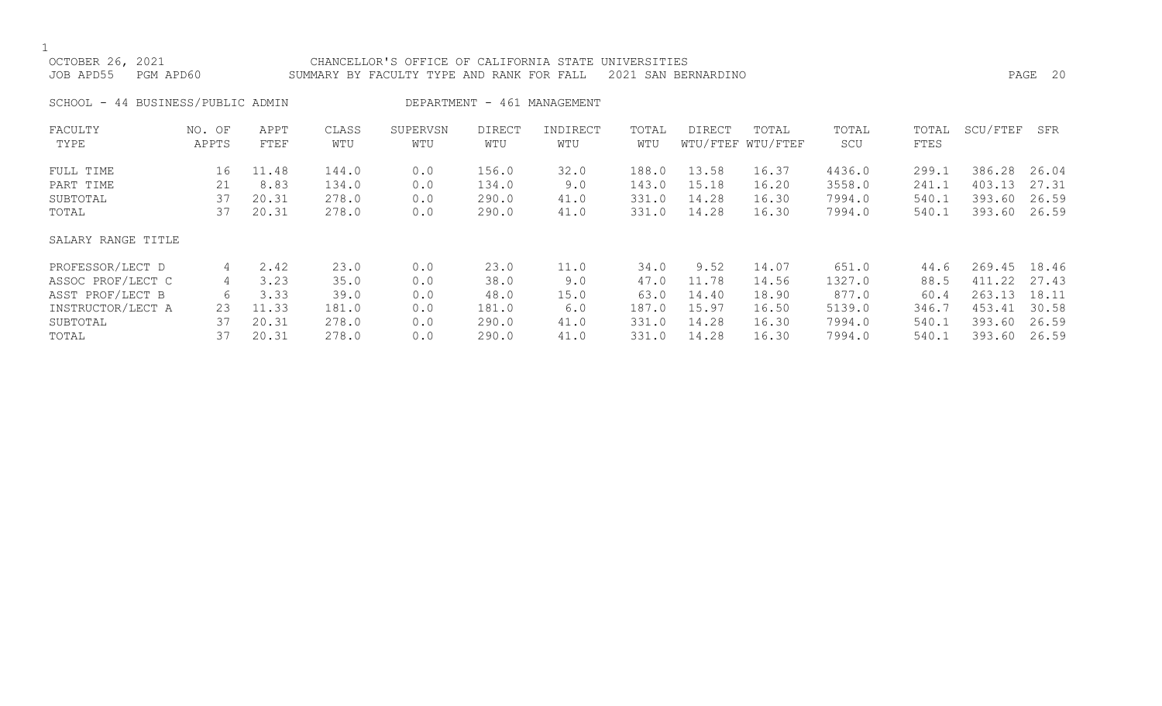| OCTOBER 26, 2021<br>PGM APD60<br>JOB APD55 |                 |              |              | CHANCELLOR'S OFFICE OF CALIFORNIA STATE<br>SUMMARY BY FACULTY TYPE AND RANK FOR FALL |                      |                             | UNIVERSITIES | 2021 SAN BERNARDINO |                            |              |               |          | PAGE 20 |
|--------------------------------------------|-----------------|--------------|--------------|--------------------------------------------------------------------------------------|----------------------|-----------------------------|--------------|---------------------|----------------------------|--------------|---------------|----------|---------|
| SCHOOL - 44 BUSINESS/PUBLIC ADMIN          |                 |              |              |                                                                                      |                      | DEPARTMENT - 461 MANAGEMENT |              |                     |                            |              |               |          |         |
| FACULTY<br>TYPE                            | NO. OF<br>APPTS | APPT<br>FTEF | CLASS<br>WTU | SUPERVSN<br>WTU                                                                      | <b>DIRECT</b><br>WTU | INDIRECT<br>WTU             | TOTAL<br>WTU | <b>DIRECT</b>       | TOTAL<br>WTU/FTEF WTU/FTEF | TOTAL<br>SCU | TOTAL<br>FTES | SCU/FTEF | SFR     |
| FULL TIME                                  | 16              | 11.48        | 144.0        | 0.0                                                                                  | 156.0                | 32.0                        | 188.0        | 13.58               | 16.37                      | 4436.0       | 299.1         | 386.28   | 26.04   |
| PART TIME                                  | 21              | 8.83         | 134.0        | 0.0                                                                                  | 134.0                | 9.0                         | 143.0        | 15.18               | 16.20                      | 3558.0       | 241.1         | 403.13   | 27.31   |
| SUBTOTAL                                   | 37              | 20.31        | 278.0        | 0.0                                                                                  | 290.0                | 41.0                        | 331.0        | 14.28               | 16.30                      | 7994.0       | 540.1         | 393.60   | 26.59   |
| TOTAL                                      | 37              | 20.31        | 278.0        | 0.0                                                                                  | 290.0                | 41.0                        | 331.0        | 14.28               | 16.30                      | 7994.0       | 540.1         | 393.60   | 26.59   |
| SALARY RANGE TITLE                         |                 |              |              |                                                                                      |                      |                             |              |                     |                            |              |               |          |         |
| PROFESSOR/LECT D                           | 4               | 2.42         | 23.0         | 0.0                                                                                  | 23.0                 | 11.0                        | 34.0         | 9.52                | 14.07                      | 651.0        | 44.6          | 269.45   | 18.46   |
| ASSOC PROF/LECT C                          | 4               | 3.23         | 35.0         | 0.0                                                                                  | 38.0                 | 9.0                         | 47.0         | 11.78               | 14.56                      | 1327.0       | 88.5          | 411.22   | 27.43   |
| ASST PROF/LECT B                           | 6               | 3.33         | 39.0         | 0.0                                                                                  | 48.0                 | 15.0                        | 63.0         | 14.40               | 18.90                      | 877.0        | 60.4          | 263.13   | 18.11   |
| INSTRUCTOR/LECT A                          | 23              | 11.33        | 181.0        | 0.0                                                                                  | 181.0                | 6.0                         | 187.0        | 15.97               | 16.50                      | 5139.0       | 346.7         | 453.41   | 30.58   |
| SUBTOTAL                                   | 37              | 20.31        | 278.0        | 0.0                                                                                  | 290.0                | 41.0                        | 331.0        | 14.28               | 16.30                      | 7994.0       | 540.1         | 393.60   | 26.59   |

TOTAL 37 20.31 278.0 0.0 290.0 41.0 331.0 14.28 16.30 7994.0 540.1 393.60 26.59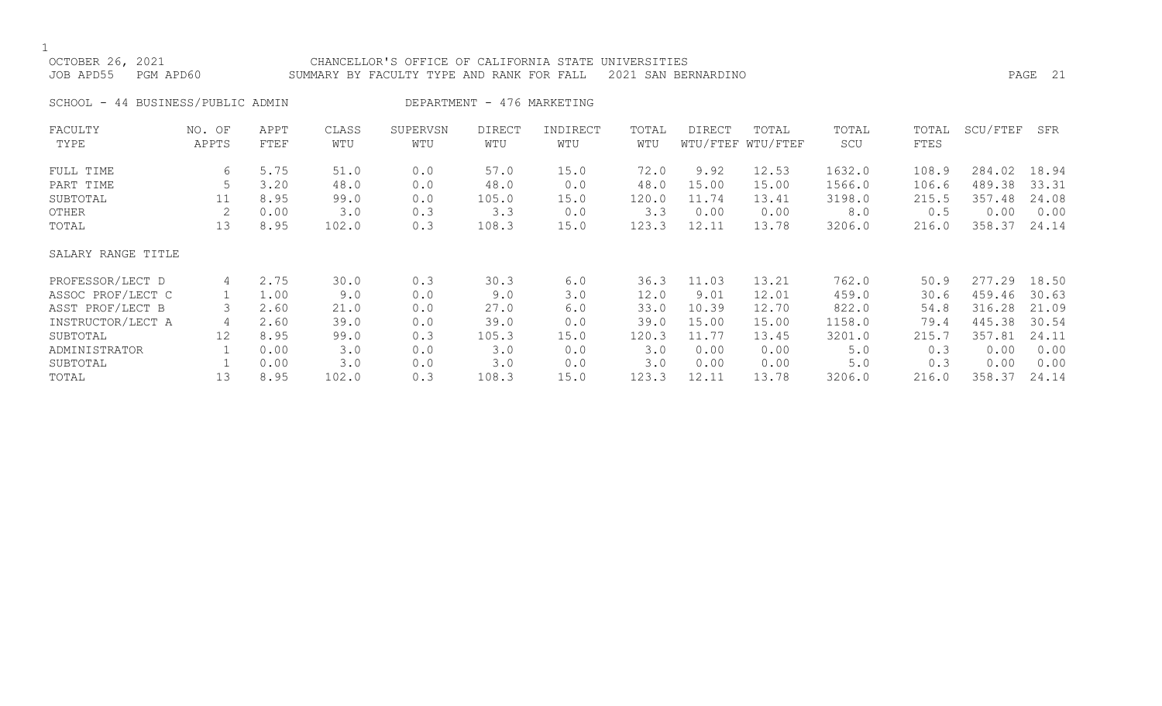| OCTOBER 26, 2021<br>JOB APD55 | PGM APD60                         |              |              | CHANCELLOR'S OFFICE OF CALIFORNIA STATE UNIVERSITIES<br>SUMMARY BY FACULTY TYPE AND RANK FOR FALL 2021 SAN BERNARDINO |                            |                 |              |        |                            |              |               |              | PAGE 21 |
|-------------------------------|-----------------------------------|--------------|--------------|-----------------------------------------------------------------------------------------------------------------------|----------------------------|-----------------|--------------|--------|----------------------------|--------------|---------------|--------------|---------|
|                               | SCHOOL - 44 BUSINESS/PUBLIC ADMIN |              |              |                                                                                                                       | DEPARTMENT - 476 MARKETING |                 |              |        |                            |              |               |              |         |
| FACULTY<br>TYPE               | NO. OF<br>APPTS                   | APPT<br>FTEF | CLASS<br>WTU | SUPERVSN<br>WTU                                                                                                       | DIRECT<br>WTU              | INDIRECT<br>WTU | TOTAL<br>WTU | DIRECT | TOTAL<br>WTU/FTEF WTU/FTEF | TOTAL<br>SCU | TOTAL<br>FTES | SCU/FTEF SFR |         |

| FULL TIME          | 6                 | 5.75 | 51.0  | 0.0 | 57.0  | 15.0 | 72.0  | 9.92  | 12.53 | 1632.0 | 108.9 | 284.02 | 18.94 |
|--------------------|-------------------|------|-------|-----|-------|------|-------|-------|-------|--------|-------|--------|-------|
| PART TIME          |                   | 3.20 | 48.0  | 0.0 | 48.0  | 0.0  | 48.0  | 15.00 | 15.00 | 1566.0 | 106.6 | 489.38 | 33.31 |
| SUBTOTAL           | ⊥⊥                | 8.95 | 99.0  | 0.0 | 105.0 | 15.0 | 120.0 | 11.74 | 13.41 | 3198.0 | 215.5 | 357.48 | 24.08 |
| OTHER              | 2                 | 0.00 | 3.0   | 0.3 | 3.3   | 0.0  | 3.3   | 0.00  | 0.00  | 8.0    | 0.5   | 0.00   | 0.00  |
| TOTAL              | 13                | 8.95 | 102.0 | 0.3 | 108.3 | 15.0 | 123.3 | 12.11 | 13.78 | 3206.0 | 216.0 | 358.37 | 24.14 |
| SALARY RANGE TITLE |                   |      |       |     |       |      |       |       |       |        |       |        |       |
| PROFESSOR/LECT D   | 4                 | 2.75 | 30.0  | 0.3 | 30.3  | 6.0  | 36.3  | 11.03 | 13.21 | 762.0  | 50.9  | 277.29 | 18.50 |
| ASSOC PROF/LECT C  |                   | 1.00 | 9.0   | 0.0 | 9.0   | 3.0  | 12.0  | 9.01  | 12.01 | 459.0  | 30.6  | 459.46 | 30.63 |
| ASST PROF/LECT B   | 3                 | 2.60 | 21.0  | 0.0 | 27.0  | 6.0  | 33.0  | 10.39 | 12.70 | 822.0  | 54.8  | 316.28 | 21.09 |
| INSTRUCTOR/LECT A  | 4                 | 2.60 | 39.0  | 0.0 | 39.0  | 0.0  | 39.0  | 15.00 | 15.00 | 1158.0 | 79.4  | 445.38 | 30.54 |
| SUBTOTAL           | $12 \overline{ }$ | 8.95 | 99.0  | 0.3 | 105.3 | 15.0 | 120.3 | 11.77 | 13.45 | 3201.0 | 215.7 | 357.81 | 24.11 |
| ADMINISTRATOR      |                   | 0.00 | 3.0   | 0.0 | 3.0   | 0.0  | 3.0   | 0.00  | 0.00  | 5.0    | 0.3   | 0.00   | 0.00  |
| SUBTOTAL           |                   | 0.00 | 3.0   | 0.0 | 3.0   | 0.0  | 3.0   | 0.00  | 0.00  | 5.0    | 0.3   | 0.00   | 0.00  |
| TOTAL              | 13                | 8.95 | 102.0 | 0.3 | 108.3 | 15.0 | 123.3 | 12.11 | 13.78 | 3206.0 | 216.0 | 358.37 | 24.14 |
|                    |                   |      |       |     |       |      |       |       |       |        |       |        |       |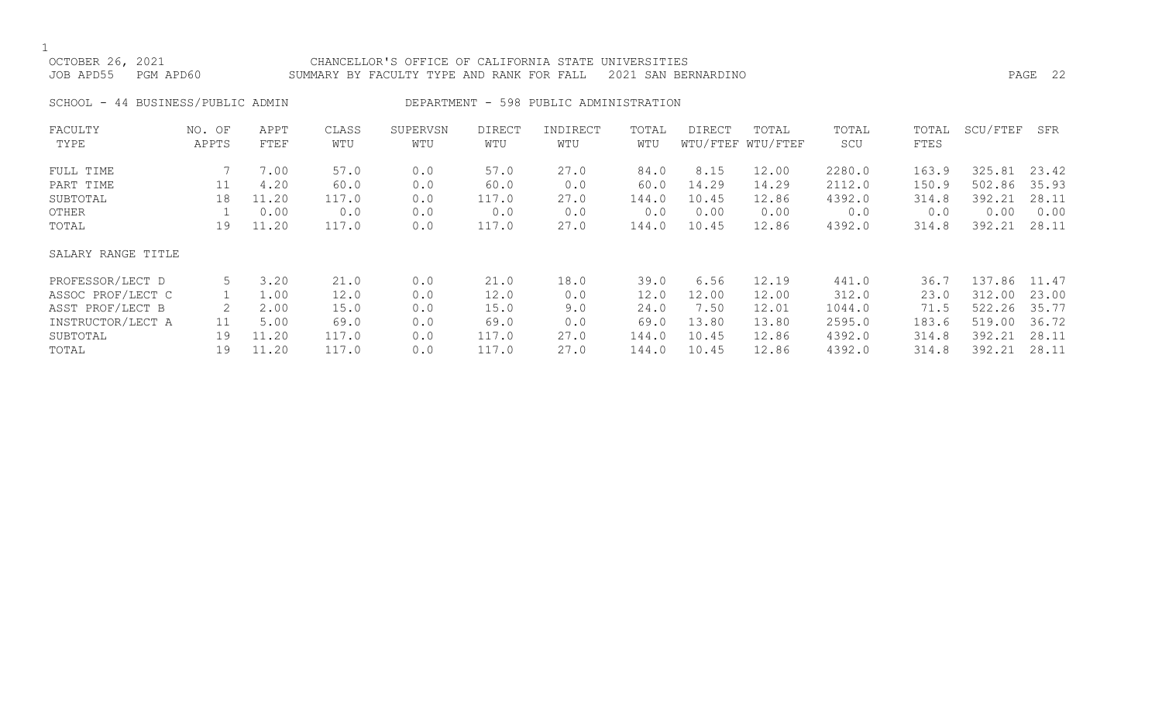$\frac{1}{\text{OCI}}$ 

| OCTOBER 26, 2021    | CHANCELLOR'S OFFICE OF CALIFORNIA STATE UNIVERSITIES |                                                               |         |  |
|---------------------|------------------------------------------------------|---------------------------------------------------------------|---------|--|
| JOB APD55 PGM APD60 |                                                      | SUMMARY BY FACULTY TYPE AND RANK FOR FALL 2021 SAN BERNARDINO | PAGE 22 |  |
|                     |                                                      |                                                               |         |  |
|                     | SCHOOL - 44 BUSINESS/PUBLIC ADMIN                    | DEPARTMENT - 598 PUBLIC ADMINISTRATION                        |         |  |

| FACULTY<br>TYPE    | NO. OF<br>APPTS | APPT<br>FTEF | CLASS<br>WTU | SUPERVSN<br>WTU | DIRECT<br>WTU | INDIRECT<br>WTU | TOTAL<br>WTU | <b>DIRECT</b> | TOTAL<br>WTU/FTEF WTU/FTEF | TOTAL<br>SCU | TOTAL<br>FTES | SCU/FTEF | SFR   |
|--------------------|-----------------|--------------|--------------|-----------------|---------------|-----------------|--------------|---------------|----------------------------|--------------|---------------|----------|-------|
|                    |                 |              |              |                 |               |                 |              |               |                            |              |               |          |       |
| FULL TIME          |                 | 7.00         | 57.0         | 0.0             | 57.0          | 27.0            | 84.0         | 8.15          | 12.00                      | 2280.0       | 163.9         | 325.81   | 23.42 |
| PART TIME          | 11              | 4.20         | 60.0         | 0.0             | 60.0          | 0.0             | 60.0         | 14.29         | 14.29                      | 2112.0       | 150.9         | 502.86   | 35.93 |
| SUBTOTAL           | 18              | 11.20        | 117.0        | 0.0             | 117.0         | 27.0            | 144.0        | 10.45         | 12.86                      | 4392.0       | 314.8         | 392.21   | 28.11 |
| OTHER              |                 | 0.00         | 0.0          | 0.0             | 0.0           | 0.0             | 0.0          | 0.00          | 0.00                       | 0.0          | 0.0           | 0.00     | 0.00  |
| TOTAL              | 19              | 11.20        | 117.0        | 0.0             | 117.0         | 27.0            | 144.0        | 10.45         | 12.86                      | 4392.0       | 314.8         | 392.21   | 28.11 |
| SALARY RANGE TITLE |                 |              |              |                 |               |                 |              |               |                            |              |               |          |       |
| PROFESSOR/LECT D   | 5               | 3.20         | 21.0         | 0.0             | 21.0          | 18.0            | 39.0         | 6.56          | 12.19                      | 441.0        | 36.7          | 137.86   | 11.47 |
| ASSOC PROF/LECT C  |                 | 1.00         | 12.0         | 0.0             | 12.0          | 0.0             | 12.0         | 12.00         | 12.00                      | 312.0        | 23.0          | 312.00   | 23.00 |
| ASST PROF/LECT B   |                 | 2.00         | 15.0         | 0.0             | 15.0          | 9.0             | 24.0         | 7.50          | 12.01                      | 1044.0       | 71.5          | 522.26   | 35.77 |
| INSTRUCTOR/LECT A  | 11              | 5.00         | 69.0         | 0.0             | 69.0          | 0.0             | 69.0         | 13.80         | 13.80                      | 2595.0       | 183.6         | 519.00   | 36.72 |
| SUBTOTAL           | 19              | 11.20        | 117.0        | 0.0             | 117.0         | 27.0            | 144.0        | 10.45         | 12.86                      | 4392.0       | 314.8         | 392.21   | 28.11 |
| TOTAL              | 19              | 11.20        | 117.0        | 0.0             | 117.0         | 27.0            | 144.0        | 10.45         | 12.86                      | 4392.0       | 314.8         | 392.21   | 28.11 |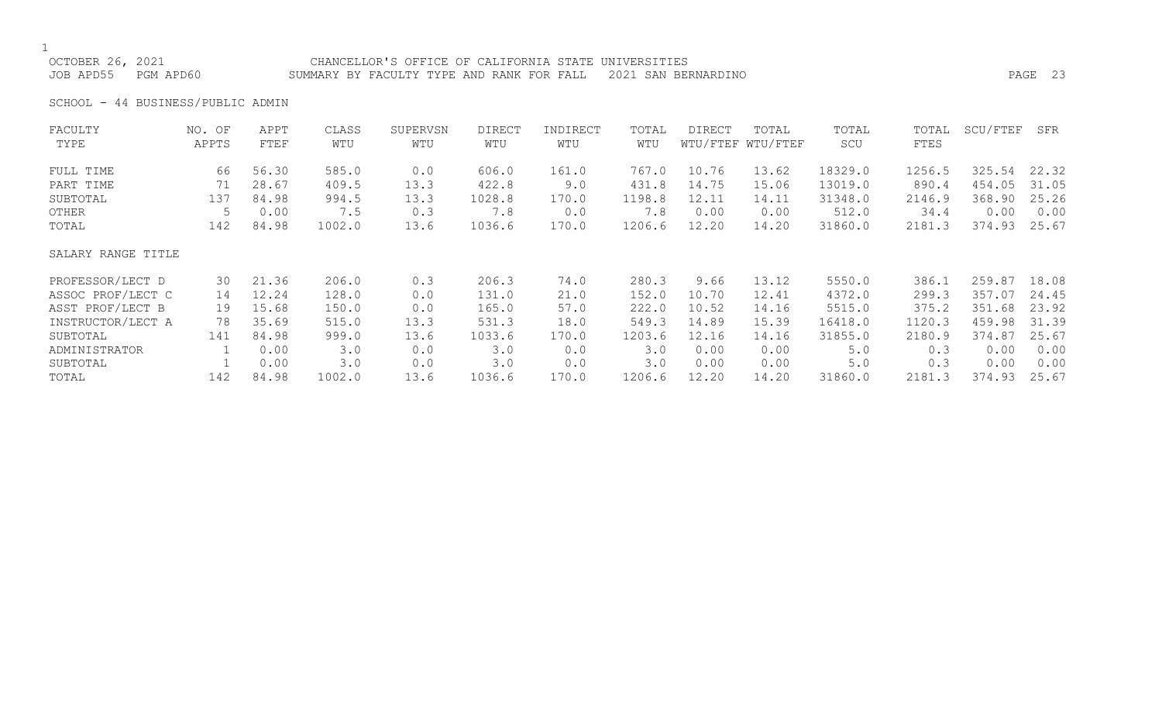OCTOBER 26, 2021 CHANCELLOR'S OFFICE OF CALIFORNIA STATE UNIVERSITIES JOB APD55 PGM APD60 SUMMARY BY FACULTY TYPE AND RANK FOR FALL 2021 SAN BERNARDINO PAGE 23

SCHOOL - 44 BUSINESS/PUBLIC ADMIN

| FACULTY            | NO. OF | APPT  | CLASS  | SUPERVSN | <b>DIRECT</b> | INDIRECT | TOTAL  | <b>DIRECT</b> | TOTAL             | TOTAL   | TOTAL  | SCU/FTEF | SFR   |
|--------------------|--------|-------|--------|----------|---------------|----------|--------|---------------|-------------------|---------|--------|----------|-------|
| TYPE               | APPTS  | FTEF  | WTU    | WTU      | WTU           | WTU      | WTU    |               | WTU/FTEF WTU/FTEF | SCU     | FTES   |          |       |
| FULL TIME          | 66     | 56.30 | 585.0  | 0.0      | 606.0         | 161.0    | 767.0  | 10.76         | 13.62             | 18329.0 | 1256.5 | 325.54   | 22.32 |
| PART TIME          | 71     | 28.67 | 409.5  | 13.3     | 422.8         | 9.0      | 431.8  | 14.75         | 15.06             | 13019.0 | 890.4  | 454.05   | 31.05 |
| SUBTOTAL           | 137    | 84.98 | 994.5  | 13.3     | 1028.8        | 170.0    | 1198.8 | 12.11         | 14.11             | 31348.0 | 2146.9 | 368.90   | 25.26 |
| OTHER              | 5      | 0.00  | 7.5    | 0.3      | 7.8           | 0.0      | 7.8    | 0.00          | 0.00              | 512.0   | 34.4   | 0.00     | 0.00  |
| TOTAL              | 142    | 84.98 | 1002.0 | 13.6     | 1036.6        | 170.0    | 1206.6 | 12.20         | 14.20             | 31860.0 | 2181.3 | 374.93   | 25.67 |
| SALARY RANGE TITLE |        |       |        |          |               |          |        |               |                   |         |        |          |       |
| PROFESSOR/LECT D   | 30     | 21.36 | 206.0  | 0.3      | 206.3         | 74.0     | 280.3  | 9.66          | 13.12             | 5550.0  | 386.1  | 259.87   | 18.08 |
| ASSOC PROF/LECT C  | 14     | 12.24 | 128.0  | 0.0      | 131.0         | 21.0     | 152.0  | 10.70         | 12.41             | 4372.0  | 299.3  | 357.07   | 24.45 |
| ASST PROF/LECT B   | 19     | 15.68 | 150.0  | 0.0      | 165.0         | 57.0     | 222.0  | 10.52         | 14.16             | 5515.0  | 375.2  | 351.68   | 23.92 |
| INSTRUCTOR/LECT A  | 78     | 35.69 | 515.0  | 13.3     | 531.3         | 18.0     | 549.3  | 14.89         | 15.39             | 16418.0 | 1120.3 | 459.98   | 31.39 |
| SUBTOTAL           | 141    | 84.98 | 999.0  | 13.6     | 1033.6        | 170.0    | 1203.6 | 12.16         | 14.16             | 31855.0 | 2180.9 | 374.87   | 25.67 |
| ADMINISTRATOR      |        | 0.00  | 3.0    | 0.0      | 3.0           | 0.0      | 3.0    | 0.00          | 0.00              | 5.0     | 0.3    | 0.00     | 0.00  |
| SUBTOTAL           |        | 0.00  | 3.0    | 0.0      | 3.0           | 0.0      | 3.0    | 0.00          | 0.00              | 5.0     | 0.3    | 0.00     | 0.00  |
| TOTAL              | 142    | 84.98 | 1002.0 | 13.6     | 1036.6        | 170.0    | 1206.6 | 12.20         | 14.20             | 31860.0 | 2181.3 | 374.93   | 25.67 |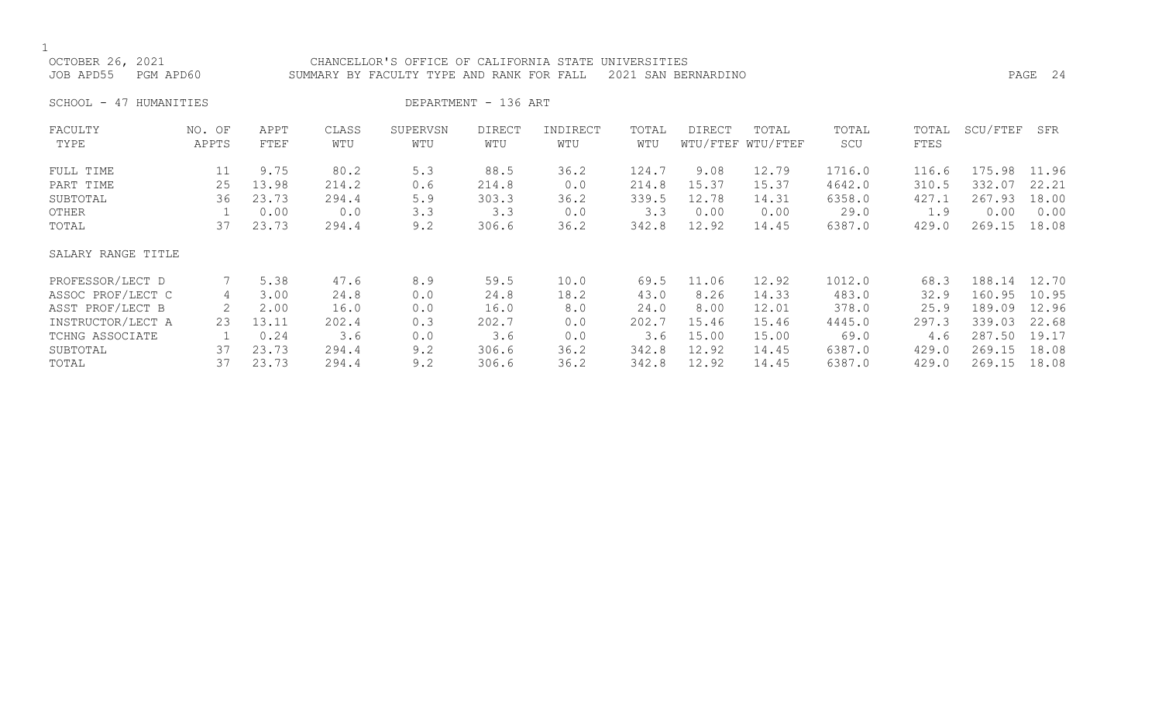$1$  OCTC

| OCTOBER 26, 2021    | CHANCELLOR'S OFFICE OF CALIFORNIA STATE UNIVERSITIES          |         |
|---------------------|---------------------------------------------------------------|---------|
| JOB APD55 PGM APD60 | SUMMARY BY FACULTY TYPE AND RANK FOR FALL 2021 SAN BERNARDINO | PAGE 24 |

SCHOOL - 47 HUMANITIES DEPARTMENT - 136 ART

| FACULTY            | NO. OF | APPT  | CLASS | SUPERVSN | DIRECT | INDIRECT | TOTAL | <b>DIRECT</b> | TOTAL             | TOTAL  | TOTAL | SCU/FTEF | SFR   |
|--------------------|--------|-------|-------|----------|--------|----------|-------|---------------|-------------------|--------|-------|----------|-------|
| TYPE               | APPTS  | FTEF  | WTU   | WTU      | WTU    | WTU      | WTU   |               | WTU/FTEF WTU/FTEF | SCU    | FTES  |          |       |
| FULL TIME          | 11     | 9.75  | 80.2  | 5.3      | 88.5   | 36.2     | 124.7 | 9.08          | 12.79             | 1716.0 | 116.6 | 175.98   | 11.96 |
| PART TIME          | 25     | 13.98 | 214.2 | 0.6      | 214.8  | 0.0      | 214.8 | 15.37         | 15.37             | 4642.0 | 310.5 | 332.07   | 22.21 |
| SUBTOTAL           | 36     | 23.73 | 294.4 | 5.9      | 303.3  | 36.2     | 339.5 | 12.78         | 14.31             | 6358.0 | 427.1 | 267.93   | 18.00 |
| OTHER              |        | 0.00  | 0.0   | 3.3      | 3.3    | 0.0      | 3.3   | 0.00          | 0.00              | 29.0   | 1.9   | 0.00     | 0.00  |
| TOTAL              | 37     | 23.73 | 294.4 | 9.2      | 306.6  | 36.2     | 342.8 | 12.92         | 14.45             | 6387.0 | 429.0 | 269.15   | 18.08 |
| SALARY RANGE TITLE |        |       |       |          |        |          |       |               |                   |        |       |          |       |
| PROFESSOR/LECT D   |        | 5.38  | 47.6  | 8.9      | 59.5   | 10.0     | 69.5  | 11.06         | 12.92             | 1012.0 | 68.3  | 188.14   | 12.70 |
| ASSOC PROF/LECT C  | 4      | 3.00  | 24.8  | 0.0      | 24.8   | 18.2     | 43.0  | 8.26          | 14.33             | 483.0  | 32.9  | 160.95   | 10.95 |
| ASST PROF/LECT B   | 2      | 2.00  | 16.0  | 0.0      | 16.0   | 8.0      | 24.0  | 8.00          | 12.01             | 378.0  | 25.9  | 189.09   | 12.96 |
| INSTRUCTOR/LECT A  | 23     | 13.11 | 202.4 | 0.3      | 202.7  | 0.0      | 202.7 | 15.46         | 15.46             | 4445.0 | 297.3 | 339.03   | 22.68 |
| TCHNG ASSOCIATE    |        | 0.24  | 3.6   | 0.0      | 3.6    | 0.0      | 3.6   | 15.00         | 15.00             | 69.0   | 4.6   | 287.50   | 19.17 |
| SUBTOTAL           | 37     | 23.73 | 294.4 | 9.2      | 306.6  | 36.2     | 342.8 | 12.92         | 14.45             | 6387.0 | 429.0 | 269.15   | 18.08 |
| TOTAL              | 37     | 23.73 | 294.4 | 9.2      | 306.6  | 36.2     | 342.8 | 12.92         | 14.45             | 6387.0 | 429.0 | 269.15   | 18.08 |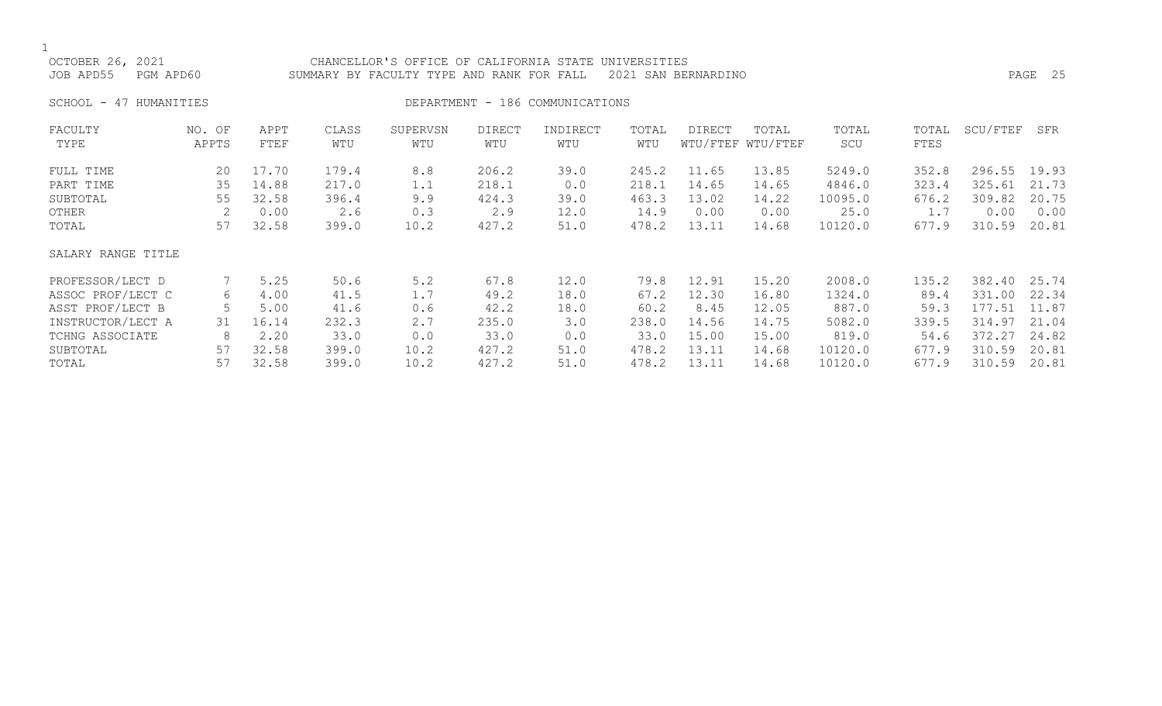OCTOBER 26, 2021 CHANCELLOR'S OFFICE OF CALIFORNIA STATE UNIVERSITIES JOB APD55 PGM APD60 SUMMARY BY FACULTY TYPE AND RANK FOR FALL 2021 SAN BERNARDINO PAGE 25 SCHOOL - 47 HUMANITIES DEPARTMENT - 186 COMMUNICATIONS FACULTY NO. OF APPT CLASS SUPERVSN DIRECT INDIRECT TOTAL DIRECT TOTAL TOTAL TOTAL SCU/FTEF SFR TYPE APPTS FTEF WTU WTU WTU WTU WTU WTU/FTEF WTU/FTEF SCU FTES FULL TIME 20 17.70 179.4 8.8 206.2 39.0 245.2 11.65 13.85 5249.0 352.8 296.55 19.93

| FULL TIME          | 20. | $\perp$ / . / 0 | 179.4 | ४.४  | 206.2 | 39.0 | 245.2 | 11.65 | 13.85 | 5249.0  | 352.8 | 296.55       | 19.93 |
|--------------------|-----|-----------------|-------|------|-------|------|-------|-------|-------|---------|-------|--------------|-------|
| PART TIME          | 35  | 14.88           | 217.0 | 1.1  | 218.1 | 0.0  | 218.1 | 14.65 | 14.65 | 4846.0  | 323.4 | 325.61       | 21.73 |
| SUBTOTAL           | 55  | 32.58           | 396.4 | 9.9  | 424.3 | 39.0 | 463.3 | 13.02 | 14.22 | 10095.0 | 676.2 | 309.82       | 20.75 |
| OTHER              |     | 0.00            | 2.6   | 0.3  | 2.9   | 12.0 | 14.9  | 0.00  | 0.00  | 25.0    | 1.7   | 0.00         | 0.00  |
| TOTAL              | 57  | 32.58           | 399.0 | 10.2 | 427.2 | 51.0 | 478.2 | 13.11 | 14.68 | 10120.0 | 677.9 | 310.59       | 20.81 |
| SALARY RANGE TITLE |     |                 |       |      |       |      |       |       |       |         |       |              |       |
| PROFESSOR/LECT D   |     | 5.25            | 50.6  | 5.2  | 67.8  | 12.0 | 79.8  | 12.91 | 15.20 | 2008.0  | 135.2 | 382.40       | 25.74 |
| ASSOC PROF/LECT C  | 6   | 4.00            | 41.5  | 1.7  | 49.2  | 18.0 | 67.2  | 12.30 | 16.80 | 1324.0  | 89.4  | 331.00       | 22.34 |
| ASST PROF/LECT B   | 5.  | 5.00            | 41.6  | 0.6  | 42.2  | 18.0 | 60.2  | 8.45  | 12.05 | 887.0   | 59.3  | 177.51       | 11.87 |
| INSTRUCTOR/LECT A  | 31  | 16.14           | 232.3 | 2.7  | 235.0 | 3.0  | 238.0 | 14.56 | 14.75 | 5082.0  | 339.5 | 314.97       | 21.04 |
| TCHNG ASSOCIATE    | 8   | 2.20            | 33.0  | 0.0  | 33.0  | 0.0  | 33.0  | 15.00 | 15.00 | 819.0   | 54.6  | 372.27 24.82 |       |
| SUBTOTAL           | 57  | 32.58           | 399.0 | 10.2 | 427.2 | 51.0 | 478.2 | 13.11 | 14.68 | 10120.0 | 677.9 | 310.59       | 20.81 |
| TOTAL              | 57  | 32.58           | 399.0 | 10.2 | 427.2 | 51.0 | 478.2 | 13.11 | 14.68 | 10120.0 | 677.9 | 310.59       | 20.81 |
|                    |     |                 |       |      |       |      |       |       |       |         |       |              |       |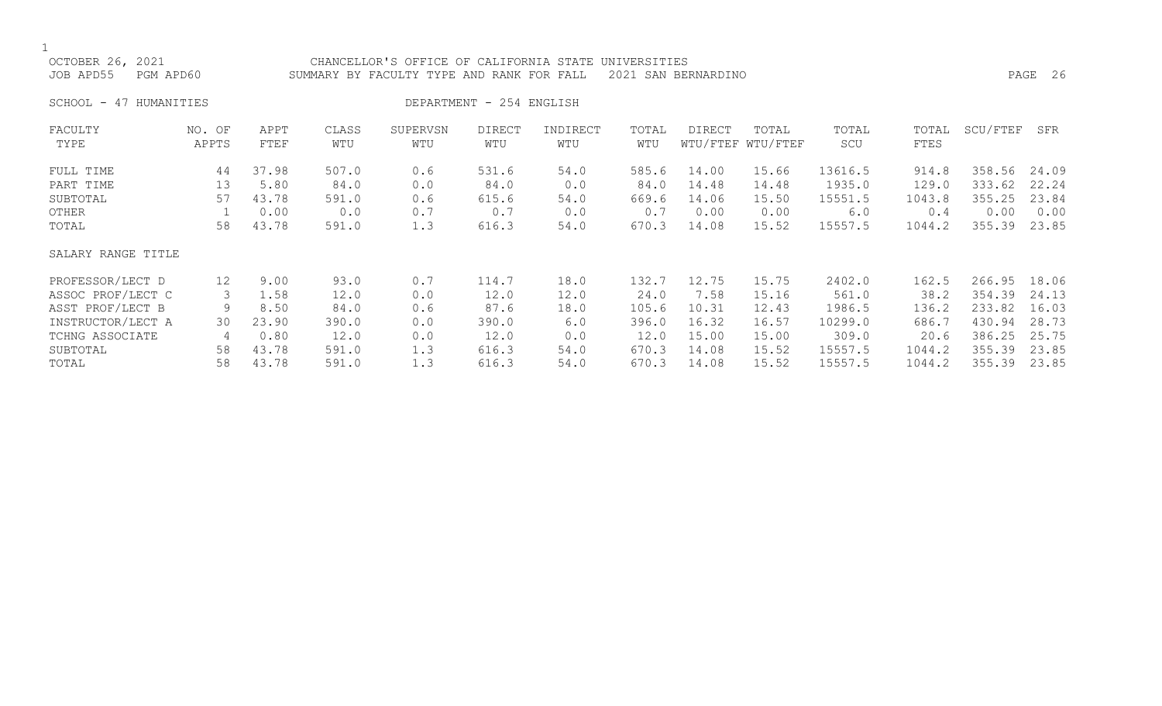| OCTOBER 26, 2021<br>JOB APD55<br>PGM APD60 |                 |              | CHANCELLOR'S OFFICE OF CALIFORNIA STATE<br>SUMMARY BY FACULTY TYPE AND RANK FOR FALL |                 | PAGE 26                  |                 |              |        |                            |              |               |          |       |
|--------------------------------------------|-----------------|--------------|--------------------------------------------------------------------------------------|-----------------|--------------------------|-----------------|--------------|--------|----------------------------|--------------|---------------|----------|-------|
| SCHOOL - 47 HUMANITIES                     |                 |              |                                                                                      |                 | DEPARTMENT - 254 ENGLISH |                 |              |        |                            |              |               |          |       |
| FACULTY<br>TYPE                            | NO. OF<br>APPTS | APPT<br>FTEF | CLASS<br>WTU                                                                         | SUPERVSN<br>WTU | <b>DIRECT</b><br>WTU     | INDIRECT<br>WTU | TOTAL<br>WTU | DIRECT | TOTAL<br>WTU/FTEF WTU/FTEF | TOTAL<br>SCU | TOTAL<br>FTES | SCU/FTEF | SFR   |
| FULL TIME                                  | 44              | 37.98        | 507.0                                                                                | 0.6             | 531.6                    | 54.0            | 585.6        | 14.00  | 15.66                      | 13616.5      | 914.8         | 358.56   | 24.09 |
| PART TIME                                  | 13              | 5.80         | 84.0                                                                                 | 0.0             | 84.0                     | 0.0             | 84.0         | 14.48  | 14.48                      | 1935.0       | 129.0         | 333.62   | 22.24 |
| SUBTOTAL                                   | 57              | 43.78        | 591.0                                                                                | 0.6             | 615.6                    | 54.0            | 669.6        | 14.06  | 15.50                      | 15551.5      | 1043.8        | 355.25   | 23.84 |
| OTHER                                      |                 | 0.00         | 0.0                                                                                  | 0.7             | 0.7                      | 0.0             | 0.7          | 0.00   | 0.00                       | 6.0          | 0.4           | 0.00     | 0.00  |
| TOTAL                                      | 58              | 43.78        | 591.0                                                                                | 1.3             | 616.3                    | 54.0            | 670.3        | 14.08  | 15.52                      | 15557.5      | 1044.2        | 355.39   | 23.85 |
| SALARY RANGE TITLE                         |                 |              |                                                                                      |                 |                          |                 |              |        |                            |              |               |          |       |
| PROFESSOR/LECT D                           | 12              | 9.00         | 93.0                                                                                 | 0.7             | 114.7                    | 18.0            | 132.7        | 12.75  | 15.75                      | 2402.0       | 162.5         | 266.95   | 18.06 |
| ASSOC PROF/LECT C                          | 3               | 1.58         | 12.0                                                                                 | 0.0             | 12.0                     | 12.0            | 24.0         | 7.58   | 15.16                      | 561.0        | 38.2          | 354.39   | 24.13 |
| ASST PROF/LECT B                           | 9               | 8.50         | 84.0                                                                                 | 0.6             | 87.6                     | 18.0            | 105.6        | 10.31  | 12.43                      | 1986.5       | 136.2         | 233.82   | 16.03 |
| INSTRUCTOR/LECT A                          | 30              | 23.90        | 390.0                                                                                | 0.0             | 390.0                    | 6.0             | 396.0        | 16.32  | 16.57                      | 10299.0      | 686.7         | 430.94   | 28.73 |
| TCHNG ASSOCIATE                            | 4               | 0.80         | 12.0                                                                                 | 0.0             | 12.0                     | 0.0             | 12.0         | 15.00  | 15.00                      | 309.0        | 20.6          | 386.25   | 25.75 |
| SUBTOTAL                                   | 58              | 43.78        | 591.0                                                                                | 1.3             | 616.3                    | 54.0            | 670.3        | 14.08  | 15.52                      | 15557.5      | 1044.2        | 355.39   | 23.85 |
| TOTAL                                      | 58              | 43.78        | 591.0                                                                                | 1.3             | 616.3                    | 54.0            | 670.3        | 14.08  | 15.52                      | 15557.5      | 1044.2        | 355.39   | 23.85 |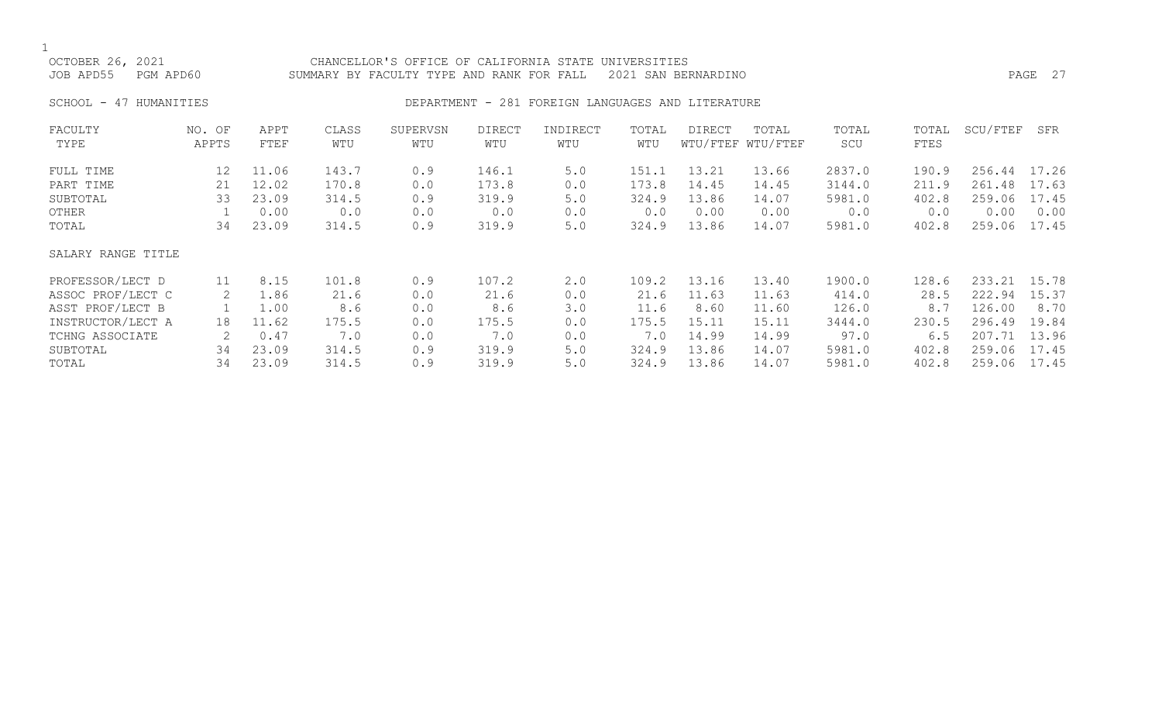## OCTOBER 26, 2021 CHANCELLOR'S OFFICE OF CALIFORNIA STATE UNIVERSITIES JOB APD55 PGM APD60 SUMMARY BY FACULTY TYPE AND RANK FOR FALL 2021 SAN BERNARDINO PAGE 27

# SCHOOL - 47 HUMANITIES SERVICES DEPARTMENT - 281 FOREIGN LANGUAGES AND LITERATURE

| FACULTY            | NO. OF | APPT  | CLASS | SUPERVSN | <b>DIRECT</b> | INDIRECT | TOTAL | DIRECT | TOTAL             | TOTAL  | TOTAL | SCU/FTEF     | SFR   |
|--------------------|--------|-------|-------|----------|---------------|----------|-------|--------|-------------------|--------|-------|--------------|-------|
| TYPE               | APPTS  | FTEF  | WTU   | WTU      | WTU           | WTU      | WTU   |        | WTU/FTEF WTU/FTEF | SCU    | FTES  |              |       |
| FULL TIME          | 12     | 11.06 | 143.7 | 0.9      | 146.1         | 5.0      | 151.1 | 13.21  | 13.66             | 2837.0 | 190.9 | 256.44       | 17.26 |
| PART TIME          | 21     | 12.02 | 170.8 | 0.0      | 173.8         | 0.0      | 173.8 | 14.45  | 14.45             | 3144.0 | 211.9 | 261.48       | 17.63 |
| SUBTOTAL           | 33     | 23.09 | 314.5 | 0.9      | 319.9         | 5.0      | 324.9 | 13.86  | 14.07             | 5981.0 | 402.8 | 259.06       | 17.45 |
| OTHER              |        | 0.00  | 0.0   | 0.0      | 0.0           | 0.0      | 0.0   | 0.00   | 0.00              | 0.0    | 0.0   | 0.00         | 0.00  |
| TOTAL              | 34     | 23.09 | 314.5 | 0.9      | 319.9         | 5.0      | 324.9 | 13.86  | 14.07             | 5981.0 | 402.8 | 259.06       | 17.45 |
| SALARY RANGE TITLE |        |       |       |          |               |          |       |        |                   |        |       |              |       |
| PROFESSOR/LECT D   | 11     | 8.15  | 101.8 | 0.9      | 107.2         | 2.0      | 109.2 | 13.16  | 13.40             | 1900.0 | 128.6 | 233.21 15.78 |       |
| ASSOC PROF/LECT C  | 2      | 1.86  | 21.6  | 0.0      | 21.6          | 0.0      | 21.6  | 11.63  | 11.63             | 414.0  | 28.5  | 222.94       | 15.37 |
| ASST PROF/LECT B   |        | 1.00  | 8.6   | 0.0      | 8.6           | 3.0      | 11.6  | 8.60   | 11.60             | 126.0  | 8.7   | 126.00       | 8.70  |
| INSTRUCTOR/LECT A  | 18     | 11.62 | 175.5 | 0.0      | 175.5         | 0.0      | 175.5 | 15.11  | 15.11             | 3444.0 | 230.5 | 296.49       | 19.84 |
| TCHNG ASSOCIATE    |        | 0.47  | 7.0   | 0.0      | 7.0           | 0.0      | 7.0   | 14.99  | 14.99             | 97.0   | 6.5   | 207.71       | 13.96 |
| SUBTOTAL           | 34     | 23.09 | 314.5 | 0.9      | 319.9         | 5.0      | 324.9 | 13.86  | 14.07             | 5981.0 | 402.8 | 259.06       | 17.45 |
| TOTAL              | 34     | 23.09 | 314.5 | 0.9      | 319.9         | 5.0      | 324.9 | 13.86  | 14.07             | 5981.0 | 402.8 | 259.06       | 17.45 |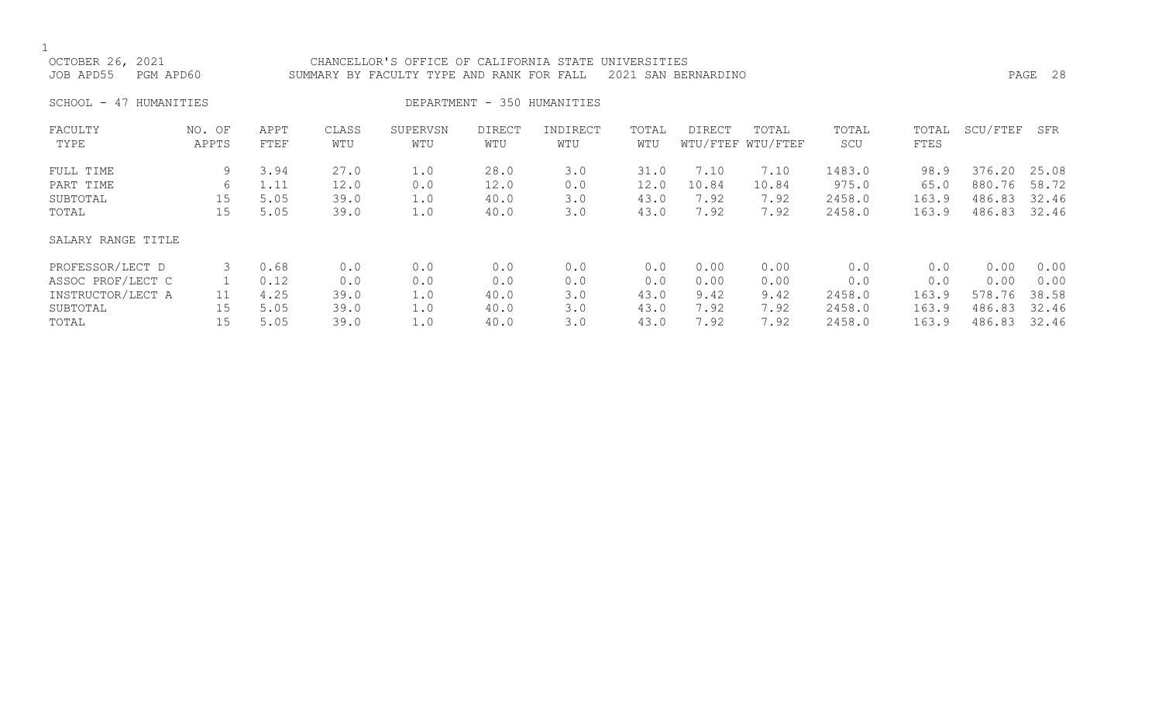| OCTOBER 26, 2021<br>JOB APD55<br>PGM APD60 |                 | CHANCELLOR'S OFFICE OF CALIFORNIA STATE<br>UNIVERSITIES<br>2021 SAN BERNARDINO<br>SUMMARY BY FACULTY TYPE AND RANK FOR FALL |              |                 |                      |                             |              |        |                            |              |               |          | PAGE 28 |
|--------------------------------------------|-----------------|-----------------------------------------------------------------------------------------------------------------------------|--------------|-----------------|----------------------|-----------------------------|--------------|--------|----------------------------|--------------|---------------|----------|---------|
| HUMANITIES<br>SCHOOL -<br>47               |                 |                                                                                                                             |              |                 |                      | DEPARTMENT - 350 HUMANITIES |              |        |                            |              |               |          |         |
| FACULTY<br>TYPE                            | NO. OF<br>APPTS | APPT<br>FTEF                                                                                                                | CLASS<br>WTU | SUPERVSN<br>WTU | <b>DIRECT</b><br>WTU | INDIRECT<br>WTU             | TOTAL<br>WTU | DIRECT | TOTAL<br>WTU/FTEF WTU/FTEF | TOTAL<br>SCU | TOTAL<br>FTES | SCU/FTEF | SFR     |
| FULL TIME                                  | 9               | 3.94                                                                                                                        | 27.0         | 1.0             | 28.0                 | 3.0                         | 31.0         | 7.10   | 7.10                       | 1483.0       | 98.9          | 376.20   | 25.08   |
| PART TIME                                  | 6               | 1.11                                                                                                                        | 12.0         | 0.0             | 12.0                 | 0.0                         | 12.0         | 10.84  | 10.84                      | 975.0        | 65.0          | 880.76   | 58.72   |
| SUBTOTAL                                   | 15              | 5.05                                                                                                                        | 39.0         | 1.0             | 40.0                 | 3.0                         | 43.0         | 7.92   | 7.92                       | 2458.0       | 163.9         | 486.83   | 32.46   |
| TOTAL                                      | 15              | 5.05                                                                                                                        | 39.0         | 1.0             | 40.0                 | 3.0                         | 43.0         | 7.92   | 7.92                       | 2458.0       | 163.9         | 486.83   | 32.46   |
| SALARY RANGE TITLE                         |                 |                                                                                                                             |              |                 |                      |                             |              |        |                            |              |               |          |         |
| PROFESSOR/LECT D                           | 3               | 0.68                                                                                                                        | 0.0          | 0.0             | 0.0                  | 0.0                         | 0.0          | 0.00   | 0.00                       | 0.0          | 0.0           | 0.00     | 0.00    |
| ASSOC PROF/LECT C                          |                 | 0.12                                                                                                                        | 0.0          | 0.0             | 0.0                  | 0.0                         | 0.0          | 0.00   | 0.00                       | 0.0          | 0.0           | 0.00     | 0.00    |
| INSTRUCTOR/LECT A                          | 11              | 4.25                                                                                                                        | 39.0         | 1.0             | 40.0                 | 3.0                         | 43.0         | 9.42   | 9.42                       | 2458.0       | 163.9         | 578.76   | 38.58   |
| SUBTOTAL                                   | 15              | 5.05                                                                                                                        | 39.0         | 1.0             | 40.0                 | 3.0                         | 43.0         | 7.92   | 7.92                       | 2458.0       | 163.9         | 486.83   | 32.46   |

TOTAL 15 5.05 39.0 1.0 40.0 3.0 43.0 7.92 7.92 2458.0 163.9 486.83 32.46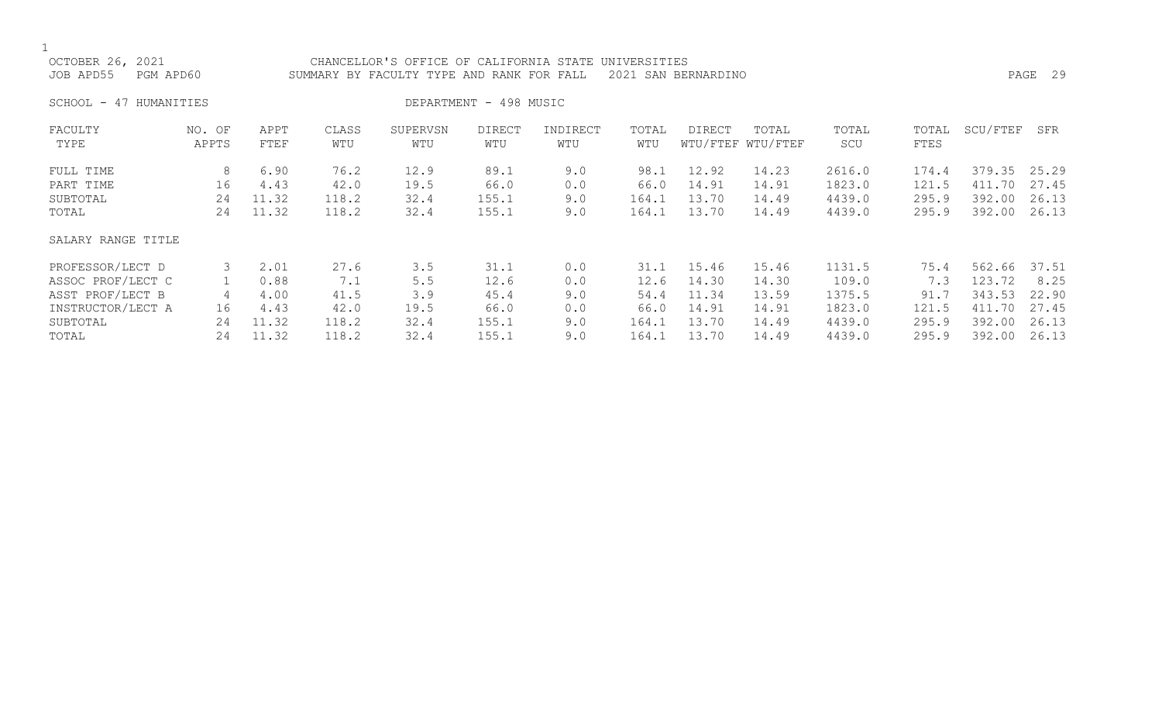|--|

| OCTOBER 26, 2021<br>JOB APD55<br>PGM APD60 |                 |              | CHANCELLOR'S OFFICE OF CALIFORNIA STATE UNIVERSITIES<br>SUMMARY BY FACULTY TYPE AND RANK FOR FALL |                 |                        | PAGE 29         |              |        |                            |              |               |          |       |
|--------------------------------------------|-----------------|--------------|---------------------------------------------------------------------------------------------------|-----------------|------------------------|-----------------|--------------|--------|----------------------------|--------------|---------------|----------|-------|
| SCHOOL -<br>47 HUMANITIES                  |                 |              |                                                                                                   |                 | DEPARTMENT - 498 MUSIC |                 |              |        |                            |              |               |          |       |
| FACULTY<br>TYPE                            | NO. OF<br>APPTS | APPT<br>FTEF | CLASS<br>WTU                                                                                      | SUPERVSN<br>WTU | DIRECT<br>WTU          | INDIRECT<br>WTU | TOTAL<br>WTU | DIRECT | TOTAL<br>WTU/FTEF WTU/FTEF | TOTAL<br>SCU | TOTAL<br>FTES | SCU/FTEF | SFR   |
| FULL TIME                                  | 8               | 6.90         | 76.2                                                                                              | 12.9            | 89.1                   | 9.0             | 98.1         | 12.92  | 14.23                      | 2616.0       | 174.4         | 379.35   | 25.29 |
| PART TIME                                  | 16              | 4.43         | 42.0                                                                                              | 19.5            | 66.0                   | 0.0             | 66.0         | 14.91  | 14.91                      | 1823.0       | 121.5         | 411.70   | 27.45 |
| SUBTOTAL                                   | 24              | 11.32        | 118.2                                                                                             | 32.4            | 155.1                  | 9.0             | 164.1        | 13.70  | 14.49                      | 4439.0       | 295.9         | 392.00   | 26.13 |
| TOTAL                                      | 24              | 11.32        | 118.2                                                                                             | 32.4            | 155.1                  | 9.0             | 164.1        | 13.70  | 14.49                      | 4439.0       | 295.9         | 392.00   | 26.13 |
| SALARY RANGE TITLE                         |                 |              |                                                                                                   |                 |                        |                 |              |        |                            |              |               |          |       |
| PROFESSOR/LECT D                           | 3               | 2.01         | 27.6                                                                                              | 3.5             | 31.1                   | 0.0             | 31.1         | 15.46  | 15.46                      | 1131.5       | 75.4          | 562.66   | 37.51 |
| ASSOC PROF/LECT C                          |                 | 0.88         | 7.1                                                                                               | 5.5             | 12.6                   | 0.0             | 12.6         | 14.30  | 14.30                      | 109.0        | 7.3           | 123.72   | 8.25  |
| ASST PROF/LECT B                           | 4               | 4.00         | 41.5                                                                                              | 3.9             | 45.4                   | 9.0             | 54.4         | 11.34  | 13.59                      | 1375.5       | 91.7          | 343.53   | 22.90 |
| INSTRUCTOR/LECT A                          | 16              | 4.43         | 42.0                                                                                              | 19.5            | 66.0                   | 0.0             | 66.0         | 14.91  | 14.91                      | 1823.0       | 121.5         | 411.70   | 27.45 |
| SUBTOTAL                                   | 24              | 11.32        | 118.2                                                                                             | 32.4            | 155.1                  | 9.0             | 164.1        | 13.70  | 14.49                      | 4439.0       | 295.9         | 392.00   | 26.13 |
| TOTAL                                      | 24              | 11.32        | 118.2                                                                                             | 32.4            | 155.1                  | 9.0             | 164.1        | 13.70  | 14.49                      | 4439.0       | 295.9         | 392.00   | 26.13 |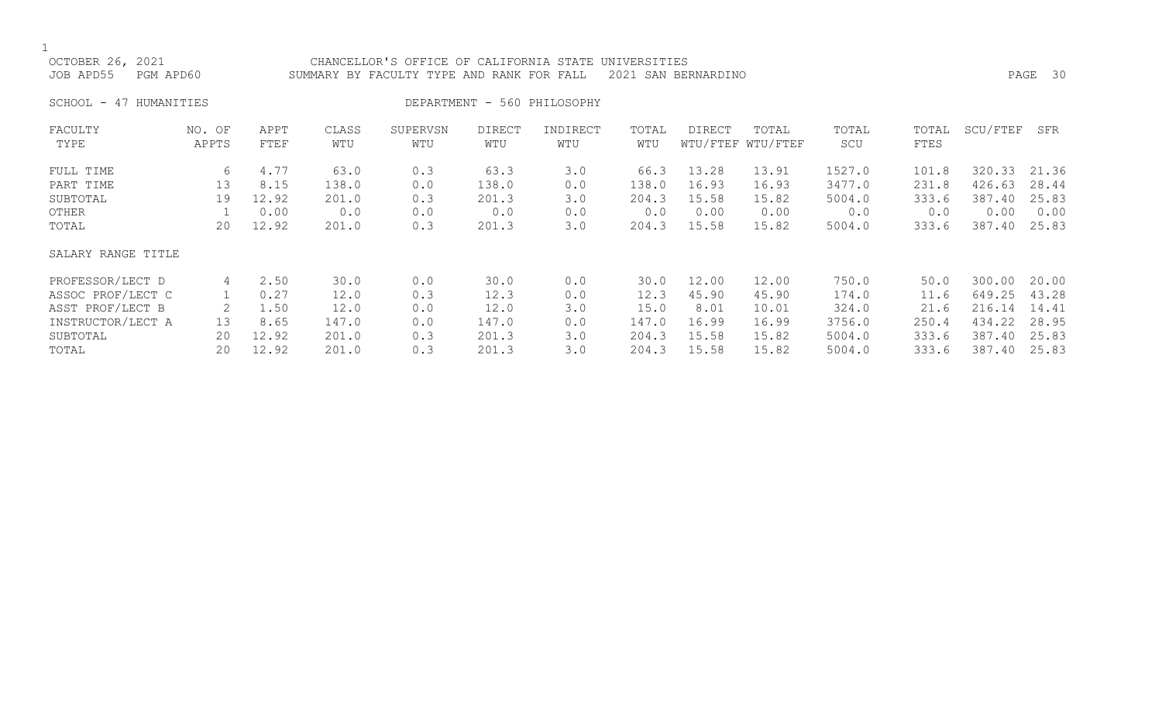| OCTOBER 26, 2021<br>JOB APD55 | CHANCELLOR'S OFFICE OF CALIFORNIA STATE UNIVERSITIES<br>PGM APD60<br>SUMMARY BY FACULTY TYPE AND RANK FOR FALL 2021 SAN BERNARDINO |              |              |                 |               |                             |              |        |                            |              |                      |          | PAGE 30 |
|-------------------------------|------------------------------------------------------------------------------------------------------------------------------------|--------------|--------------|-----------------|---------------|-----------------------------|--------------|--------|----------------------------|--------------|----------------------|----------|---------|
| SCHOOL - 47 HUMANITIES        |                                                                                                                                    |              |              |                 |               | DEPARTMENT - 560 PHILOSOPHY |              |        |                            |              |                      |          |         |
| FACULTY<br>TYPE               | NO. OF<br>APPTS                                                                                                                    | APPT<br>FTEF | CLASS<br>WTU | SUPERVSN<br>WTU | DIRECT<br>WTU | INDIRECT<br>WTU             | TOTAL<br>WTU | DIRECT | TOTAL<br>WTU/FTEF WTU/FTEF | TOTAL<br>SCU | TOTAL<br><b>FTES</b> | SCU/FTEF | SFR     |

| FULL TIME          | 6  | 4.77  | 63.0  | 0.3 | 63.3  | 3.0 | 66.3  | 13.28 | 13.91 | 1527.0 | 101.8 | 320.33 | 21.36 |
|--------------------|----|-------|-------|-----|-------|-----|-------|-------|-------|--------|-------|--------|-------|
| PART TIME          | 13 | 8.15  | 138.0 | 0.0 | 138.0 | 0.0 | 138.0 | 16.93 | 16.93 | 3477.0 | 231.8 | 426.63 | 28.44 |
| SUBTOTAL           | 19 | 12.92 | 201.0 | 0.3 | 201.3 | 3.0 | 204.3 | 15.58 | 15.82 | 5004.0 | 333.6 | 387.40 | 25.83 |
| OTHER              |    | 0.00  | 0.0   | 0.0 | 0.0   | 0.0 | 0.0   | 0.00  | 0.00  | 0.0    | 0.0   | 0.00   | 0.00  |
| TOTAL              | 20 | 12.92 | 201.0 | 0.3 | 201.3 | 3.0 | 204.3 | 15.58 | 15.82 | 5004.0 | 333.6 | 387.40 | 25.83 |
| SALARY RANGE TITLE |    |       |       |     |       |     |       |       |       |        |       |        |       |
| PROFESSOR/LECT D   | 4  | 2.50  | 30.0  | 0.0 | 30.0  | 0.0 | 30.0  | 12.00 | 12.00 | 750.0  | 50.0  | 300.00 | 20.00 |
| ASSOC PROF/LECT C  |    | 0.27  | 12.0  | 0.3 | 12.3  | 0.0 | 12.3  | 45.90 | 45.90 | 174.0  | 11.6  | 649.25 | 43.28 |
| ASST PROF/LECT B   |    | 1.50  | 12.0  | 0.0 | 12.0  | 3.0 | 15.0  | 8.01  | 10.01 | 324.0  | 21.6  | 216.14 | 14.41 |
| INSTRUCTOR/LECT A  | 13 | 8.65  | 147.0 | 0.0 | 147.0 | 0.0 | 147.0 | 16.99 | 16.99 | 3756.0 | 250.4 | 434.22 | 28.95 |
| SUBTOTAL           | 20 | 12.92 | 201.0 | 0.3 | 201.3 | 3.0 | 204.3 | 15.58 | 15.82 | 5004.0 | 333.6 | 387.40 | 25.83 |
| TOTAL              | 20 | 12.92 | 201.0 | 0.3 | 201.3 | 3.0 | 204.3 | 15.58 | 15.82 | 5004.0 | 333.6 | 387.40 | 25.83 |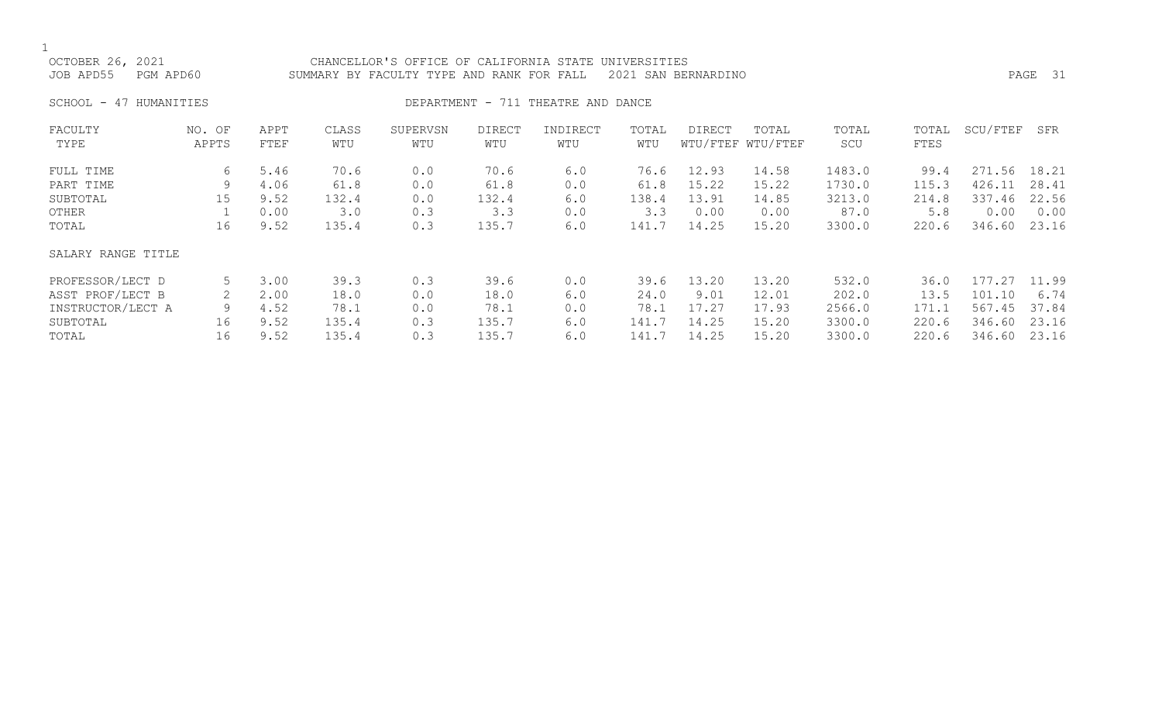OCTOBER 26, 2021 CHANCELLOR'S OFFICE OF CALIFORNIA STATE UNIVERSITIES JOB APD55 PGM APD60 SUMMARY BY FACULTY TYPE AND RANK FOR FALL 2021 SAN BERNARDINO PAGE 31

SCHOOL - 47 HUMANITIES SERVICES DEPARTMENT - 711 THEATRE AND DANCE

| FACULTY            | NO. OF | APPT | CLASS | SUPERVSN | <b>DIRECT</b> | INDIRECT | TOTAL | <b>DIRECT</b> | TOTAL             | TOTAL  | TOTAL | SCU/FTEF | SFR   |
|--------------------|--------|------|-------|----------|---------------|----------|-------|---------------|-------------------|--------|-------|----------|-------|
| TYPE               | APPTS  | FTEF | WTU   | WTU      | WTU           | WTU      | WTU   |               | WTU/FTEF WTU/FTEF | SCU    | FTES  |          |       |
| FULL TIME          | 6      | 5.46 | 70.6  | 0.0      | 70.6          | 6.0      | 76.6  | 12.93         | 14.58             | 1483.0 | 99.4  | 271.56   | 18.21 |
| PART TIME          | 9      | 4.06 | 61.8  | 0.0      | 61.8          | 0.0      | 61.8  | 15.22         | 15.22             | 1730.0 | 115.3 | 426.11   | 28.41 |
| SUBTOTAL           | 15     | 9.52 | 132.4 | 0.0      | 132.4         | 6.0      | 138.4 | 13.91         | 14.85             | 3213.0 | 214.8 | 337.46   | 22.56 |
| OTHER              |        | 0.00 | 3.0   | 0.3      | 3.3           | 0.0      | 3.3   | 0.00          | 0.00              | 87.0   | 5.8   | 0.00     | 0.00  |
| TOTAL              | 16     | 9.52 | 135.4 | 0.3      | 135.7         | 6.0      | 141.7 | 14.25         | 15.20             | 3300.0 | 220.6 | 346.60   | 23.16 |
| SALARY RANGE TITLE |        |      |       |          |               |          |       |               |                   |        |       |          |       |
| PROFESSOR/LECT D   | 5      | 3.00 | 39.3  | 0.3      | 39.6          | 0.0      | 39.6  | 13.20         | 13.20             | 532.0  | 36.0  | 177.27   | 11.99 |
| ASST PROF/LECT B   |        | 2.00 | 18.0  | 0.0      | 18.0          | 6.0      | 24.0  | 9.01          | 12.01             | 202.0  | 13.5  | 101.10   | 6.74  |
| INSTRUCTOR/LECT A  | 9      | 4.52 | 78.1  | 0.0      | 78.1          | 0.0      | 78.1  | 17.27         | 17.93             | 2566.0 | 171.1 | 567.45   | 37.84 |
| SUBTOTAL           | 16     | 9.52 | 135.4 | 0.3      | 135.7         | 6.0      | 141.7 | 14.25         | 15.20             | 3300.0 | 220.6 | 346.60   | 23.16 |
| TOTAL              | 16     | 9.52 | 135.4 | 0.3      | 135.7         | 6.0      | 141.7 | 14.25         | 15.20             | 3300.0 | 220.6 | 346.60   | 23.16 |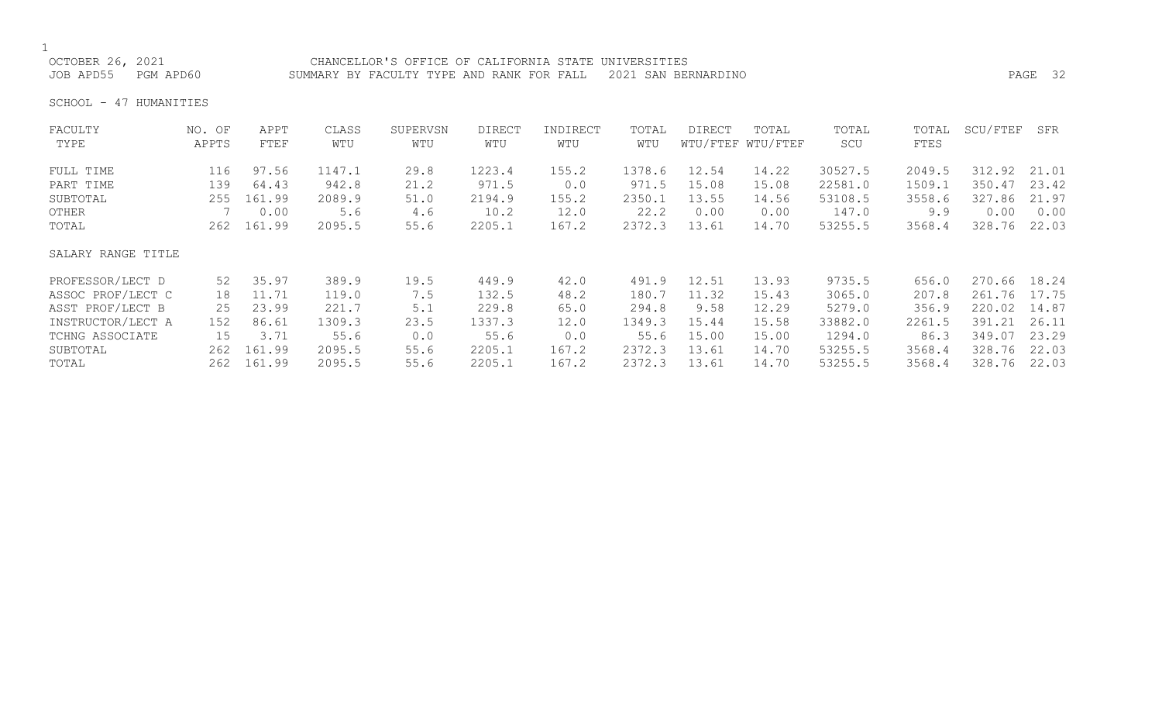OCTOBER 26, 2021 CHANCELLOR'S OFFICE OF CALIFORNIA STATE UNIVERSITIES JOB APD55 PGM APD60 SUMMARY BY FACULTY TYPE AND RANK FOR FALL 2021 SAN BERNARDINO PAGE 32

SCHOOL - 47 HUMANITIES

| FACULTY            | NO. OF | APPT   | CLASS  | SUPERVSN | <b>DIRECT</b> | INDIRECT | TOTAL  | <b>DIRECT</b> | TOTAL             | TOTAL   | TOTAL  | SCU/FTEF     | SFR   |
|--------------------|--------|--------|--------|----------|---------------|----------|--------|---------------|-------------------|---------|--------|--------------|-------|
| TYPE               | APPTS  | FTEF   | WTU    | WTU      | WTU           | WTU      | WTU    |               | WTU/FTEF WTU/FTEF | SCU     | FTES   |              |       |
| FULL TIME          | 116    | 97.56  | 1147.1 | 29.8     | 1223.4        | 155.2    | 1378.6 | 12.54         | 14.22             | 30527.5 | 2049.5 | 312.92       | 21.01 |
| PART TIME          | 139    | 64.43  | 942.8  | 21.2     | 971.5         | 0.0      | 971.5  | 15.08         | 15.08             | 22581.0 | 1509.1 | 350.47       | 23.42 |
| SUBTOTAL           | 255    | 161.99 | 2089.9 | 51.0     | 2194.9        | 155.2    | 2350.1 | 13.55         | 14.56             | 53108.5 | 3558.6 | 327.86       | 21.97 |
| OTHER              |        | 0.00   | 5.6    | 4.6      | 10.2          | 12.0     | 22.2   | 0.00          | 0.00              | 147.0   | 9.9    | 0.00         | 0.00  |
| TOTAL              | 262    | 161.99 | 2095.5 | 55.6     | 2205.1        | 167.2    | 2372.3 | 13.61         | 14.70             | 53255.5 | 3568.4 | 328.76       | 22.03 |
| SALARY RANGE TITLE |        |        |        |          |               |          |        |               |                   |         |        |              |       |
| PROFESSOR/LECT D   | 52     | 35.97  | 389.9  | 19.5     | 449.9         | 42.0     | 491.9  | 12.51         | 13.93             | 9735.5  | 656.0  | 270.66       | 18.24 |
| ASSOC PROF/LECT C  | 18     | 11.71  | 119.0  | 7.5      | 132.5         | 48.2     | 180.7  | 11.32         | 15.43             | 3065.0  | 207.8  | 261.76 17.75 |       |
| ASST PROF/LECT B   | 25     | 23.99  | 221.7  | 5.1      | 229.8         | 65.0     | 294.8  | 9.58          | 12.29             | 5279.0  | 356.9  | 220.02       | 14.87 |
| INSTRUCTOR/LECT A  | 152    | 86.61  | 1309.3 | 23.5     | 1337.3        | 12.0     | 1349.3 | 15.44         | 15.58             | 33882.0 | 2261.5 | 391.21       | 26.11 |
| TCHNG ASSOCIATE    | 15     | 3.71   | 55.6   | 0.0      | 55.6          | 0.0      | 55.6   | 15.00         | 15.00             | 1294.0  | 86.3   | 349.07       | 23.29 |
| SUBTOTAL           | 262    | 161.99 | 2095.5 | 55.6     | 2205.1        | 167.2    | 2372.3 | 13.61         | 14.70             | 53255.5 | 3568.4 | 328.76       | 22.03 |
| TOTAL              | 262    | 161.99 | 2095.5 | 55.6     | 2205.1        | 167.2    | 2372.3 | 13.61         | 14.70             | 53255.5 | 3568.4 | 328.76       | 22.03 |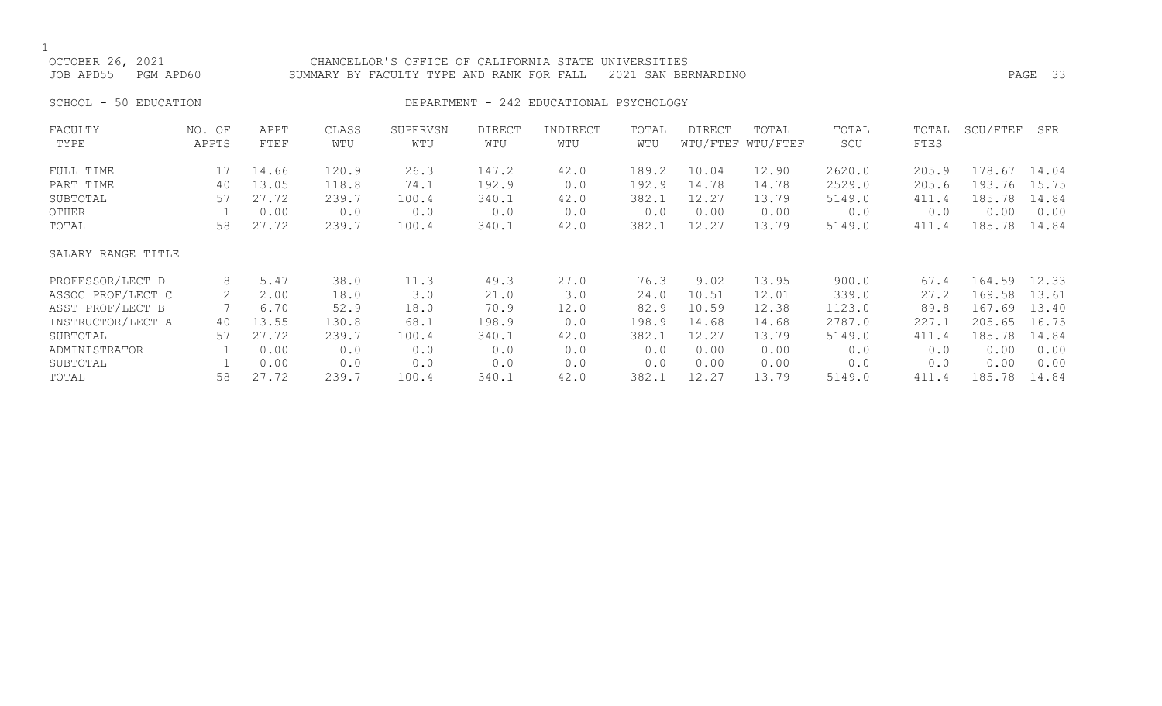OCTOBER 26, 2021 CHANCELLOR'S OFFICE OF CALIFORNIA STATE UNIVERSITIES<br>JOB APD55 PGM APD60 SUMMARY BY FACULTY TYPE AND RANK FOR FALL 2021 SAN BEF SUMMARY BY FACULTY TYPE AND RANK FOR FALL 2021 SAN BERNARDINO **PAGE 33** SCHOOL - 50 EDUCATION DEPARTMENT - 242 EDUCATIONAL PSYCHOLOGY FACULTY NO. OF APPT CLASS SUPERVSN DIRECT INDIRECT TOTAL DIRECT TOTAL TOTAL TOTAL SCU/FTEF SFR TYPE APPTS FTEF WTU WTU WTU WTU WTU WTU/FTEF WTU/FTEF SCU FTES

| FULL TIME          |    | 14.66 | 120.9 | 26.3  | 147.2 | 42.0 | 189.2 | 10.04 | 12.90 | 2620.0 | 205.9 | 178.67 | 14.04 |
|--------------------|----|-------|-------|-------|-------|------|-------|-------|-------|--------|-------|--------|-------|
| PART TIME          | 40 | 13.05 | 118.8 | 74.1  | 192.9 | 0.0  | 192.9 | 14.78 | 14.78 | 2529.0 | 205.6 | 193.76 | 15.75 |
| SUBTOTAL           | 57 | 27.72 | 239.7 | 100.4 | 340.1 | 42.0 | 382.1 | 12.27 | 13.79 | 5149.0 | 411.4 | 185.78 | 14.84 |
| OTHER              |    | 0.00  | 0.0   | 0.0   | 0.0   | 0.0  | 0.0   | 0.00  | 0.00  | 0.0    | 0.0   | 0.00   | 0.00  |
| TOTAL              | 58 | 27.72 | 239.7 | 100.4 | 340.1 | 42.0 | 382.1 | 12.27 | 13.79 | 5149.0 | 411.4 | 185.78 | 14.84 |
| SALARY RANGE TITLE |    |       |       |       |       |      |       |       |       |        |       |        |       |
| PROFESSOR/LECT D   | 8  | 5.47  | 38.0  | 11.3  | 49.3  | 27.0 | 76.3  | 9.02  | 13.95 | 900.0  | 67.4  | 164.59 | 12.33 |
| ASSOC PROF/LECT C  | 2  | 2.00  | 18.0  | 3.0   | 21.0  | 3.0  | 24.0  | 10.51 | 12.01 | 339.0  | 27.2  | 169.58 | 13.61 |
| ASST PROF/LECT B   |    | 6.70  | 52.9  | 18.0  | 70.9  | 12.0 | 82.9  | 10.59 | 12.38 | 1123.0 | 89.8  | 167.69 | 13.40 |
| INSTRUCTOR/LECT A  | 40 | 13.55 | 130.8 | 68.1  | 198.9 | 0.0  | 198.9 | 14.68 | 14.68 | 2787.0 | 227.1 | 205.65 | 16.75 |
| SUBTOTAL           | 57 | 27.72 | 239.7 | 100.4 | 340.1 | 42.0 | 382.1 | 12.27 | 13.79 | 5149.0 | 411.4 | 185.78 | 14.84 |
| ADMINISTRATOR      |    | 0.00  | 0.0   | 0.0   | 0.0   | 0.0  | 0.0   | 0.00  | 0.00  | 0.0    | 0.0   | 0.00   | 0.00  |
| SUBTOTAL           |    | 0.00  | 0.0   | 0.0   | 0.0   | 0.0  | 0.0   | 0.00  | 0.00  | 0.0    | 0.0   | 0.00   | 0.00  |
| TOTAL              | 58 | 27.72 | 239.7 | 100.4 | 340.1 | 42.0 | 382.1 | 12.27 | 13.79 | 5149.0 | 411.4 | 185.78 | 14.84 |
|                    |    |       |       |       |       |      |       |       |       |        |       |        |       |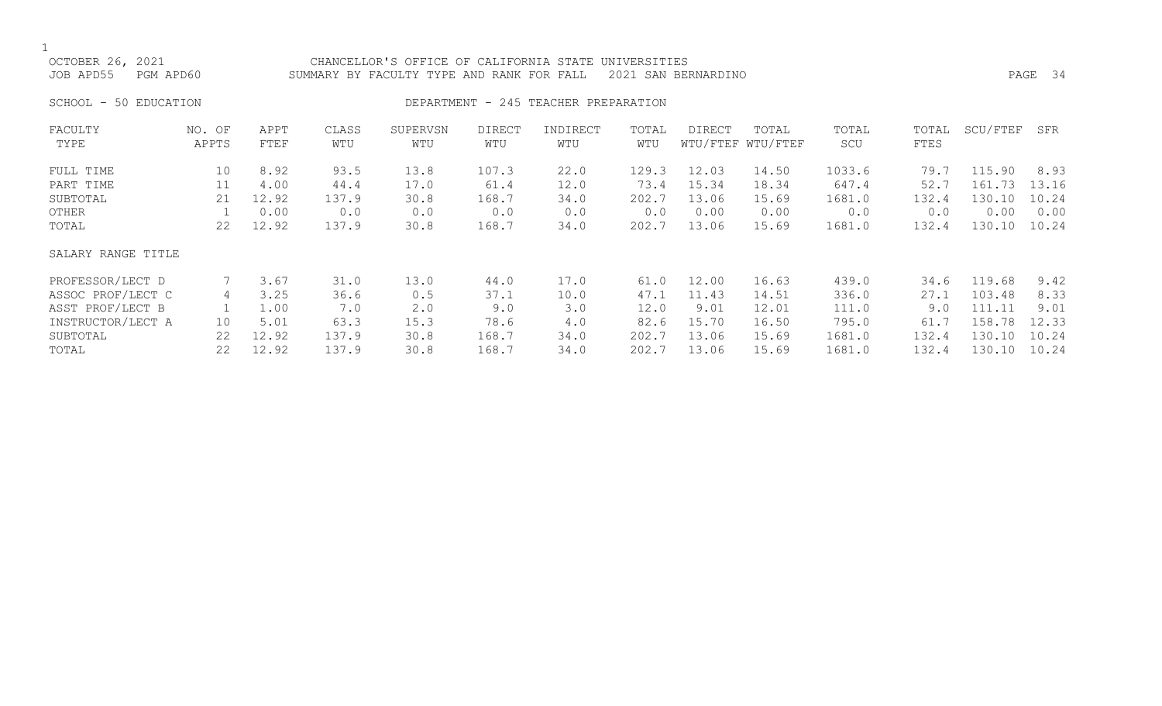OCTOBER 26, 2021 CHANCELLOR'S OFFICE OF CALIFORNIA STATE UNIVERSITIES JOB APD55 PGM APD60 SUMMARY BY FACULTY TYPE AND RANK FOR FALL 2021 SAN BERNARDINO PAGE 34

SCHOOL - 50 EDUCATION **DEPARTMENT - 245 TEACHER PREPARATION** 

| FACULTY            | NO. OF | APPT  | CLASS | SUPERVSN | <b>DIRECT</b> | INDIRECT | TOTAL | DIRECT | TOTAL             | TOTAL  | TOTAL | SCU/FTEF | SFR   |
|--------------------|--------|-------|-------|----------|---------------|----------|-------|--------|-------------------|--------|-------|----------|-------|
| TYPE               | APPTS  | FTEF  | WTU   | WTU      | WTU           | WTU      | WTU   |        | WTU/FTEF WTU/FTEF | SCU    | FTES  |          |       |
| FULL TIME          | 10     | 8.92  | 93.5  | 13.8     | 107.3         | 22.0     | 129.3 | 12.03  | 14.50             | 1033.6 | 79.7  | 115.90   | 8.93  |
| PART TIME          | 11     | 4.00  | 44.4  | 17.0     | 61.4          | 12.0     | 73.4  | 15.34  | 18.34             | 647.4  | 52.7  | 161.73   | 13.16 |
| SUBTOTAL           | 21     | 12.92 | 137.9 | 30.8     | 168.7         | 34.0     | 202.7 | 13.06  | 15.69             | 1681.0 | 132.4 | 130.10   | 10.24 |
| OTHER              |        | 0.00  | 0.0   | 0.0      | 0.0           | 0.0      | 0.0   | 0.00   | 0.00              | 0.0    | 0.0   | 0.00     | 0.00  |
| TOTAL              | 22     | 12.92 | 137.9 | 30.8     | 168.7         | 34.0     | 202.7 | 13.06  | 15.69             | 1681.0 | 132.4 | 130.10   | 10.24 |
| SALARY RANGE TITLE |        |       |       |          |               |          |       |        |                   |        |       |          |       |
| PROFESSOR/LECT D   |        | 3.67  | 31.0  | 13.0     | 44.0          | 17.0     | 61.0  | 12.00  | 16.63             | 439.0  | 34.6  | 119.68   | 9.42  |
| ASSOC PROF/LECT C  | 4      | 3.25  | 36.6  | 0.5      | 37.1          | 10.0     | 47.1  | 11.43  | 14.51             | 336.0  | 27.1  | 103.48   | 8.33  |
| ASST PROF/LECT B   |        | 1.00  | 7.0   | 2.0      | 9.0           | 3.0      | 12.0  | 9.01   | 12.01             | 111.0  | 9.0   | 111.11   | 9.01  |
| INSTRUCTOR/LECT A  | 10     | 5.01  | 63.3  | 15.3     | 78.6          | 4.0      | 82.6  | 15.70  | 16.50             | 795.0  | 61.7  | 158.78   | 12.33 |
| SUBTOTAL           | 22     | 12.92 | 137.9 | 30.8     | 168.7         | 34.0     | 202.7 | 13.06  | 15.69             | 1681.0 | 132.4 | 130.10   | 10.24 |
| TOTAL              | 22     | 12.92 | 137.9 | 30.8     | 168.7         | 34.0     | 202.7 | 13.06  | 15.69             | 1681.0 | 132.4 | 130.10   | 10.24 |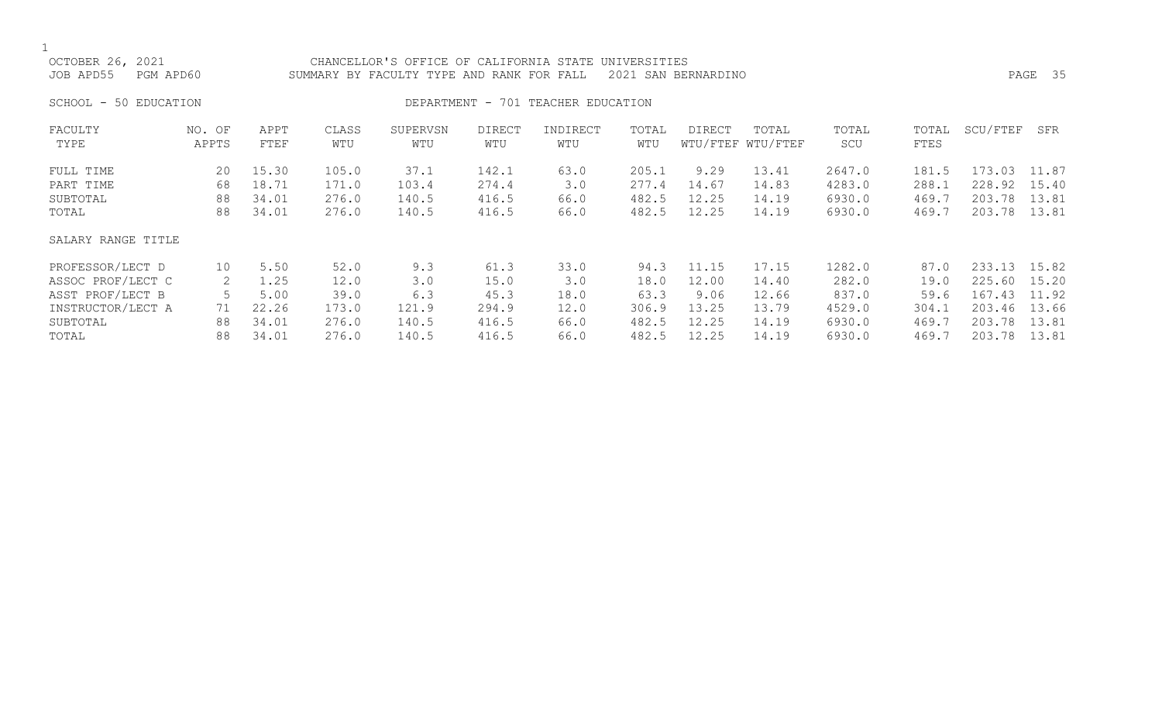OCTOBER 26, 2021 CHANCELLOR'S OFFICE OF CALIFORNIA STATE UNIVERSITIES JOB APD55 PGM APD60 SUMMARY BY FACULTY TYPE AND RANK FOR FALL 2021 SAN BERNARDINO PAGE 35 SCHOOL - 50 EDUCATION **DEPARTMENT - 701 TEACHER EDUCATION** FACULTY NO. OF APPT CLASS SUPERVSN DIRECT INDIRECT TOTAL DIRECT TOTAL TOTAL TOTAL SCU/FTEF SFR TYPE APPTS FTEF WTU WTU WTU WTU WTU WTU/FTEF WTU/FTEF SCU FTES FULL TIME 20 15.30 105.0 37.1 142.1 63.0 205.1 9.29 13.41 2647.0 181.5 173.03 11.87 PART TIME 68 18.71 171.0 103.4 274.4 3.0 277.4 14.67 14.83 4283.0 288.1 228.92 15.40 SUBTOTAL 88 34.01 276.0 140.5 416.5 66.0 482.5 12.25 14.19 6930.0 469.7 203.78 13.81 TOTAL 88 34.01 276.0 140.5 416.5 66.0 482.5 12.25 14.19 6930.0 469.7 203.78 13.81 SALARY RANGE TITLE PROFESSOR/LECT D 10 5.50 52.0 9.3 61.3 33.0 94.3 11.15 17.15 1282.0 87.0 233.13 15.82 ASSOC PROF/LECT C 2 1.25 12.0 3.0 15.0 3.0 18.0 12.00 14.40 282.0 19.0 225.60 15.20 ASST PROF/LECT B 5 5.00 39.0 6.3 45.3 18.0 63.3 9.06 12.66 837.0 59.6 167.43 11.92 INSTRUCTOR/LECT A 71 22.26 173.0 121.9 294.9 12.0 306.9 13.25 13.79 4529.0 304.1 203.46 13.66 SUBTOTAL 88 34.01 276.0 140.5 416.5 66.0 482.5 12.25 14.19 6930.0 469.7 203.78 13.81 TOTAL 88 34.01 276.0 140.5 416.5 66.0 482.5 12.25 14.19 6930.0 469.7 203.78 13.81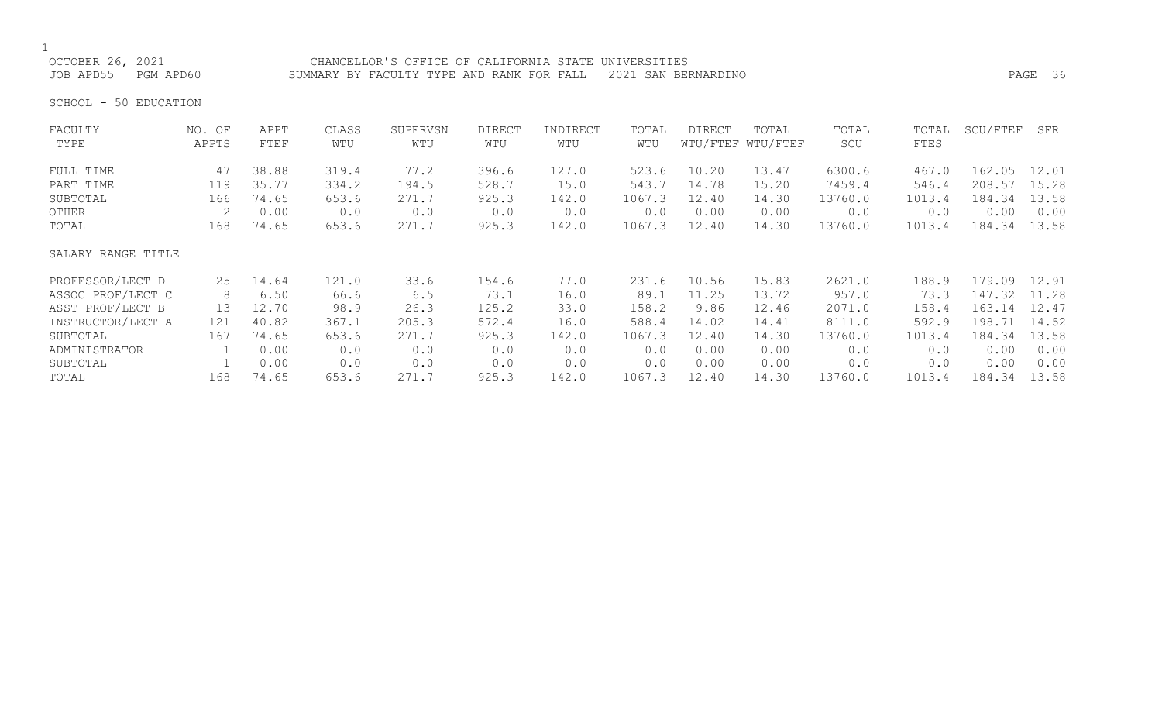# 1<br>OCTOBER 26, 2021

CHANCELLOR'S OFFICE OF CALIFORNIA STATE UNIVERSITIES JOB APD55 PGM APD60 SUMMARY BY FACULTY TYPE AND RANK FOR FALL 2021 SAN BERNARDINO PAGE 36

SCHOOL - 50 EDUCATION

| FACULTY            | NO. OF | APPT  | CLASS | SUPERVSN | <b>DIRECT</b> | INDIRECT | TOTAL  | <b>DIRECT</b> | TOTAL             | TOTAL   | TOTAL  | SCU/FTEF | SFR   |
|--------------------|--------|-------|-------|----------|---------------|----------|--------|---------------|-------------------|---------|--------|----------|-------|
| TYPE               | APPTS  | FTEF  | WTU   | WTU      | WTU           | WTU      | WTU    |               | WTU/FTEF WTU/FTEF | SCU     | FTES   |          |       |
| FULL TIME          | 47     | 38.88 | 319.4 | 77.2     | 396.6         | 127.0    | 523.6  | 10.20         | 13.47             | 6300.6  | 467.0  | 162.05   | 12.01 |
| PART TIME          | 119    | 35.77 | 334.2 | 194.5    | 528.7         | 15.0     | 543.7  | 14.78         | 15.20             | 7459.4  | 546.4  | 208.57   | 15.28 |
| SUBTOTAL           | 166    | 74.65 | 653.6 | 271.7    | 925.3         | 142.0    | 1067.3 | 12.40         | 14.30             | 13760.0 | 1013.4 | 184.34   | 13.58 |
| OTHER              | 2      | 0.00  | 0.0   | 0.0      | 0.0           | 0.0      | 0.0    | 0.00          | 0.00              | 0.0     | 0.0    | 0.00     | 0.00  |
| TOTAL              | 168    | 74.65 | 653.6 | 271.7    | 925.3         | 142.0    | 1067.3 | 12.40         | 14.30             | 13760.0 | 1013.4 | 184.34   | 13.58 |
| SALARY RANGE TITLE |        |       |       |          |               |          |        |               |                   |         |        |          |       |
| PROFESSOR/LECT D   | 25     | 14.64 | 121.0 | 33.6     | 154.6         | 77.0     | 231.6  | 10.56         | 15.83             | 2621.0  | 188.9  | 179.09   | 12.91 |
| ASSOC PROF/LECT C  | 8      | 6.50  | 66.6  | 6.5      | 73.1          | 16.0     | 89.1   | 11.25         | 13.72             | 957.0   | 73.3   | 147.32   | 11.28 |
| ASST PROF/LECT B   | 13     | 12.70 | 98.9  | 26.3     | 125.2         | 33.0     | 158.2  | 9.86          | 12.46             | 2071.0  | 158.4  | 163.14   | 12.47 |
| INSTRUCTOR/LECT A  | 121    | 40.82 | 367.1 | 205.3    | 572.4         | 16.0     | 588.4  | 14.02         | 14.41             | 8111.0  | 592.9  | 198.71   | 14.52 |
| SUBTOTAL           | 167    | 74.65 | 653.6 | 271.7    | 925.3         | 142.0    | 1067.3 | 12.40         | 14.30             | 13760.0 | 1013.4 | 184.34   | 13.58 |
| ADMINISTRATOR      |        | 0.00  | 0.0   | 0.0      | 0.0           | 0.0      | 0.0    | 0.00          | 0.00              | 0.0     | 0.0    | 0.00     | 0.00  |
| SUBTOTAL           |        | 0.00  | 0.0   | 0.0      | 0.0           | 0.0      | 0.0    | 0.00          | 0.00              | 0.0     | 0.0    | 0.00     | 0.00  |
| TOTAL              | 168    | 74.65 | 653.6 | 271.7    | 925.3         | 142.0    | 1067.3 | 12.40         | 14.30             | 13760.0 | 1013.4 | 184.34   | 13.58 |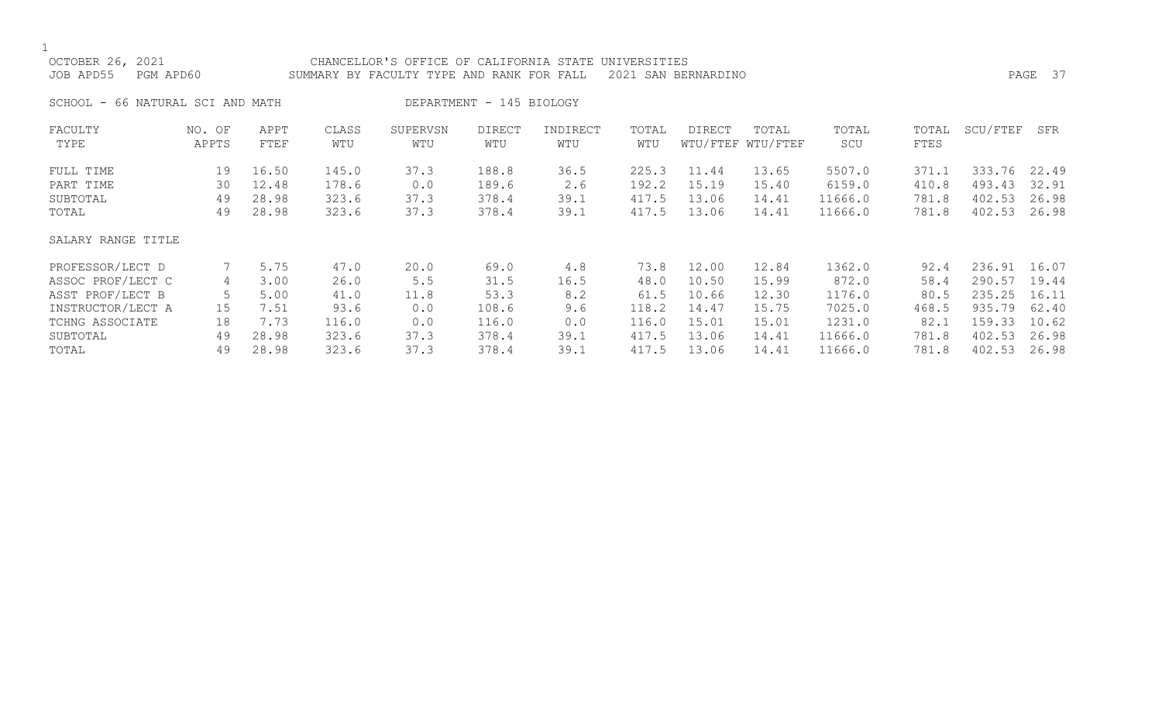|--|

| OCTOBER 26, 2021       |                         |       |       | CHANCELLOR'S OFFICE OF CALIFORNIA STATE UNIVERSITIES |                          |          |       |                     |                   |         |       |          |         |
|------------------------|-------------------------|-------|-------|------------------------------------------------------|--------------------------|----------|-------|---------------------|-------------------|---------|-------|----------|---------|
| JOB APD55<br>PGM APD60 |                         |       |       | SUMMARY BY FACULTY TYPE AND RANK FOR FALL            |                          |          |       | 2021 SAN BERNARDINO |                   |         |       |          | PAGE 37 |
| SCHOOL -               | 66 NATURAL SCI AND MATH |       |       |                                                      | DEPARTMENT - 145 BIOLOGY |          |       |                     |                   |         |       |          |         |
| FACULTY                | NO. OF                  | APPT  | CLASS | SUPERVSN                                             | <b>DIRECT</b>            | INDIRECT | TOTAL | DIRECT              | TOTAL             | TOTAL   | TOTAL | SCU/FTEF | SFR     |
| TYPE                   | APPTS                   | FTEF  | WTU   | WTU                                                  | WTU                      | WTU      | WTU   |                     | WTU/FTEF WTU/FTEF | SCU     | FTES  |          |         |
| FULL TIME              | 19                      | 16.50 | 145.0 | 37.3                                                 | 188.8                    | 36.5     | 225.3 | 11.44               | 13.65             | 5507.0  | 371.1 | 333.76   | 22.49   |
| PART TIME              | 30                      | 12.48 | 178.6 | 0.0                                                  | 189.6                    | 2.6      | 192.2 | 15.19               | 15.40             | 6159.0  | 410.8 | 493.43   | 32.91   |
| SUBTOTAL               | 49                      | 28.98 | 323.6 | 37.3                                                 | 378.4                    | 39.1     | 417.5 | 13.06               | 14.41             | 11666.0 | 781.8 | 402.53   | 26.98   |
| TOTAL                  | 49                      | 28.98 | 323.6 | 37.3                                                 | 378.4                    | 39.1     | 417.5 | 13.06               | 14.41             | 11666.0 | 781.8 | 402.53   | 26.98   |
| SALARY RANGE TITLE     |                         |       |       |                                                      |                          |          |       |                     |                   |         |       |          |         |
| PROFESSOR/LECT D       |                         | 5.75  | 47.0  | 20.0                                                 | 69.0                     | 4.8      | 73.8  | 12.00               | 12.84             | 1362.0  | 92.4  | 236.91   | 16.07   |
| ASSOC PROF/LECT C      | 4                       | 3.00  | 26.0  | 5.5                                                  | 31.5                     | 16.5     | 48.0  | 10.50               | 15.99             | 872.0   | 58.4  | 290.57   | 19.44   |
| ASST PROF/LECT B       | 5                       | 5.00  | 41.0  | 11.8                                                 | 53.3                     | 8.2      | 61.5  | 10.66               | 12.30             | 1176.0  | 80.5  | 235.25   | 16.11   |
| INSTRUCTOR/LECT A      | 15                      | 7.51  | 93.6  | 0.0                                                  | 108.6                    | 9.6      | 118.2 | 14.47               | 15.75             | 7025.0  | 468.5 | 935.79   | 62.40   |
| TCHNG ASSOCIATE        | 18                      | 7.73  | 116.0 | 0.0                                                  | 116.0                    | 0.0      | 116.0 | 15.01               | 15.01             | 1231.0  | 82.1  | 159.33   | 10.62   |
| SUBTOTAL               | 49                      | 28.98 | 323.6 | 37.3                                                 | 378.4                    | 39.1     | 417.5 | 13.06               | 14.41             | 11666.0 | 781.8 | 402.53   | 26.98   |
| TOTAL                  | 49                      | 28.98 | 323.6 | 37.3                                                 | 378.4                    | 39.1     | 417.5 | 13.06               | 14.41             | 11666.0 | 781.8 | 402.53   | 26.98   |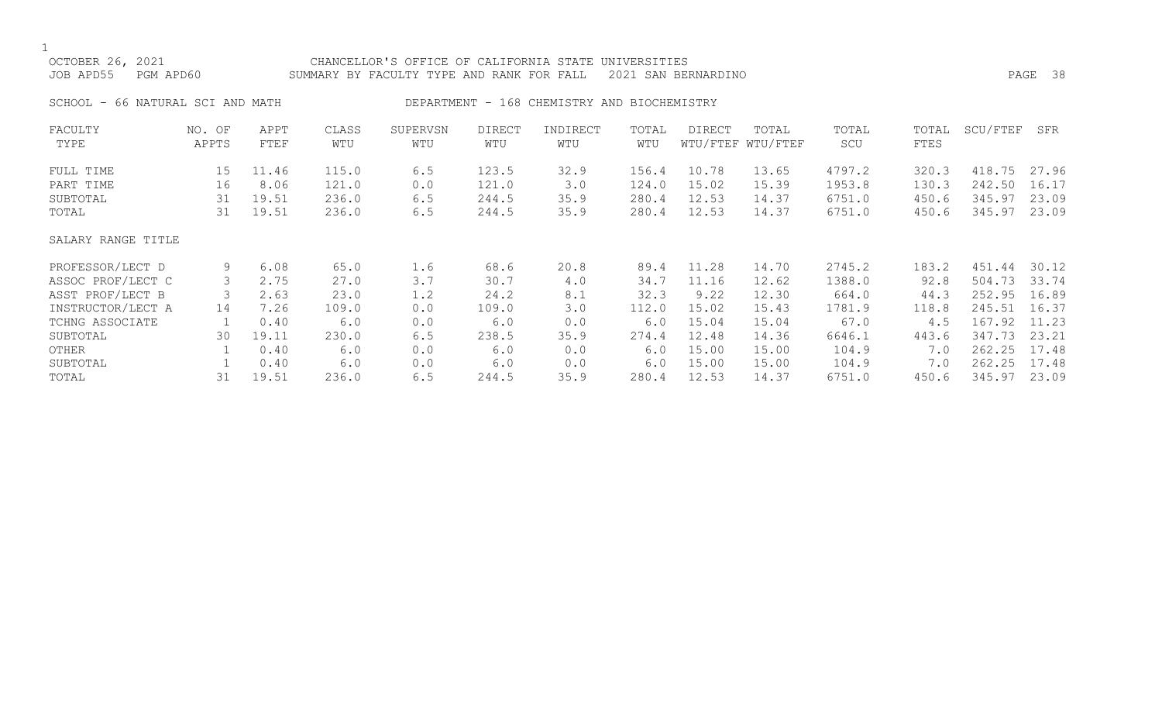| OCTOBER 26, 2021<br>JOB APD55<br>PGM APD60 |                         | CHANCELLOR'S OFFICE OF CALIFORNIA STATE UNIVERSITIES<br>SUMMARY BY FACULTY TYPE AND RANK FOR FALL<br>2021 SAN BERNARDINO |              |                 |               |                                             |              |        |                            |              |               |          | PAGE 38 |
|--------------------------------------------|-------------------------|--------------------------------------------------------------------------------------------------------------------------|--------------|-----------------|---------------|---------------------------------------------|--------------|--------|----------------------------|--------------|---------------|----------|---------|
| SCHOOL -                                   | 66 NATURAL SCI AND MATH |                                                                                                                          |              |                 |               | DEPARTMENT - 168 CHEMISTRY AND BIOCHEMISTRY |              |        |                            |              |               |          |         |
| FACULTY<br>TYPE                            | NO. OF<br>APPTS         | APPT<br>FTEF                                                                                                             | CLASS<br>WTU | SUPERVSN<br>WTU | DIRECT<br>WTU | INDIRECT<br>WTU                             | TOTAL<br>WTU | DIRECT | TOTAL<br>WTU/FTEF WTU/FTEF | TOTAL<br>SCU | TOTAL<br>FTES | SCU/FTEF | SFR     |
| FULL TIME                                  | 15                      | 11.46                                                                                                                    | 115.0        | 6.5             | 123.5         | 32.9                                        | 156.4        | 10.78  | 13.65                      | 4797.2       | 320.3         | 418.75   | 27.96   |
| PART TIME                                  | 16                      | 8.06                                                                                                                     | 121.0        | 0.0             | 121.0         | 3.0                                         | 124.0        | 15.02  | 15.39                      | 1953.8       | 130.3         | 242.50   | 16.17   |
| SUBTOTAL                                   | 31                      | 19.51                                                                                                                    | 236.0        | 6.5             | 244.5         | 35.9                                        | 280.4        | 12.53  | 14.37                      | 6751.0       | 450.6         | 345.97   | 23.09   |
| TOTAL                                      | 31                      | 19.51                                                                                                                    | 236.0        | 6.5             | 244.5         | 35.9                                        | 280.4        | 12.53  | 14.37                      | 6751.0       | 450.6         | 345.97   | 23.09   |
| SALARY RANGE TITLE                         |                         |                                                                                                                          |              |                 |               |                                             |              |        |                            |              |               |          |         |
| PROFESSOR/LECT D                           | 9                       | 6.08                                                                                                                     | 65.0         | 1.6             | 68.6          | 20.8                                        | 89.4         | 11.28  | 14.70                      | 2745.2       | 183.2         | 451.44   | 30.12   |
| ASSOC PROF/LECT C                          | 3                       | 2.75                                                                                                                     | 27.0         | 3.7             | 30.7          | 4.0                                         | 34.7         | 11.16  | 12.62                      | 1388.0       | 92.8          | 504.73   | 33.74   |
| ASST PROF/LECT B                           | 3                       | 2.63                                                                                                                     | 23.0         | 1.2             | 24.2          | 8.1                                         | 32.3         | 9.22   | 12.30                      | 664.0        | 44.3          | 252.95   | 16.89   |
| INSTRUCTOR/LECT A                          | 14                      | 7.26                                                                                                                     | 109.0        | 0.0             | 109.0         | 3.0                                         | 112.0        | 15.02  | 15.43                      | 1781.9       | 118.8         | 245.51   | 16.37   |
| TCHNG ASSOCIATE                            |                         | 0.40                                                                                                                     | 6.0          | 0.0             | 6.0           | 0.0                                         | $6.0$        | 15.04  | 15.04                      | 67.0         | 4.5           | 167.92   | 11.23   |
| SUBTOTAL                                   | 30                      | 19.11                                                                                                                    | 230.0        | 6.5             | 238.5         | 35.9                                        | 274.4        | 12.48  | 14.36                      | 6646.1       | 443.6         | 347.73   | 23.21   |
| OTHER                                      |                         | 0.40                                                                                                                     | 6.0          | 0.0             | 6.0           | 0.0                                         | 6.0          | 15.00  | 15.00                      | 104.9        | 7.0           | 262.25   | 17.48   |
| SUBTOTAL                                   |                         | 0.40                                                                                                                     | 6.0          | 0.0             | 6.0           | 0.0                                         | 6.0          | 15.00  | 15.00                      | 104.9        | 7.0           | 262.25   | 17.48   |
| TOTAL                                      | 31                      | 19.51                                                                                                                    | 236.0        | 6.5             | 244.5         | 35.9                                        | 280.4        | 12.53  | 14.37                      | 6751.0       | 450.6         | 345.97   | 23.09   |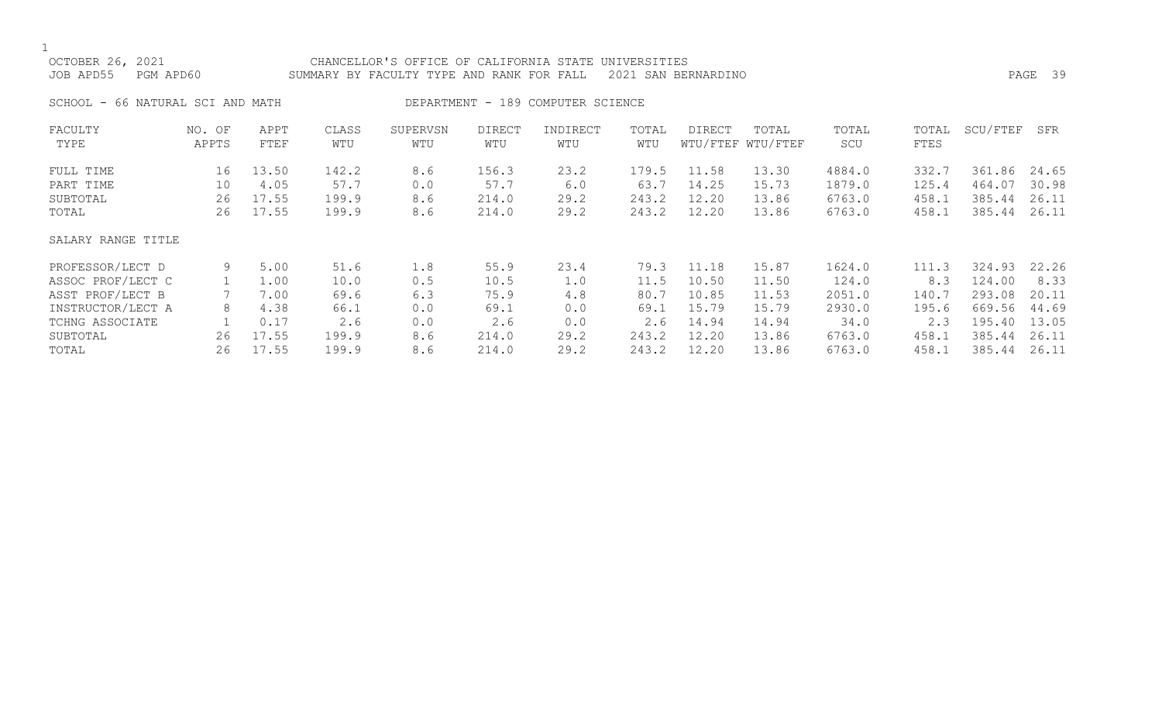|--|

| OCTOBER 26, 2021<br>JOB APD55<br>PGM APD60 |                 | CHANCELLOR'S OFFICE OF CALIFORNIA STATE<br>UNIVERSITIES<br>2021 SAN BERNARDINO<br>SUMMARY BY FACULTY TYPE AND RANK FOR FALL |              |                 |                      |                                   |              |        |                            |              |               | PAGE 39  |       |  |  |  |
|--------------------------------------------|-----------------|-----------------------------------------------------------------------------------------------------------------------------|--------------|-----------------|----------------------|-----------------------------------|--------------|--------|----------------------------|--------------|---------------|----------|-------|--|--|--|
| SCHOOL - 66 NATURAL SCI AND MATH           |                 |                                                                                                                             |              |                 |                      | DEPARTMENT - 189 COMPUTER SCIENCE |              |        |                            |              |               |          |       |  |  |  |
| FACULTY<br>TYPE                            | NO. OF<br>APPTS | APPT<br>FTEF                                                                                                                | CLASS<br>WTU | SUPERVSN<br>WTU | <b>DIRECT</b><br>WTU | INDIRECT<br>WTU                   | TOTAL<br>WTU | DIRECT | TOTAL<br>WTU/FTEF WTU/FTEF | TOTAL<br>SCU | TOTAL<br>FTES | SCU/FTEF | SFR   |  |  |  |
| FULL TIME                                  | 16              | 13.50                                                                                                                       | 142.2        | 8.6             | 156.3                | 23.2                              | 179.5        | 11.58  | 13.30                      | 4884.0       | 332.7         | 361.86   | 24.65 |  |  |  |
| PART TIME                                  | 10              | 4.05                                                                                                                        | 57.7         | 0.0             | 57.7                 | 6.0                               | 63.7         | 14.25  | 15.73                      | 1879.0       | 125.4         | 464.07   | 30.98 |  |  |  |
| SUBTOTAL                                   | 26              | 17.55                                                                                                                       | 199.9        | 8.6             | 214.0                | 29.2                              | 243.2        | 12.20  | 13.86                      | 6763.0       | 458.1         | 385.44   | 26.11 |  |  |  |
| TOTAL                                      | 26              | 17.55                                                                                                                       | 199.9        | 8.6             | 214.0                | 29.2                              | 243.2        | 12.20  | 13.86                      | 6763.0       | 458.1         | 385.44   | 26.11 |  |  |  |
| SALARY RANGE TITLE                         |                 |                                                                                                                             |              |                 |                      |                                   |              |        |                            |              |               |          |       |  |  |  |
| PROFESSOR/LECT D                           | 9               | 5.00                                                                                                                        | 51.6         | 1.8             | 55.9                 | 23.4                              | 79.3         | 11.18  | 15.87                      | 1624.0       | 111.3         | 324.93   | 22.26 |  |  |  |
| ASSOC PROF/LECT C                          |                 | 1.00                                                                                                                        | 10.0         | 0.5             | 10.5                 | 1.0                               | 11.5         | 10.50  | 11.50                      | 124.0        | 8.3           | 124.00   | 8.33  |  |  |  |
| ASST PROF/LECT B                           |                 | 7.00                                                                                                                        | 69.6         | 6.3             | 75.9                 | 4.8                               | 80.7         | 10.85  | 11.53                      | 2051.0       | 140.7         | 293.08   | 20.11 |  |  |  |
| INSTRUCTOR/LECT A                          | 8               | 4.38                                                                                                                        | 66.1         | 0.0             | 69.1                 | 0.0                               | 69.1         | 15.79  | 15.79                      | 2930.0       | 195.6         | 669.56   | 44.69 |  |  |  |
| TCHNG ASSOCIATE                            |                 | 0.17                                                                                                                        | 2.6          | $0.0$           | 2.6                  | 0.0                               | 2.6          | 14.94  | 14.94                      | 34.0         | 2.3           | 195.40   | 13.05 |  |  |  |
| SUBTOTAL                                   | 26              | 17.55                                                                                                                       | 199.9        | 8.6             | 214.0                | 29.2                              | 243.2        | 12.20  | 13.86                      | 6763.0       | 458.1         | 385.44   | 26.11 |  |  |  |
| TOTAL                                      | 26              | 17.55                                                                                                                       | 199.9        | 8.6             | 214.0                | 29.2                              | 243.2        | 12.20  | 13.86                      | 6763.0       | 458.1         | 385.44   | 26.11 |  |  |  |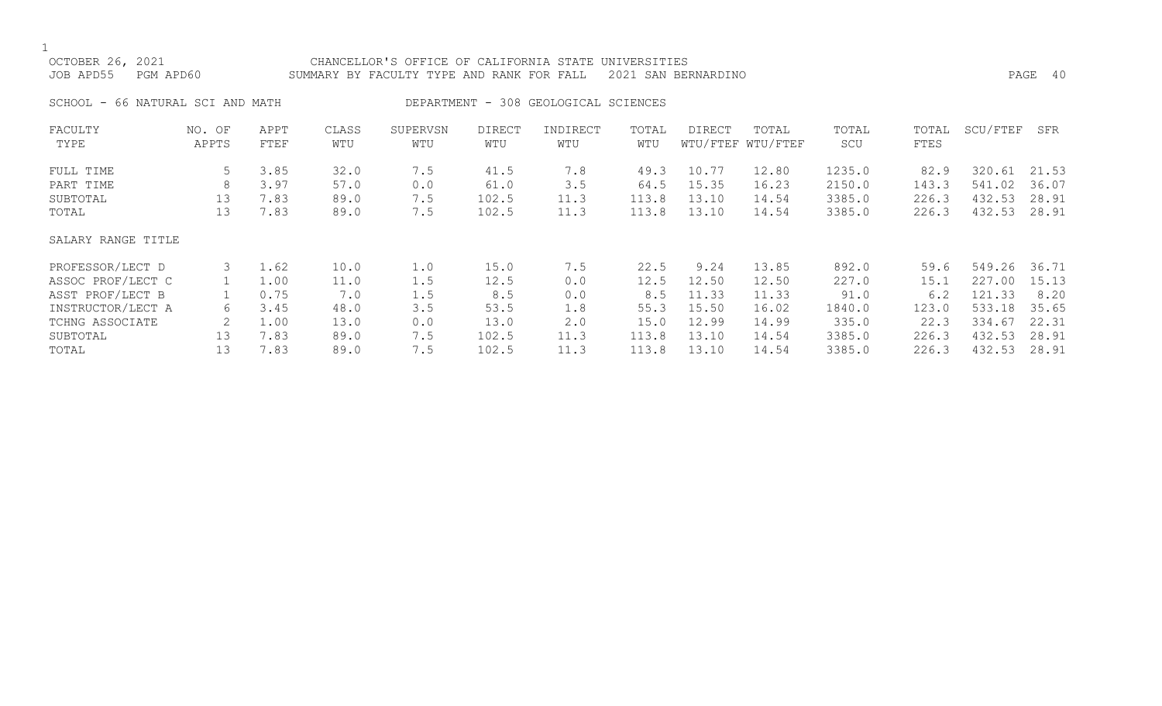| OCTOBER 26, 2021<br>JOB APD55<br>PGM APD60                                                                             |                         | CHANCELLOR'S OFFICE OF CALIFORNIA STATE UNIVERSITIES<br>SUMMARY BY FACULTY TYPE AND RANK FOR FALL<br>2021 SAN BERNARDINO |                                                     |                                               |                                                       |                                                 |                                                       |                                                            |                                                             |                                                               |                                                        |                                                                    | PAGE 40                                                    |  |  |  |
|------------------------------------------------------------------------------------------------------------------------|-------------------------|--------------------------------------------------------------------------------------------------------------------------|-----------------------------------------------------|-----------------------------------------------|-------------------------------------------------------|-------------------------------------------------|-------------------------------------------------------|------------------------------------------------------------|-------------------------------------------------------------|---------------------------------------------------------------|--------------------------------------------------------|--------------------------------------------------------------------|------------------------------------------------------------|--|--|--|
| SCHOOL - 66 NATURAL SCI AND MATH                                                                                       |                         |                                                                                                                          |                                                     |                                               |                                                       | DEPARTMENT - 308 GEOLOGICAL SCIENCES            |                                                       |                                                            |                                                             |                                                               |                                                        |                                                                    |                                                            |  |  |  |
| FACULTY<br>TYPE                                                                                                        | NO. OF<br>APPTS         | APPT<br>FTEF                                                                                                             | CLASS<br>WTU                                        | SUPERVSN<br>WTU                               | <b>DIRECT</b><br>WTU                                  | INDIRECT<br>WTU                                 | TOTAL<br>WTU                                          | <b>DIRECT</b>                                              | TOTAL<br>WTU/FTEF WTU/FTEF                                  | TOTAL<br>SCU                                                  | TOTAL<br>FTES                                          | SCU/FTEF                                                           | SFR                                                        |  |  |  |
| FULL TIME<br>PART TIME<br>SUBTOTAL<br>TOTAL                                                                            | 5<br>8<br>13<br>13      | 3.85<br>3.97<br>7.83<br>7.83                                                                                             | 32.0<br>57.0<br>89.0<br>89.0                        | 7.5<br>0.0<br>7.5<br>7.5                      | 41.5<br>61.0<br>102.5<br>102.5                        | 7.8<br>3.5<br>11.3<br>11.3                      | 49.3<br>64.5<br>113.8<br>113.8                        | 10.77<br>15.35<br>13.10<br>13.10                           | 12.80<br>16.23<br>14.54<br>14.54                            | 1235.0<br>2150.0<br>3385.0<br>3385.0                          | 82.9<br>143.3<br>226.3<br>226.3                        | 320.61<br>541.02<br>432.53<br>432.53                               | 21.53<br>36.07<br>28.91<br>28.91                           |  |  |  |
| SALARY RANGE TITLE                                                                                                     |                         |                                                                                                                          |                                                     |                                               |                                                       |                                                 |                                                       |                                                            |                                                             |                                                               |                                                        |                                                                    |                                                            |  |  |  |
| PROFESSOR/LECT D<br>ASSOC PROF/LECT C<br>ASST PROF/LECT B<br>INSTRUCTOR/LECT A<br>TCHNG ASSOCIATE<br>SUBTOTAL<br>TOTAL | 3<br>6<br>2<br>13<br>13 | 1.62<br>1.00<br>0.75<br>3.45<br>1.00<br>7.83<br>7.83                                                                     | 10.0<br>11.0<br>7.0<br>48.0<br>13.0<br>89.0<br>89.0 | 1.0<br>1.5<br>1.5<br>3.5<br>0.0<br>7.5<br>7.5 | 15.0<br>12.5<br>8.5<br>53.5<br>13.0<br>102.5<br>102.5 | 7.5<br>0.0<br>0.0<br>1.8<br>2.0<br>11.3<br>11.3 | 22.5<br>12.5<br>8.5<br>55.3<br>15.0<br>113.8<br>113.8 | 9.24<br>12.50<br>11.33<br>15.50<br>12.99<br>13.10<br>13.10 | 13.85<br>12.50<br>11.33<br>16.02<br>14.99<br>14.54<br>14.54 | 892.0<br>227.0<br>91.0<br>1840.0<br>335.0<br>3385.0<br>3385.0 | 59.6<br>15.1<br>6.2<br>123.0<br>22.3<br>226.3<br>226.3 | 549.26<br>227.00<br>121.33<br>533.18<br>334.67<br>432.53<br>432.53 | 36.71<br>15.13<br>8.20<br>35.65<br>22.31<br>28.91<br>28.91 |  |  |  |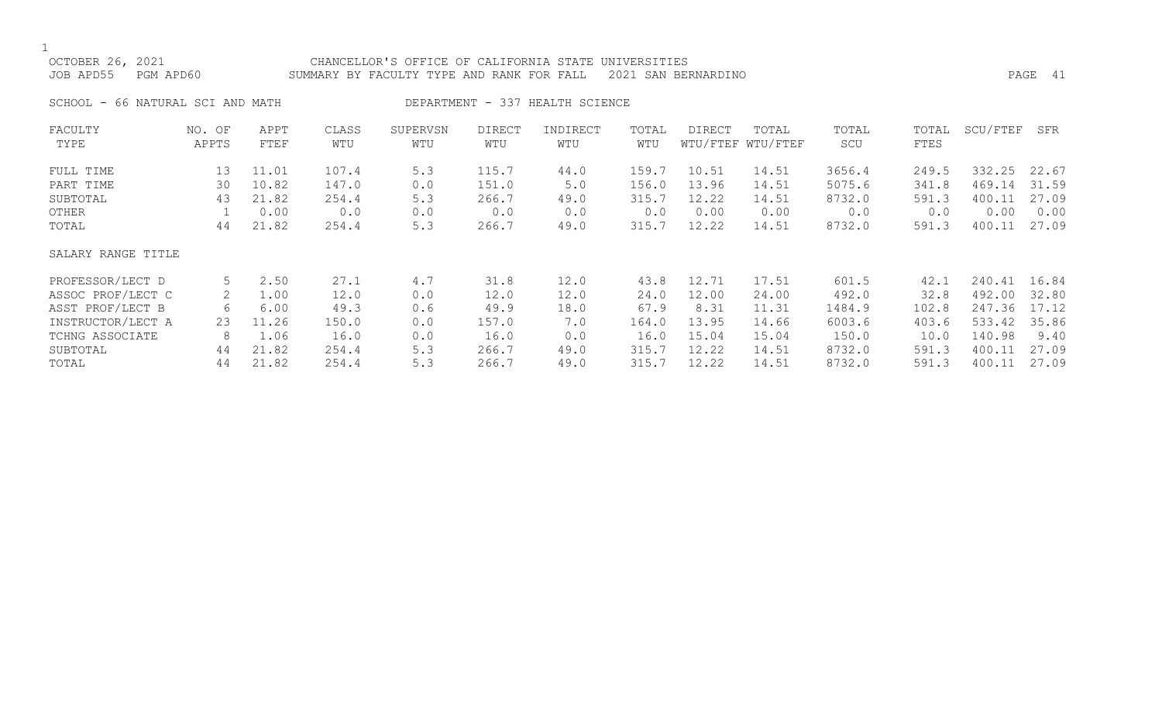# OCTOBER 26, 2021 CHANCELLOR'S OFFICE OF CALIFORNIA STATE UNIVERSITIES JOB APD55 PGM APD60 SUMMARY BY FACULTY TYPE AND RANK FOR FALL 2021 SAN BERNARDINO PAGE 41

SCHOOL - 66 NATURAL SCI AND MATH DEPARTMENT - 337 HEALTH SCIENCE

| FACULTY            | NO. OF | APPT  | CLASS | SUPERVSN | <b>DIRECT</b> | INDIRECT | TOTAL | DIRECT | TOTAL             | TOTAL  | TOTAL | SCU/FTEF | SFR   |
|--------------------|--------|-------|-------|----------|---------------|----------|-------|--------|-------------------|--------|-------|----------|-------|
| TYPE               | APPTS  | FTEF  | WTU   | WTU      | WTU           | WTU      | WTU   |        | WTU/FTEF WTU/FTEF | SCU    | FTES  |          |       |
| FULL TIME          | 13     | 11.01 | 107.4 | 5.3      | 115.7         | 44.0     | 159.7 | 10.51  | 14.51             | 3656.4 | 249.5 | 332.25   | 22.67 |
| PART TIME          | 30     | 10.82 | 147.0 | 0.0      | 151.0         | 5.0      | 156.0 | 13.96  | 14.51             | 5075.6 | 341.8 | 469.14   | 31.59 |
| SUBTOTAL           | 43     | 21.82 | 254.4 | 5.3      | 266.7         | 49.0     | 315.7 | 12.22  | 14.51             | 8732.0 | 591.3 | 400.11   | 27.09 |
| OTHER              |        | 0.00  | 0.0   | 0.0      | 0.0           | 0.0      | 0.0   | 0.00   | 0.00              | 0.0    | 0.0   | 0.00     | 0.00  |
| TOTAL              | 44     | 21.82 | 254.4 | 5.3      | 266.7         | 49.0     | 315.7 | 12.22  | 14.51             | 8732.0 | 591.3 | 400.11   | 27.09 |
| SALARY RANGE TITLE |        |       |       |          |               |          |       |        |                   |        |       |          |       |
| PROFESSOR/LECT D   | 5      | 2.50  | 27.1  | 4.7      | 31.8          | 12.0     | 43.8  | 12.71  | 17.51             | 601.5  | 42.1  | 240.41   | 16.84 |
| ASSOC PROF/LECT C  | 2      | 1.00  | 12.0  | 0.0      | 12.0          | 12.0     | 24.0  | 12.00  | 24.00             | 492.0  | 32.8  | 492.00   | 32.80 |
| ASST PROF/LECT B   | 6      | 6.00  | 49.3  | 0.6      | 49.9          | 18.0     | 67.9  | 8.31   | 11.31             | 1484.9 | 102.8 | 247.36   | 17.12 |
| INSTRUCTOR/LECT A  | 23     | 11.26 | 150.0 | 0.0      | 157.0         | 7.0      | 164.0 | 13.95  | 14.66             | 6003.6 | 403.6 | 533.42   | 35.86 |
| TCHNG ASSOCIATE    | 8      | 1.06  | 16.0  | 0.0      | 16.0          | 0.0      | 16.0  | 15.04  | 15.04             | 150.0  | 10.0  | 140.98   | 9.40  |
| SUBTOTAL           | 44     | 21.82 | 254.4 | 5.3      | 266.7         | 49.0     | 315.7 | 12.22  | 14.51             | 8732.0 | 591.3 | 400.11   | 27.09 |
| TOTAL              | 44     | 21.82 | 254.4 | 5.3      | 266.7         | 49.0     | 315.7 | 12.22  | 14.51             | 8732.0 | 591.3 | 400.11   | 27.09 |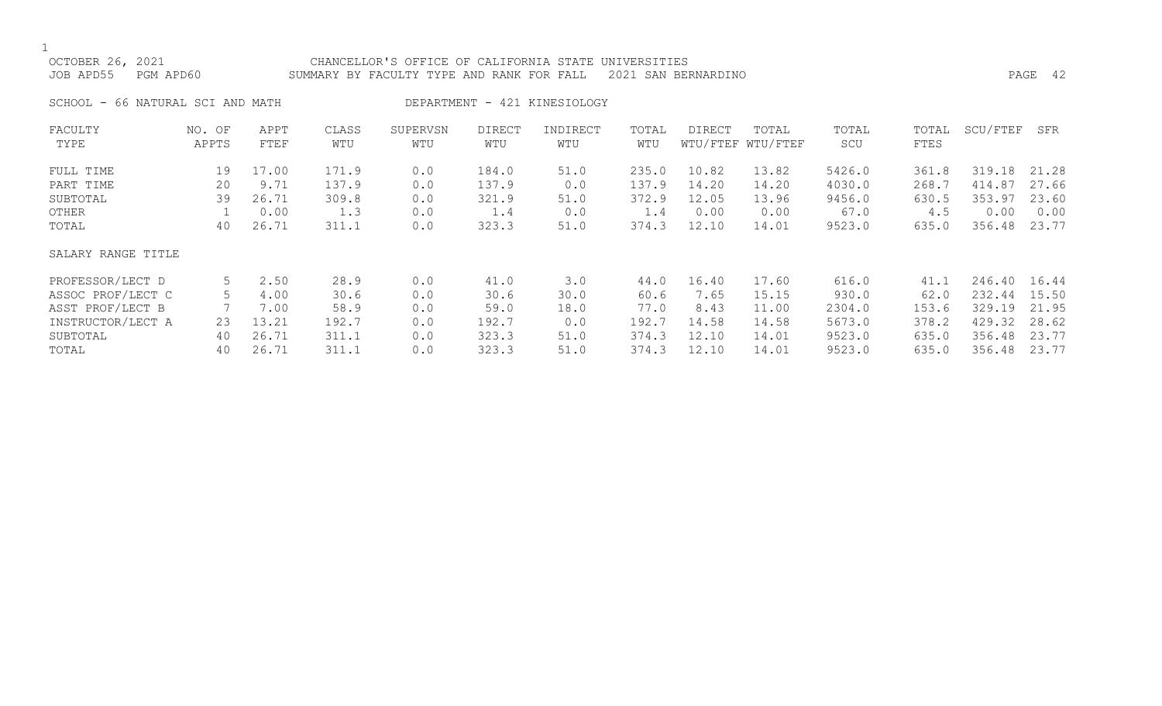# OCTOBER 26, 2021 CHANCELLOR'S OFFICE OF CALIFORNIA STATE UNIVERSITIES JOB APD55 PGM APD60 SUMMARY BY FACULTY TYPE AND RANK FOR FALL 2021 SAN BERNARDINO PAGE 42

SCHOOL - 66 NATURAL SCI AND MATH DEPARTMENT - 421 KINESIOLOGY

| FACULTY            | NO. OF | APPT  | CLASS | SUPERVSN | <b>DIRECT</b> | INDIRECT | TOTAL | DIRECT | TOTAL             | TOTAL  | TOTAL | SCU/FTEF | SFR   |
|--------------------|--------|-------|-------|----------|---------------|----------|-------|--------|-------------------|--------|-------|----------|-------|
| TYPE               | APPTS  | FTEF  | WTU   | WTU      | WTU           | WTU      | WTU   |        | WTU/FTEF WTU/FTEF | SCU    | FTES  |          |       |
| FULL TIME          | 19     | 17.00 | 171.9 | 0.0      | 184.0         | 51.0     | 235.0 | 10.82  | 13.82             | 5426.0 | 361.8 | 319.18   | 21.28 |
| PART TIME          | 20     | 9.71  | 137.9 | 0.0      | 137.9         | 0.0      | 137.9 | 14.20  | 14.20             | 4030.0 | 268.7 | 414.87   | 27.66 |
| SUBTOTAL           | 39     | 26.71 | 309.8 | 0.0      | 321.9         | 51.0     | 372.9 | 12.05  | 13.96             | 9456.0 | 630.5 | 353.97   | 23.60 |
| OTHER              |        | 0.00  | 1.3   | 0.0      | 1.4           | 0.0      | 1.4   | 0.00   | 0.00              | 67.0   | 4.5   | 0.00     | 0.00  |
| TOTAL              | 40     | 26.71 | 311.1 | 0.0      | 323.3         | 51.0     | 374.3 | 12.10  | 14.01             | 9523.0 | 635.0 | 356.48   | 23.77 |
| SALARY RANGE TITLE |        |       |       |          |               |          |       |        |                   |        |       |          |       |
| PROFESSOR/LECT D   | 5      | 2.50  | 28.9  | 0.0      | 41.0          | 3.0      | 44.0  | 16.40  | 17.60             | 616.0  | 41.1  | 246.40   | 16.44 |
| ASSOC PROF/LECT C  |        | 4.00  | 30.6  | 0.0      | 30.6          | 30.0     | 60.6  | 7.65   | 15.15             | 930.0  | 62.0  | 232.44   | 15.50 |
| ASST PROF/LECT B   |        | 7.00  | 58.9  | 0.0      | 59.0          | 18.0     | 77.0  | 8.43   | 11.00             | 2304.0 | 153.6 | 329.19   | 21.95 |
| INSTRUCTOR/LECT A  | 23     | 13.21 | 192.7 | 0.0      | 192.7         | 0.0      | 192.7 | 14.58  | 14.58             | 5673.0 | 378.2 | 429.32   | 28.62 |
| SUBTOTAL           | 40     | 26.71 | 311.1 | 0.0      | 323.3         | 51.0     | 374.3 | 12.10  | 14.01             | 9523.0 | 635.0 | 356.48   | 23.77 |
| TOTAL              | 40     | 26.71 | 311.1 | 0.0      | 323.3         | 51.0     | 374.3 | 12.10  | 14.01             | 9523.0 | 635.0 | 356.48   | 23.77 |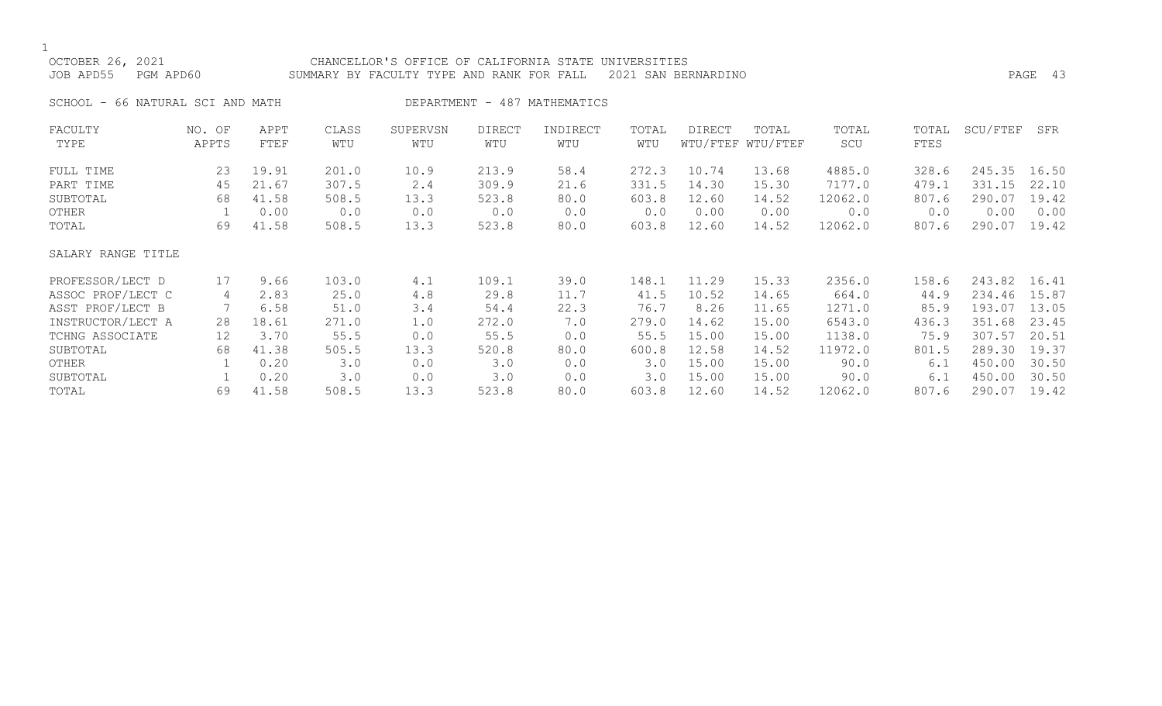| OCTOBER 26, 2021<br>JOB APD55<br>PGM APD60 |                 |              |              | CHANCELLOR'S OFFICE OF CALIFORNIA STATE UNIVERSITIES<br>SUMMARY BY FACULTY TYPE AND RANK FOR FALL |               |                              |              | 2021 SAN BERNARDINO |                            |              |               |          | PAGE 43 |
|--------------------------------------------|-----------------|--------------|--------------|---------------------------------------------------------------------------------------------------|---------------|------------------------------|--------------|---------------------|----------------------------|--------------|---------------|----------|---------|
| SCHOOL - 66 NATURAL SCI AND MATH           |                 |              |              |                                                                                                   |               | DEPARTMENT - 487 MATHEMATICS |              |                     |                            |              |               |          |         |
| FACULTY<br>TYPE                            | NO. OF<br>APPTS | APPT<br>FTEF | CLASS<br>WTU | SUPERVSN<br>WTU                                                                                   | DIRECT<br>WTU | INDIRECT<br>WTU              | TOTAL<br>WTU | DIRECT              | TOTAL<br>WTU/FTEF WTU/FTEF | TOTAL<br>SCU | TOTAL<br>FTES | SCU/FTEF | SFR     |
| FULL TIME                                  | 23              | 19.91        | 201.0        | 10.9                                                                                              | 213.9         | 58.4                         | 272.3        | 10.74               | 13.68                      | 4885.0       | 328.6         | 245.35   | 16.50   |
| PART TIME                                  | 45              | 21.67        | 307.5        | 2.4                                                                                               | 309.9         | 21.6                         | 331.5        | 14.30               | 15.30                      | 7177.0       | 479.1         | 331.15   | 22.10   |
| SUBTOTAL                                   | 68              | 41.58        | 508.5        | 13.3                                                                                              | 523.8         | 80.0                         | 603.8        | 12.60               | 14.52                      | 12062.0      | 807.6         | 290.07   | 19.42   |
| OTHER                                      |                 | 0.00         | 0.0          | 0.0                                                                                               | 0.0           | 0.0                          | 0.0          | 0.00                | 0.00                       | 0.0          | 0.0           | 0.00     | 0.00    |
| TOTAL                                      | 69              | 41.58        | 508.5        | 13.3                                                                                              | 523.8         | 80.0                         | 603.8        | 12.60               | 14.52                      | 12062.0      | 807.6         | 290.07   | 19.42   |
| SALARY RANGE TITLE                         |                 |              |              |                                                                                                   |               |                              |              |                     |                            |              |               |          |         |
| PROFESSOR/LECT D                           | 17              | 9.66         | 103.0        | 4.1                                                                                               | 109.1         | 39.0                         | 148.1        | 11.29               | 15.33                      | 2356.0       | 158.6         | 243.82   | 16.41   |
| ASSOC PROF/LECT C                          | 4               | 2.83         | 25.0         | 4.8                                                                                               | 29.8          | 11.7                         | 41.5         | 10.52               | 14.65                      | 664.0        | 44.9          | 234.46   | 15.87   |
| ASST PROF/LECT B                           |                 | 6.58         | 51.0         | 3.4                                                                                               | 54.4          | 22.3                         | 76.7         | 8.26                | 11.65                      | 1271.0       | 85.9          | 193.07   | 13.05   |

INSTRUCTOR/LECT A 28 18.61 271.0 1.0 272.0 7.0 279.0 14.62 15.00 6543.0 436.3 351.68 23.45 TCHNG ASSOCIATE 12 3.70 55.5 0.0 55.5 0.0 55.5 15.00 15.00 1138.0 75.9 307.57 20.51 SUBTOTAL 68 41.38 505.5 13.3 520.8 80.0 600.8 12.58 14.52 11972.0 801.5 289.30 19.37 OTHER 1 0.20 3.0 0.0 3.0 0.0 3.0 15.00 15.00 90.0 6.1 450.00 30.50 SUBTOTAL 1 0.20 3.0 0.0 3.0 0.0 3.0 15.00 15.00 90.0 6.1 450.00 30.50 TOTAL 69 41.58 508.5 13.3 523.8 80.0 603.8 12.60 14.52 12062.0 807.6 290.07 19.42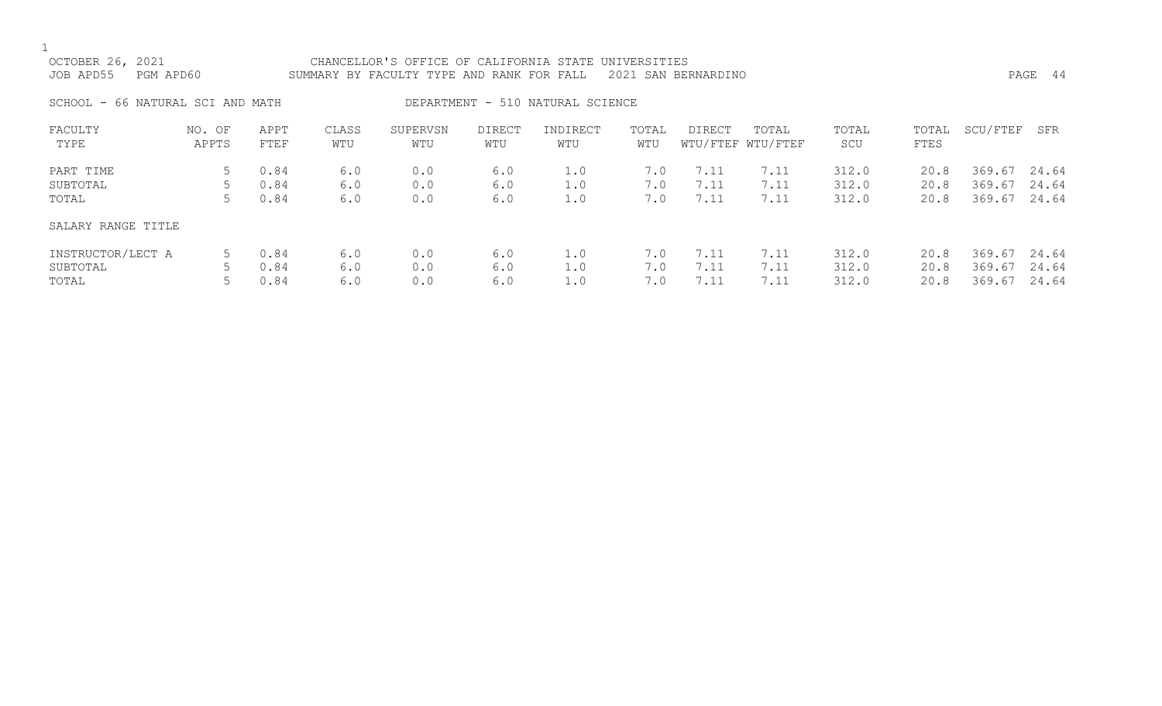| OCTOBER 26, 2021<br>JOB APD55    | CHANCELLOR'S OFFICE OF CALIFORNIA STATE UNIVERSITIES<br>2021 SAN BERNARDINO<br>PGM APD60<br>SUMMARY BY FACULTY TYPE AND RANK FOR FALL |                      |                   |                   |                   |                                  |                   |                      |                            |                         |                      |                            | PAGE 44                 |
|----------------------------------|---------------------------------------------------------------------------------------------------------------------------------------|----------------------|-------------------|-------------------|-------------------|----------------------------------|-------------------|----------------------|----------------------------|-------------------------|----------------------|----------------------------|-------------------------|
| SCHOOL - 66 NATURAL SCI AND MATH |                                                                                                                                       |                      |                   |                   |                   | DEPARTMENT - 510 NATURAL SCIENCE |                   |                      |                            |                         |                      |                            |                         |
| FACULTY<br>TYPE                  | NO. OF<br>APPTS                                                                                                                       | APPT<br>FTEF         | CLASS<br>WTU      | SUPERVSN<br>WTU   | DIRECT<br>WTU     | INDIRECT<br>WTU                  | TOTAL<br>WTU      | DIRECT               | TOTAL<br>WTU/FTEF WTU/FTEF | TOTAL<br>SCU            | TOTAL<br>FTES        | SCU/FTEF                   | SFR                     |
| PART TIME<br>SUBTOTAL<br>TOTAL   | 5                                                                                                                                     | 0.84<br>0.84<br>0.84 | 6.0<br>6.0<br>6.0 | 0.0<br>0.0<br>0.0 | 6.0<br>6.0<br>6.0 | 1.0<br>1.0<br>1.0                | 7.0<br>7.0<br>7.0 | 7.11<br>7.11<br>7.11 | 7.11<br>7.11<br>7.11       | 312.0<br>312.0<br>312.0 | 20.8<br>20.8<br>20.8 | 369.67<br>369.67<br>369.67 | 24.64<br>24.64<br>24.64 |
| SALARY RANGE TITLE               |                                                                                                                                       |                      |                   |                   |                   |                                  |                   |                      |                            |                         |                      |                            |                         |
| INSTRUCTOR/LECT A<br>SUBTOTAL    | 5                                                                                                                                     | 0.84<br>0.84         | 6.0<br>6.0        | 0.0<br>0.0        | 6.0<br>6.0        | 1.0<br>1.0                       | 7.0<br>7.0        | 7.11<br>7.11         | 7.11<br>7.11               | 312.0<br>312.0          | 20.8<br>20.8         | 369.67<br>369.67           | 24.64<br>24.64          |

TOTAL 5 0.84 6.0 0.0 6.0 1.0 7.0 7.11 7.11 312.0 20.8 369.67 24.64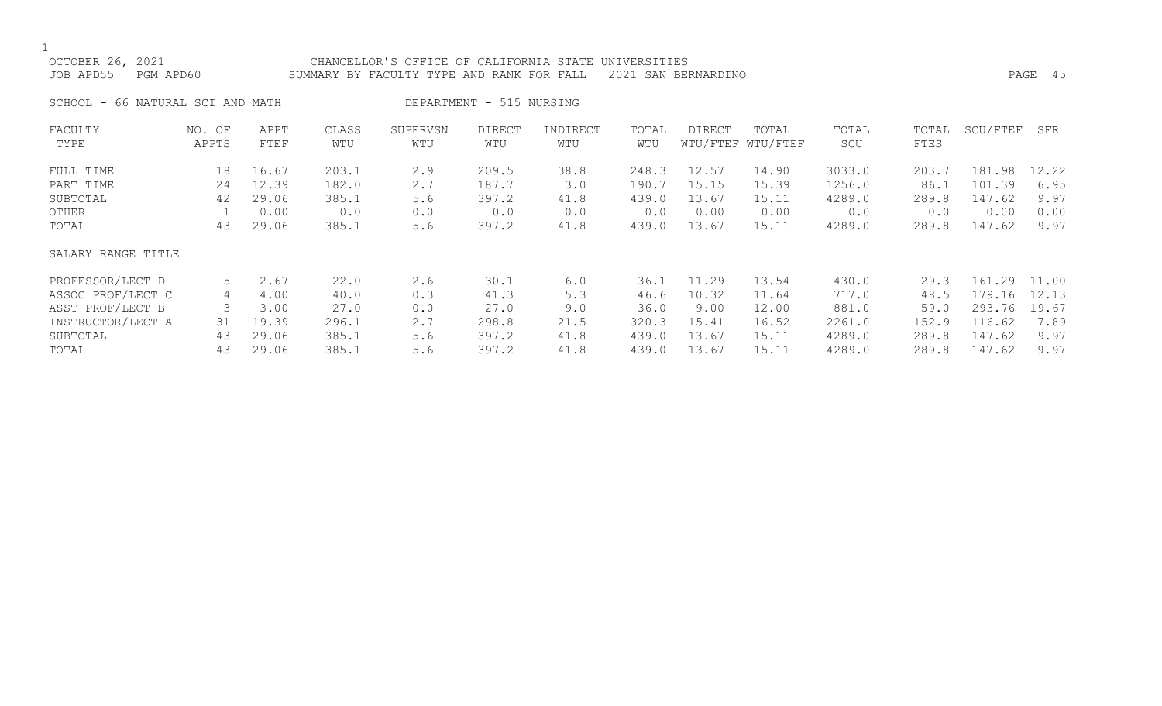$\frac{1}{\text{OCT}}$ 

| OCTOBER 26, 2021    |                                  | CHANCELLOR'S OFFICE OF CALIFORNIA STATE UNIVERSITIES          |         |  |
|---------------------|----------------------------------|---------------------------------------------------------------|---------|--|
| JOB APD55 PGM APD60 |                                  | SUMMARY BY FACULTY TYPE AND RANK FOR FALL 2021 SAN BERNARDINO | PAGE 45 |  |
|                     | SCHOOL - 66 NATURAL SCI AND MATH | DEPARTMENT - 515 NURSING                                      |         |  |

| FACULTY<br>TYPE    | NO. OF<br>APPTS | APPT<br>FTEF | CLASS<br>WTU | SUPERVSN<br>WTU | <b>DIRECT</b><br>WTU | INDIRECT<br>WTU | TOTAL<br>WTU | <b>DIRECT</b> | TOTAL<br>WTU/FTEF WTU/FTEF | TOTAL<br>SCU | TOTAL<br>FTES | SCU/FTEF | SFR   |
|--------------------|-----------------|--------------|--------------|-----------------|----------------------|-----------------|--------------|---------------|----------------------------|--------------|---------------|----------|-------|
| FULL TIME          | 18              | 16.67        | 203.1        | 2.9             | 209.5                | 38.8            | 248.3        | 12.57         | 14.90                      | 3033.0       | 203.7         | 181.98   | 12.22 |
| PART TIME          | 24              | 12.39        | 182.0        | 2.7             | 187.7                | 3.0             | 190.7        | 15.15         | 15.39                      | 1256.0       | 86.1          | 101.39   | 6.95  |
| SUBTOTAL           | 42              | 29.06        | 385.1        | 5.6             | 397.2                | 41.8            | 439.0        | 13.67         | 15.11                      | 4289.0       | 289.8         | 147.62   | 9.97  |
| OTHER              |                 | 0.00         | 0.0          | 0.0             | 0.0                  | 0.0             | 0.0          | 0.00          | 0.00                       | 0.0          | 0.0           | 0.00     | 0.00  |
| TOTAL              | 43              | 29.06        | 385.1        | 5.6             | 397.2                | 41.8            | 439.0        | 13.67         | 15.11                      | 4289.0       | 289.8         | 147.62   | 9.97  |
| SALARY RANGE TITLE |                 |              |              |                 |                      |                 |              |               |                            |              |               |          |       |
| PROFESSOR/LECT D   | 5               | 2.67         | 22.0         | 2.6             | 30.1                 | 6.0             | 36.1         | 11.29         | 13.54                      | 430.0        | 29.3          | 161.29   | 11.00 |
| ASSOC PROF/LECT C  | 4               | 4.00         | 40.0         | 0.3             | 41.3                 | 5.3             | 46.6         | 10.32         | 11.64                      | 717.0        | 48.5          | 179.16   | 12.13 |
| ASST PROF/LECT B   |                 | 3.00         | 27.0         | 0.0             | 27.0                 | 9.0             | 36.0         | 9.00          | 12.00                      | 881.0        | 59.0          | 293.76   | 19.67 |
| INSTRUCTOR/LECT A  | 31              | 19.39        | 296.1        | 2.7             | 298.8                | 21.5            | 320.3        | 15.41         | 16.52                      | 2261.0       | 152.9         | 116.62   | 7.89  |
| SUBTOTAL           | 43              | 29.06        | 385.1        | 5.6             | 397.2                | 41.8            | 439.0        | 13.67         | 15.11                      | 4289.0       | 289.8         | 147.62   | 9.97  |
| TOTAL              | 43              | 29.06        | 385.1        | 5.6             | 397.2                | 41.8            | 439.0        | 13.67         | 15.11                      | 4289.0       | 289.8         | 147.62   | 9.97  |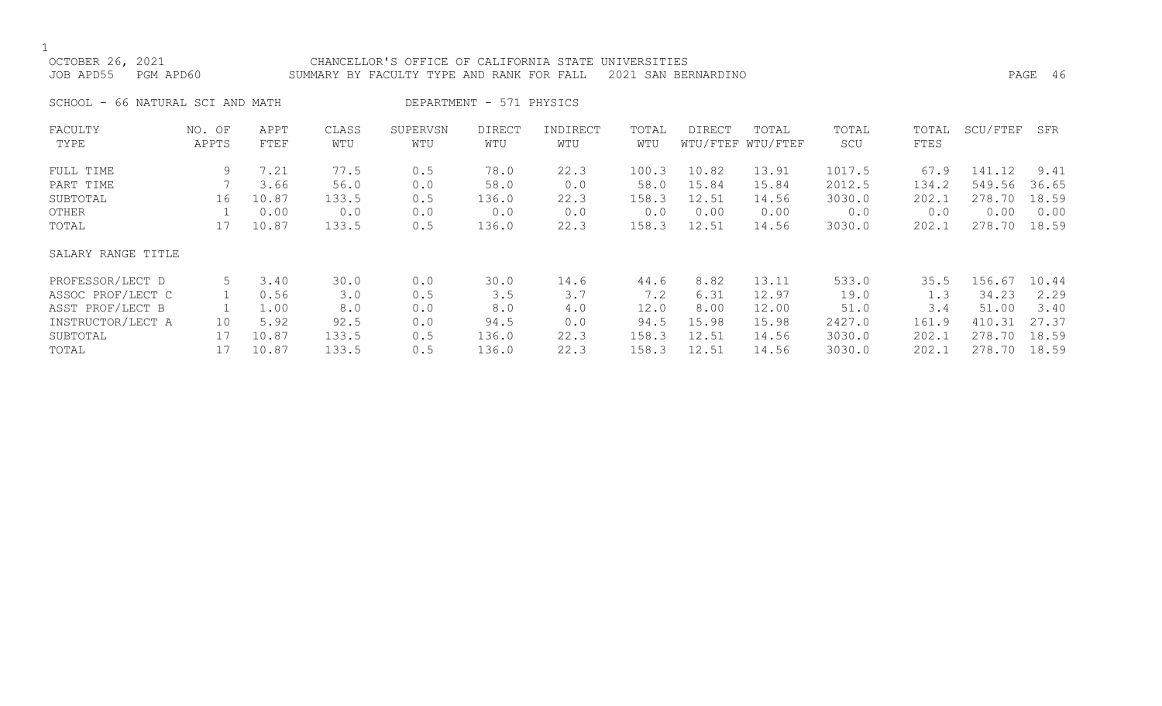1<br>OCTC

| OCTOBER 26, 2021 |           | CHANCELLOR'S OFFICE OF CALIFORNIA STATE UNIVERSITIES          |         |  |
|------------------|-----------|---------------------------------------------------------------|---------|--|
| JOB APD55        | PGM APD60 | SUMMARY BY FACULTY TYPE AND RANK FOR FALL 2021 SAN BERNARDINO | PAGE 46 |  |
|                  |           |                                                               |         |  |

SCHOOL - 66 NATURAL SCI AND MATH DEPARTMENT - 571 PHYSICS

| FACULTY            | NO. OF | APPT  | CLASS | SUPERVSN | <b>DIRECT</b> | INDIRECT | TOTAL | <b>DIRECT</b> | TOTAL             | TOTAL  | TOTAL | SCU/FTEF | SFR   |
|--------------------|--------|-------|-------|----------|---------------|----------|-------|---------------|-------------------|--------|-------|----------|-------|
| TYPE               | APPTS  | FTEF  | WTU   | WTU      | WTU           | WTU      | WTU   |               | WTU/FTEF WTU/FTEF | SCU    | FTES  |          |       |
| FULL TIME          | 9      | 7.21  | 77.5  | 0.5      | 78.0          | 22.3     | 100.3 | 10.82         | 13.91             | 1017.5 | 67.9  | 141.12   | 9.41  |
| PART TIME          |        | 3.66  | 56.0  | 0.0      | 58.0          | 0.0      | 58.0  | 15.84         | 15.84             | 2012.5 | 134.2 | 549.56   | 36.65 |
| SUBTOTAL           | 16     | 10.87 | 133.5 | 0.5      | 136.0         | 22.3     | 158.3 | 12.51         | 14.56             | 3030.0 | 202.1 | 278.70   | 18.59 |
| OTHER              |        | 0.00  | 0.0   | 0.0      | 0.0           | 0.0      | 0.0   | 0.00          | 0.00              | 0.0    | 0.0   | 0.00     | 0.00  |
| TOTAL              | 17     | 10.87 | 133.5 | 0.5      | 136.0         | 22.3     | 158.3 | 12.51         | 14.56             | 3030.0 | 202.1 | 278.70   | 18.59 |
| SALARY RANGE TITLE |        |       |       |          |               |          |       |               |                   |        |       |          |       |
| PROFESSOR/LECT D   | 5      | 3.40  | 30.0  | 0.0      | 30.0          | 14.6     | 44.6  | 8.82          | 13.11             | 533.0  | 35.5  | 156.67   | 10.44 |
| ASSOC PROF/LECT C  |        | 0.56  | 3.0   | 0.5      | 3.5           | 3.7      | 7.2   | 6.31          | 12.97             | 19.0   | 1.3   | 34.23    | 2.29  |
| ASST PROF/LECT B   |        | 1.00  | 8.0   | 0.0      | 8.0           | 4.0      | 12.0  | 8.00          | 12.00             | 51.0   | 3.4   | 51.00    | 3.40  |
| INSTRUCTOR/LECT A  | 10     | 5.92  | 92.5  | 0.0      | 94.5          | 0.0      | 94.5  | 15.98         | 15.98             | 2427.0 | 161.9 | 410.31   | 27.37 |
| SUBTOTAL           | 17     | 10.87 | 133.5 | 0.5      | 136.0         | 22.3     | 158.3 | 12.51         | 14.56             | 3030.0 | 202.1 | 278.70   | 18.59 |
| TOTAL              |        | 10.87 | 133.5 | 0.5      | 136.0         | 22.3     | 158.3 | 12.51         | 14.56             | 3030.0 | 202.1 | 278.70   | 18.59 |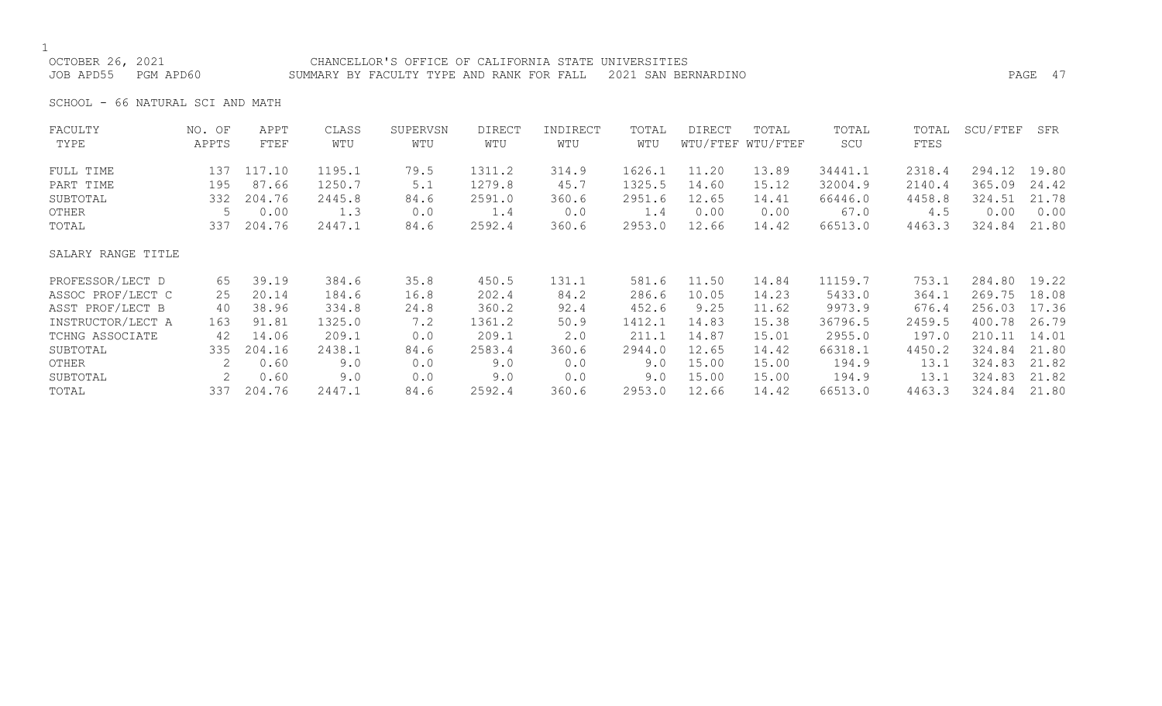OCTOBER 26, 2021 CHANCELLOR'S OFFICE OF CALIFORNIA STATE UNIVERSITIES JOB APD55 PGM APD60 SUMMARY BY FACULTY TYPE AND RANK FOR FALL 2021 SAN BERNARDINO PAGE 47

SCHOOL - 66 NATURAL SCI AND MATH

| FACULTY            | NO. OF | APPT   | CLASS  | SUPERVSN | <b>DIRECT</b> | INDIRECT | TOTAL  | DIRECT | TOTAL             | TOTAL   | TOTAL  | SCU/FTEF | SFR   |
|--------------------|--------|--------|--------|----------|---------------|----------|--------|--------|-------------------|---------|--------|----------|-------|
| TYPE               | APPTS  | FTEF   | WTU    | WTU      | WTU           | WTU      | WTU    |        | WTU/FTEF WTU/FTEF | SCU     | FTES   |          |       |
| FULL TIME          | 137    | 117.10 | 1195.1 | 79.5     | 1311.2        | 314.9    | 1626.1 | 11.20  | 13.89             | 34441.1 | 2318.4 | 294.12   | 19.80 |
| PART TIME          | 195    | 87.66  | 1250.7 | 5.1      | 1279.8        | 45.7     | 1325.5 | 14.60  | 15.12             | 32004.9 | 2140.4 | 365.09   | 24.42 |
| SUBTOTAL           | 332    | 204.76 | 2445.8 | 84.6     | 2591.0        | 360.6    | 2951.6 | 12.65  | 14.41             | 66446.0 | 4458.8 | 324.51   | 21.78 |
| OTHER              | 5      | 0.00   | 1.3    | 0.0      | 1.4           | 0.0      | 1.4    | 0.00   | 0.00              | 67.0    | 4.5    | 0.00     | 0.00  |
| TOTAL              | 337    | 204.76 | 2447.1 | 84.6     | 2592.4        | 360.6    | 2953.0 | 12.66  | 14.42             | 66513.0 | 4463.3 | 324.84   | 21.80 |
| SALARY RANGE TITLE |        |        |        |          |               |          |        |        |                   |         |        |          |       |
| PROFESSOR/LECT D   | 65     | 39.19  | 384.6  | 35.8     | 450.5         | 131.1    | 581.6  | 11.50  | 14.84             | 11159.7 | 753.1  | 284.80   | 19.22 |
| ASSOC PROF/LECT C  | 25     | 20.14  | 184.6  | 16.8     | 202.4         | 84.2     | 286.6  | 10.05  | 14.23             | 5433.0  | 364.1  | 269.75   | 18.08 |
| ASST PROF/LECT B   | 40     | 38.96  | 334.8  | 24.8     | 360.2         | 92.4     | 452.6  | 9.25   | 11.62             | 9973.9  | 676.4  | 256.03   | 17.36 |
| INSTRUCTOR/LECT A  | 163    | 91.81  | 1325.0 | 7.2      | 1361.2        | 50.9     | 1412.1 | 14.83  | 15.38             | 36796.5 | 2459.5 | 400.78   | 26.79 |
| TCHNG ASSOCIATE    | 42     | 14.06  | 209.1  | 0.0      | 209.1         | 2.0      | 211.1  | 14.87  | 15.01             | 2955.0  | 197.0  | 210.11   | 14.01 |
| SUBTOTAL           | 335    | 204.16 | 2438.1 | 84.6     | 2583.4        | 360.6    | 2944.0 | 12.65  | 14.42             | 66318.1 | 4450.2 | 324.84   | 21.80 |
| OTHER              | 2      | 0.60   | 9.0    | 0.0      | 9.0           | 0.0      | 9.0    | 15.00  | 15.00             | 194.9   | 13.1   | 324.83   | 21.82 |
| SUBTOTAL           |        | 0.60   | 9.0    | 0.0      | 9.0           | 0.0      | 9.0    | 15.00  | 15.00             | 194.9   | 13.1   | 324.83   | 21.82 |
| TOTAL              | 337    | 204.76 | 2447.1 | 84.6     | 2592.4        | 360.6    | 2953.0 | 12.66  | 14.42             | 66513.0 | 4463.3 | 324.84   | 21.80 |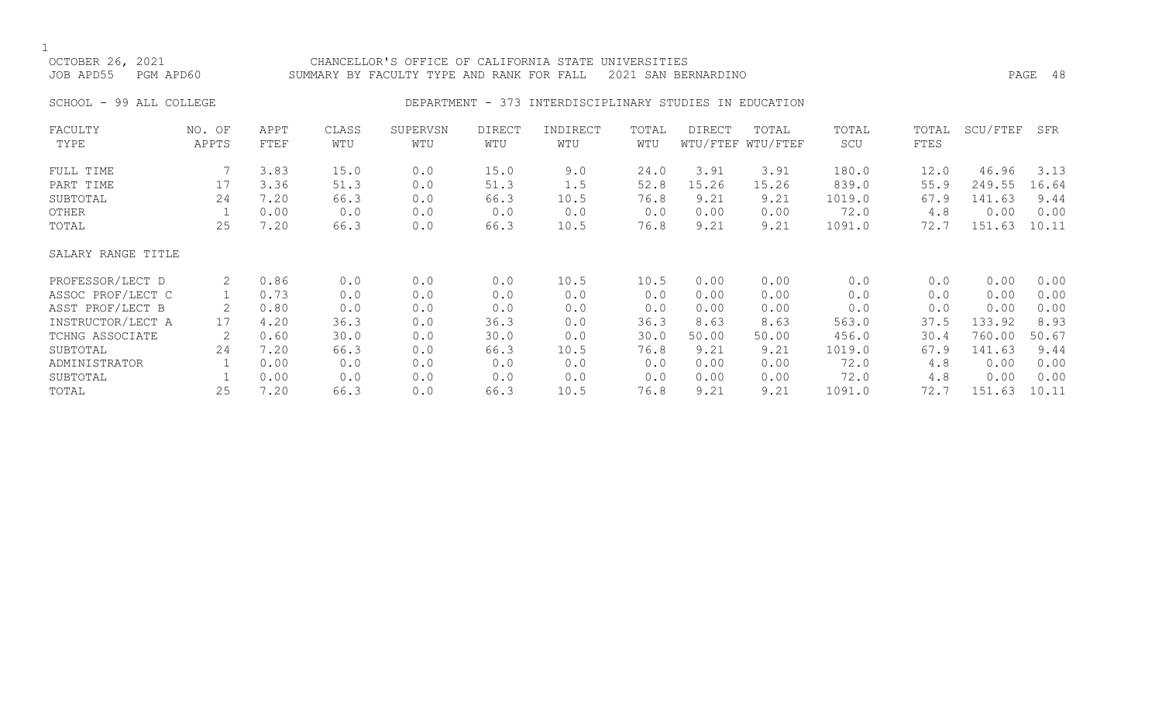# OCTOBER 26, 2021 CHANCELLOR'S OFFICE OF CALIFORNIA STATE UNIVERSITIES JOB APD55 PGM APD60 SUMMARY BY FACULTY TYPE AND RANK FOR FALL 2021 SAN BERNARDINO PAGE 48

## SCHOOL - 99 ALL COLLEGE CONSERVERSE DEPARTMENT - 373 INTERDISCIPLINARY STUDIES IN EDUCATION

| FACULTY            | NO. OF | APPT | CLASS | SUPERVSN | DIRECT | INDIRECT | TOTAL | DIRECT | TOTAL             | TOTAL  | TOTAL | SCU/FTEF | SFR   |
|--------------------|--------|------|-------|----------|--------|----------|-------|--------|-------------------|--------|-------|----------|-------|
| TYPE               | APPTS  | FTEF | WTU   | WTU      | WTU    | WTU      | WTU   |        | WTU/FTEF WTU/FTEF | SCU    | FTES  |          |       |
| FULL TIME          |        | 3.83 | 15.0  | 0.0      | 15.0   | 9.0      | 24.0  | 3.91   | 3.91              | 180.0  | 12.0  | 46.96    | 3.13  |
| PART TIME          | 17     | 3.36 | 51.3  | 0.0      | 51.3   | 1.5      | 52.8  | 15.26  | 15.26             | 839.0  | 55.9  | 249.55   | 16.64 |
| SUBTOTAL           | 24     | 7.20 | 66.3  | 0.0      | 66.3   | 10.5     | 76.8  | 9.21   | 9.21              | 1019.0 | 67.9  | 141.63   | 9.44  |
| OTHER              |        | 0.00 | 0.0   | 0.0      | 0.0    | 0.0      | 0.0   | 0.00   | 0.00              | 72.0   | 4.8   | 0.00     | 0.00  |
| TOTAL              | 25     | 7.20 | 66.3  | 0.0      | 66.3   | 10.5     | 76.8  | 9.21   | 9.21              | 1091.0 | 72.7  | 151.63   | 10.11 |
| SALARY RANGE TITLE |        |      |       |          |        |          |       |        |                   |        |       |          |       |
| PROFESSOR/LECT D   | 2      | 0.86 | 0.0   | 0.0      | 0.0    | 10.5     | 10.5  | 0.00   | 0.00              | 0.0    | 0.0   | 0.00     | 0.00  |
| ASSOC PROF/LECT C  |        | 0.73 | 0.0   | 0.0      | 0.0    | 0.0      | 0.0   | 0.00   | 0.00              | 0.0    | 0.0   | 0.00     | 0.00  |
| ASST PROF/LECT B   | 2      | 0.80 | 0.0   | 0.0      | 0.0    | 0.0      | 0.0   | 0.00   | 0.00              | 0.0    | 0.0   | 0.00     | 0.00  |
| INSTRUCTOR/LECT A  | 17     | 4.20 | 36.3  | 0.0      | 36.3   | 0.0      | 36.3  | 8.63   | 8.63              | 563.0  | 37.5  | 133.92   | 8.93  |
| TCHNG ASSOCIATE    |        | 0.60 | 30.0  | 0.0      | 30.0   | 0.0      | 30.0  | 50.00  | 50.00             | 456.0  | 30.4  | 760.00   | 50.67 |
| SUBTOTAL           | 24     | 7.20 | 66.3  | 0.0      | 66.3   | 10.5     | 76.8  | 9.21   | 9.21              | 1019.0 | 67.9  | 141.63   | 9.44  |
| ADMINISTRATOR      |        | 0.00 | 0.0   | 0.0      | 0.0    | 0.0      | 0.0   | 0.00   | 0.00              | 72.0   | 4.8   | 0.00     | 0.00  |
| SUBTOTAL           |        | 0.00 | 0.0   | 0.0      | 0.0    | 0.0      | 0.0   | 0.00   | 0.00              | 72.0   | 4.8   | 0.00     | 0.00  |
| TOTAL              | 25     | 7.20 | 66.3  | 0.0      | 66.3   | 10.5     | 76.8  | 9.21   | 9.21              | 1091.0 | 72.7  | 151.63   | 10.11 |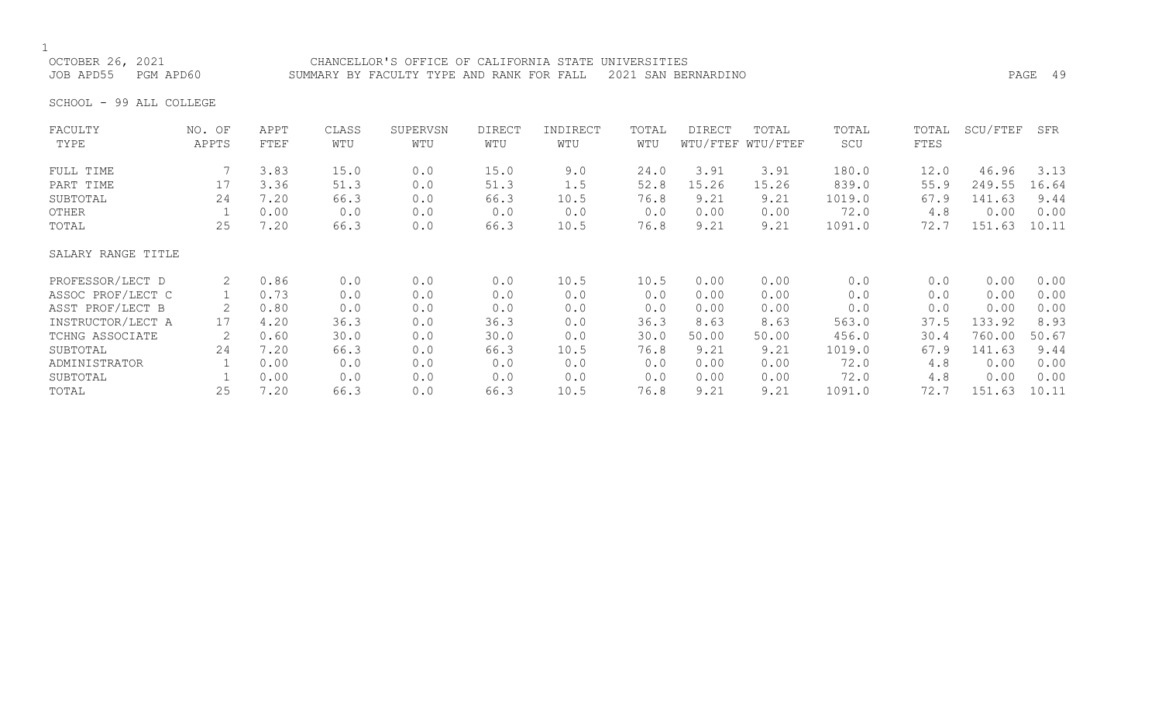OCTOBER 26, 2021 CHANCELLOR'S OFFICE OF CALIFORNIA STATE UNIVERSITIES JOB APD55 PGM APD60 SUMMARY BY FACULTY TYPE AND RANK FOR FALL 2021 SAN BERNARDINO PAGE 49

SCHOOL - 99 ALL COLLEGE

| FACULTY            | NO. OF         | APPT | CLASS | SUPERVSN | <b>DIRECT</b> | INDIRECT | TOTAL | <b>DIRECT</b> | TOTAL             | TOTAL  | TOTAL | SCU/FTEF | SFR   |
|--------------------|----------------|------|-------|----------|---------------|----------|-------|---------------|-------------------|--------|-------|----------|-------|
| TYPE               | APPTS          | FTEF | WTU   | WTU      | WTU           | WTU      | WTU   |               | WTU/FTEF WTU/FTEF | SCU    | FTES  |          |       |
| FULL TIME          |                | 3.83 | 15.0  | 0.0      | 15.0          | 9.0      | 24.0  | 3.91          | 3.91              | 180.0  | 12.0  | 46.96    | 3.13  |
| PART TIME          | 17             | 3.36 | 51.3  | 0.0      | 51.3          | 1.5      | 52.8  | 15.26         | 15.26             | 839.0  | 55.9  | 249.55   | 16.64 |
| SUBTOTAL           | 24             | 7.20 | 66.3  | 0.0      | 66.3          | 10.5     | 76.8  | 9.21          | 9.21              | 1019.0 | 67.9  | 141.63   | 9.44  |
| OTHER              |                | 0.00 | 0.0   | 0.0      | 0.0           | 0.0      | 0.0   | 0.00          | 0.00              | 72.0   | 4.8   | 0.00     | 0.00  |
| TOTAL              | 25             | 7.20 | 66.3  | 0.0      | 66.3          | 10.5     | 76.8  | 9.21          | 9.21              | 1091.0 | 72.7  | 151.63   | 10.11 |
| SALARY RANGE TITLE |                |      |       |          |               |          |       |               |                   |        |       |          |       |
| PROFESSOR/LECT D   | $\overline{2}$ | 0.86 | 0.0   | 0.0      | 0.0           | 10.5     | 10.5  | 0.00          | 0.00              | 0.0    | 0.0   | 0.00     | 0.00  |
| ASSOC PROF/LECT C  |                | 0.73 | 0.0   | 0.0      | 0.0           | 0.0      | 0.0   | 0.00          | 0.00              | 0.0    | 0.0   | 0.00     | 0.00  |
| ASST PROF/LECT B   |                | 0.80 | 0.0   | 0.0      | 0.0           | 0.0      | 0.0   | 0.00          | 0.00              | 0.0    | 0.0   | 0.00     | 0.00  |
| INSTRUCTOR/LECT A  | 17             | 4.20 | 36.3  | 0.0      | 36.3          | 0.0      | 36.3  | 8.63          | 8.63              | 563.0  | 37.5  | 133.92   | 8.93  |
| TCHNG ASSOCIATE    | 2              | 0.60 | 30.0  | 0.0      | 30.0          | 0.0      | 30.0  | 50.00         | 50.00             | 456.0  | 30.4  | 760.00   | 50.67 |
| SUBTOTAL           | 24             | 7.20 | 66.3  | 0.0      | 66.3          | 10.5     | 76.8  | 9.21          | 9.21              | 1019.0 | 67.9  | 141.63   | 9.44  |
| ADMINISTRATOR      |                | 0.00 | 0.0   | 0.0      | 0.0           | 0.0      | 0.0   | 0.00          | 0.00              | 72.0   | 4.8   | 0.00     | 0.00  |
| SUBTOTAL           |                | 0.00 | 0.0   | 0.0      | 0.0           | 0.0      | 0.0   | 0.00          | 0.00              | 72.0   | 4.8   | 0.00     | 0.00  |
| TOTAL              | 25             | 7.20 | 66.3  | 0.0      | 66.3          | 10.5     | 76.8  | 9.21          | 9.21              | 1091.0 | 72.7  | 151.63   | 10.11 |